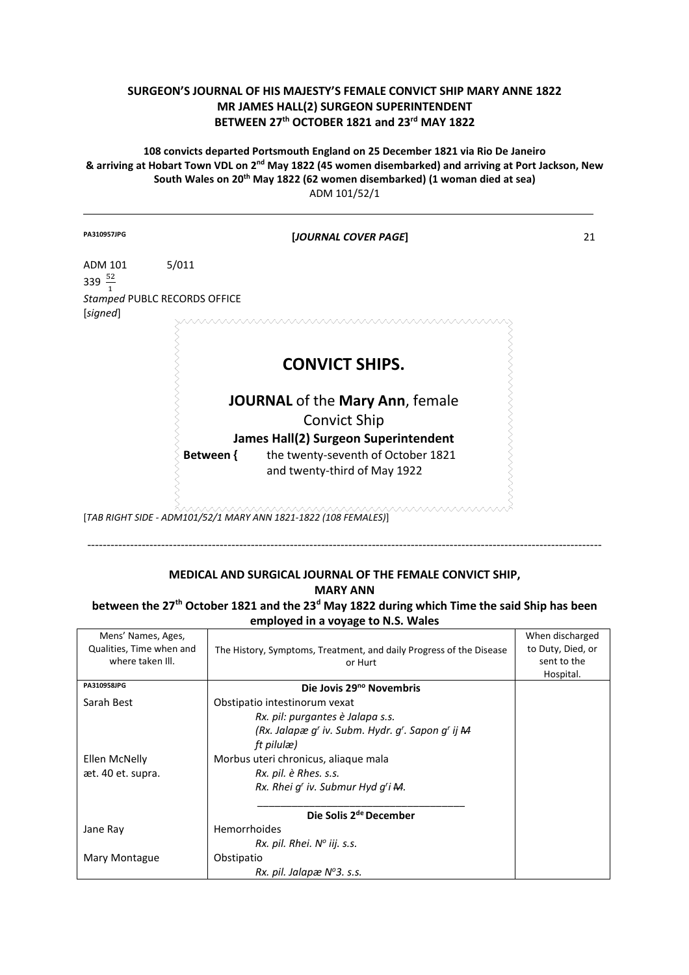## **SURGEON'S JOURNAL OF HIS MAJESTY'S FEMALE CONVICT SHIP MARY ANNE 1822 MR JAMES HALL(2) SURGEON SUPERINTENDENT BETWEEN 27th OCTOBER 1821 and 23rd MAY 1822**

**108 convicts departed Portsmouth England on 25 December 1821 via Rio De Janeiro & arriving at Hobart Town VDL on 2nd May 1822 (45 women disembarked) and arriving at Port Jackson, New South Wales on 20th May 1822 (62 women disembarked) (1 woman died at sea)**  ADM 101/52/1

| PA310957JPG                   |                              | [JOURNAL COVER PAGE]                                                                                                                                                 | 21 |
|-------------------------------|------------------------------|----------------------------------------------------------------------------------------------------------------------------------------------------------------------|----|
| ADM 101<br>339 $\frac{52}{ }$ | 5/011                        |                                                                                                                                                                      |    |
| [signed]                      | Stamped PUBLC RECORDS OFFICE |                                                                                                                                                                      |    |
|                               |                              | <b>CONVICT SHIPS.</b>                                                                                                                                                |    |
|                               | Between {                    | JOURNAL of the Mary Ann, female<br><b>Convict Ship</b><br>James Hall(2) Surgeon Superintendent<br>the twenty-seventh of October 1821<br>and twenty-third of May 1922 |    |

[*TAB RIGHT SIDE - ADM101/52/1 MARY ANN 1821-1822 (108 FEMALES)*]

## **MEDICAL AND SURGICAL JOURNAL OF THE FEMALE CONVICT SHIP, MARY ANN**

------------------------------------------------------------------------------------------------------------------------------------

**between the 27th October 1821 and the 23<sup>d</sup> May 1822 during which Time the said Ship has been employed in a voyage to N.S. Wales** 

| Mens' Names, Ages,       |                                                                     | When discharged   |
|--------------------------|---------------------------------------------------------------------|-------------------|
| Qualities, Time when and | The History, Symptoms, Treatment, and daily Progress of the Disease | to Duty, Died, or |
| where taken III.         | or Hurt                                                             | sent to the       |
|                          |                                                                     | Hospital.         |
| PA310958JPG              | Die Jovis 29 <sup>no</sup> Novembris                                |                   |
| Sarah Best               | Obstipatio intestinorum vexat                                       |                   |
|                          | Rx. pil: purgantes è Jalapa s.s.                                    |                   |
|                          | (Rx. Jalapæ g' iv. Subm. Hydr. g'. Sapon g' ij M                    |                   |
|                          | ft pilulæ)                                                          |                   |
| Ellen McNelly            | Morbus uteri chronicus, aliaque mala                                |                   |
| æt. 40 et. supra.        | Rx. pil. è Rhes. s.s.                                               |                   |
|                          | Rx. Rhei q' iv. Submur Hyd q'i M.                                   |                   |
|                          |                                                                     |                   |
|                          | Die Solis 2 <sup>de</sup> December                                  |                   |
| Jane Ray                 | Hemorrhoides                                                        |                   |
|                          | $Rx.$ pil. Rhei. $N^{\circ}$ iij. s.s.                              |                   |
| Mary Montague            | Obstipatio                                                          |                   |
|                          | Rx. pil. Jalapæ $N^{\circ}$ 3. s.s.                                 |                   |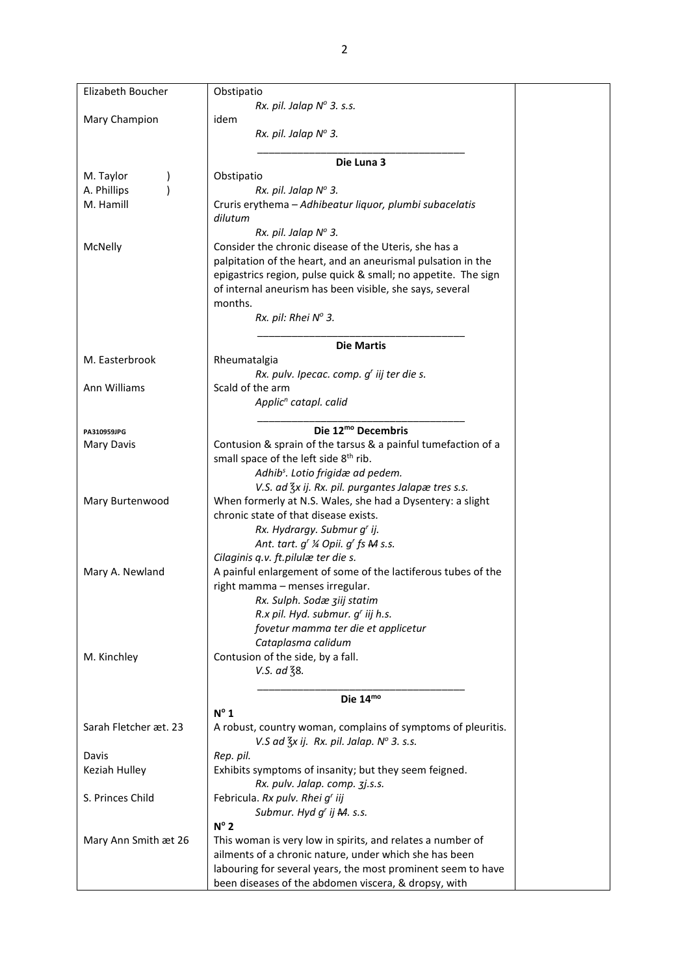| Elizabeth Boucher     | Obstipatio                                                     |
|-----------------------|----------------------------------------------------------------|
|                       | Rx. pil. Jalap $N^{\circ}$ 3. s.s.                             |
|                       |                                                                |
| Mary Champion         | idem                                                           |
|                       | Rx. pil. Jalap Nº 3.                                           |
|                       |                                                                |
|                       | Die Luna 3                                                     |
| M. Taylor             | Obstipatio                                                     |
| A. Phillips           | Rx. pil. Jalap Nº 3.                                           |
| M. Hamill             | Cruris erythema - Adhibeatur liquor, plumbi subacelatis        |
|                       | dilutum                                                        |
|                       | Rx. pil. Jalap Nº 3.                                           |
| McNelly               | Consider the chronic disease of the Uteris, she has a          |
|                       | palpitation of the heart, and an aneurismal pulsation in the   |
|                       |                                                                |
|                       | epigastrics region, pulse quick & small; no appetite. The sign |
|                       | of internal aneurism has been visible, she says, several       |
|                       | months.                                                        |
|                       | Rx. pil: Rhei Nº 3.                                            |
|                       |                                                                |
|                       | <b>Die Martis</b>                                              |
| M. Easterbrook        | Rheumatalgia                                                   |
|                       | Rx. pulv. Ipecac. comp. g' iij ter die s.                      |
| Ann Williams          | Scald of the arm                                               |
|                       | Applic <sup>n</sup> catapl. calid                              |
|                       |                                                                |
|                       | Die 12 <sup>mo</sup> Decembris                                 |
| PA310959JPG           |                                                                |
| Mary Davis            | Contusion & sprain of the tarsus & a painful tumefaction of a  |
|                       | small space of the left side 8 <sup>th</sup> rib.              |
|                       | Adhib <sup>s</sup> . Lotio frigidæ ad pedem.                   |
|                       | V.S. ad $\frac{7}{5}x$ ij. Rx. pil. purgantes Jalapæ tres s.s. |
| Mary Burtenwood       | When formerly at N.S. Wales, she had a Dysentery: a slight     |
|                       | chronic state of that disease exists.                          |
|                       | Rx. Hydrargy. Submur g' ij.                                    |
|                       | Ant. tart. g' ¼ Opii. g' fs M s.s.                             |
|                       | Cilaginis q.v. ft.pilulæ ter die s.                            |
| Mary A. Newland       | A painful enlargement of some of the lactiferous tubes of the  |
|                       |                                                                |
|                       | right mamma - menses irregular.                                |
|                       | Rx. Sulph. Sodæ ziij statim                                    |
|                       | R.x pil. Hyd. submur. g' iij h.s.                              |
|                       | fovetur mamma ter die et applicetur                            |
|                       | Cataplasma calidum                                             |
| M. Kinchley           | Contusion of the side, by a fall.                              |
|                       | V.S. ad 38.                                                    |
|                       |                                                                |
|                       | Die 14mo                                                       |
|                       | $N^{\circ}$ 1                                                  |
| Sarah Fletcher æt. 23 | A robust, country woman, complains of symptoms of pleuritis.   |
|                       | V.S ad $\frac{7}{3}x$ ij. Rx. pil. Jalap. N° 3. s.s.           |
|                       |                                                                |
| Davis                 | Rep. pil.                                                      |
| Keziah Hulley         | Exhibits symptoms of insanity; but they seem feigned.          |
|                       | Rx. pulv. Jalap. comp. 3j.s.s.                                 |
| S. Princes Child      | Febricula. Rx pulv. Rhei g' iij                                |
|                       | Submur. Hyd g' ij M. s.s.                                      |
|                       | $N^{\circ}$ 2                                                  |
| Mary Ann Smith æt 26  | This woman is very low in spirits, and relates a number of     |
|                       | ailments of a chronic nature, under which she has been         |
|                       | labouring for several years, the most prominent seem to have   |
|                       | been diseases of the abdomen viscera, & dropsy, with           |
|                       |                                                                |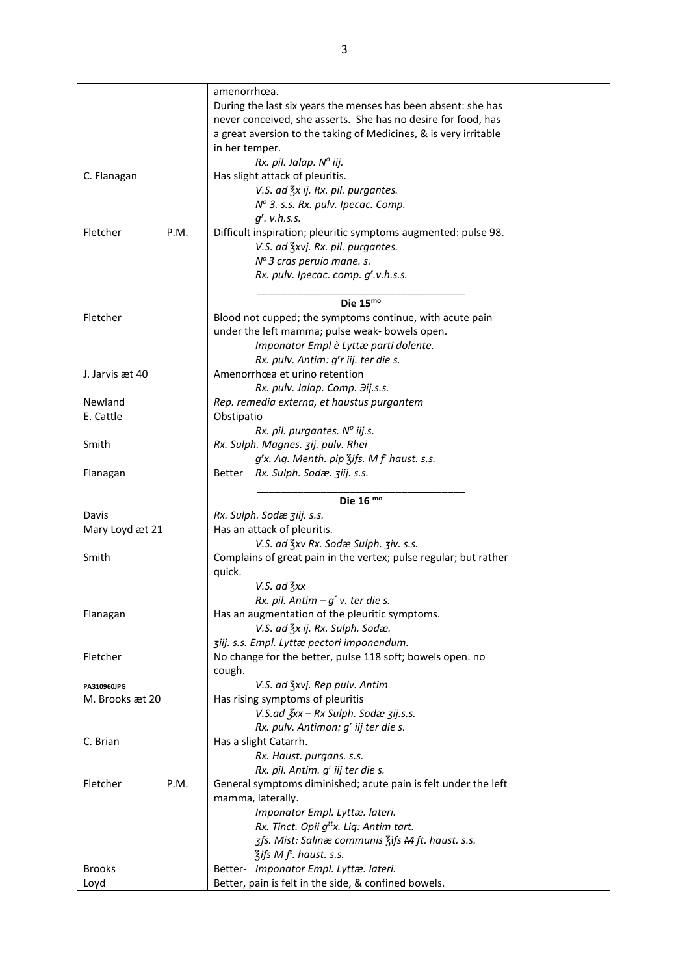|                  | amenorrhœa.                                                      |
|------------------|------------------------------------------------------------------|
|                  | During the last six years the menses has been absent: she has    |
|                  | never conceived, she asserts. She has no desire for food, has    |
|                  | a great aversion to the taking of Medicines, & is very irritable |
|                  | in her temper.                                                   |
|                  | Rx. pil. Jalap. Nº iij.                                          |
|                  |                                                                  |
| C. Flanagan      | Has slight attack of pleuritis.                                  |
|                  | V.S. ad 3x ij. Rx. pil. purgantes.                               |
|                  | Nº 3. s.s. Rx. pulv. Ipecac. Comp.                               |
|                  | $qr$ . v.h.s.s.                                                  |
| P.M.<br>Fletcher | Difficult inspiration; pleuritic symptoms augmented: pulse 98.   |
|                  | V.S. ad 3xvj. Rx. pil. purgantes.                                |
|                  | Nº 3 cras peruio mane. s.                                        |
|                  | Rx. pulv. Ipecac. comp. g'.v.h.s.s.                              |
|                  |                                                                  |
|                  | Die $15mo$                                                       |
| Fletcher         | Blood not cupped; the symptoms continue, with acute pain         |
|                  | under the left mamma; pulse weak- bowels open.                   |
|                  | Imponator Empl è Lyttæ parti dolente.                            |
|                  | Rx. pulv. Antim: g'r iij. ter die s.                             |
| J. Jarvis æt 40  | Amenorrhœa et urino retention                                    |
|                  | Rx. pulv. Jalap. Comp. 3ij.s.s.                                  |
| Newland          | Rep. remedia externa, et haustus purgantem                       |
| E. Cattle        | Obstipatio                                                       |
|                  |                                                                  |
|                  | Rx. pil. purgantes. Nº iij.s.                                    |
| Smith            | Rx. Sulph. Magnes. zij. pulv. Rhei                               |
|                  | $g'$ x. Aq. Menth. pip $\frac{7}{5}$ ifs. Mf haust. s.s.         |
| Flanagan         | Rx. Sulph. Sodæ. ziij. s.s.<br>Better                            |
|                  |                                                                  |
|                  | Die 16 $\mathrm{^{mo}}$                                          |
| Davis            | Rx. Sulph. Sodæ ziij. s.s.                                       |
| Mary Loyd æt 21  | Has an attack of pleuritis.                                      |
|                  | V.S. ad Zxv Rx. Sodæ Sulph. ziv. s.s.                            |
| Smith            | Complains of great pain in the vertex; pulse regular; but rather |
|                  | quick.                                                           |
|                  | $V.S.$ ad $\frac{7}{3}xx$                                        |
|                  | Rx. pil. Antim $-qr$ v. ter die s.                               |
| Flanagan         | Has an augmentation of the pleuritic symptoms.                   |
|                  | V.S. ad $\frac{7}{5}x$ ij. Rx. Sulph. Sodæ.                      |
|                  | ziij. s.s. Empl. Lyttæ pectori imponendum.                       |
| Fletcher         | No change for the better, pulse 118 soft; bowels open. no        |
|                  | cough.                                                           |
| PA310960JPG      | V.S. ad 3xvj. Rep pulv. Antim                                    |
| M. Brooks æt 20  | Has rising symptoms of pleuritis                                 |
|                  | V.S.ad $\frac{2}{5}$ xx - Rx Sulph. Sodæ zij.s.s.                |
|                  | Rx. pulv. Antimon: g' iij ter die s.                             |
| C. Brian         | Has a slight Catarrh.                                            |
|                  |                                                                  |
|                  | Rx. Haust. purgans. s.s.                                         |
|                  | Rx. pil. Antim. g' iij ter die s.                                |
| P.M.<br>Fletcher | General symptoms diminished; acute pain is felt under the left   |
|                  | mamma, laterally.                                                |
|                  | Imponator Empl. Lyttæ. lateri.                                   |
|                  | Rx. Tinct. Opii g <sup>tt</sup> x. Liq: Antim tart.              |
|                  | 3fs. Mist: Salinæ communis 3ifs M ft. haust. s.s.                |
|                  | $\frac{7}{3}$ ifs M f <sup>t</sup> . haust. s.s.                 |
| <b>Brooks</b>    | Better- Imponator Empl. Lyttæ. lateri.                           |
| Loyd             | Better, pain is felt in the side, & confined bowels.             |
|                  |                                                                  |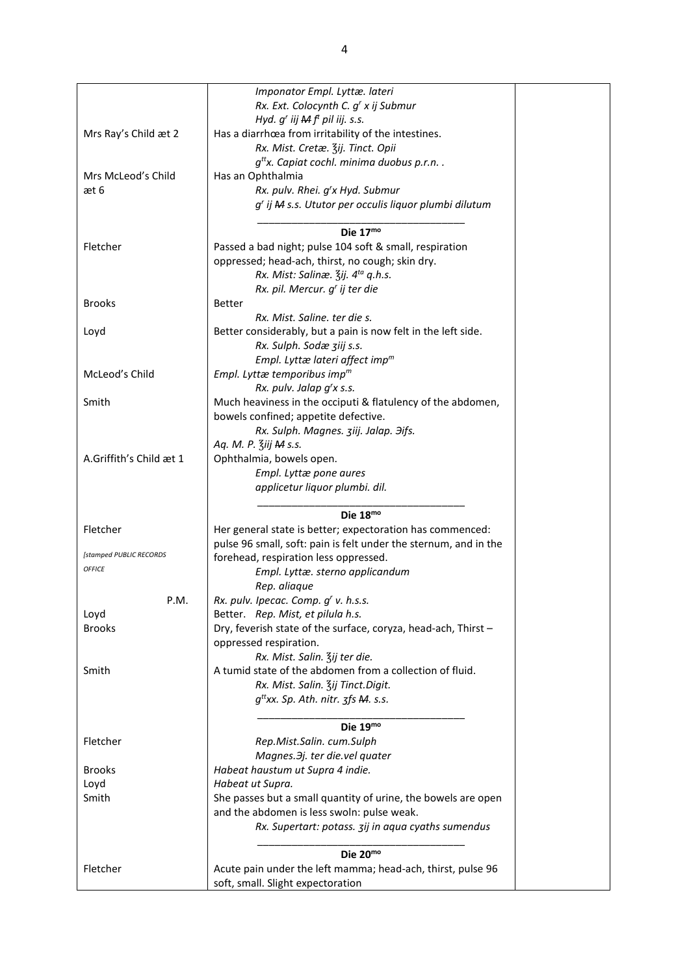|                         | Imponator Empl. Lyttæ. lateri                                    |
|-------------------------|------------------------------------------------------------------|
|                         |                                                                  |
|                         | Rx. Ext. Colocynth C. g' x ij Submur                             |
|                         | Hyd. $g'$ iij $Mf'$ pil iij. s.s.                                |
| Mrs Ray's Child æt 2    | Has a diarrhœa from irritability of the intestines.              |
|                         | Rx. Mist. Cretæ. Zij. Tinct. Opii                                |
|                         | $q^{tt}$ x. Capiat cochl. minima duobus p.r.n                    |
| Mrs McLeod's Child      | Has an Ophthalmia                                                |
| æt 6                    | Rx. pulv. Rhei. g'x Hyd. Submur                                  |
|                         | g' ij M s.s. Ututor per occulis liquor plumbi dilutum            |
|                         |                                                                  |
|                         | Die $17mo$                                                       |
| Fletcher                |                                                                  |
|                         | Passed a bad night; pulse 104 soft & small, respiration          |
|                         | oppressed; head-ach, thirst, no cough; skin dry.                 |
|                         | Rx. Mist: Salinæ. 3ij. 4 <sup>ta</sup> q.h.s.                    |
|                         | Rx. pil. Mercur. g' ij ter die                                   |
| <b>Brooks</b>           | <b>Better</b>                                                    |
|                         | Rx. Mist. Saline, ter die s.                                     |
| Loyd                    | Better considerably, but a pain is now felt in the left side.    |
|                         | Rx. Sulph. Sodæ ziij s.s.                                        |
|                         | Empl. Lyttæ lateri affect imp $m$                                |
| McLeod's Child          | Empl. Lyttæ temporibus imp <sup>m</sup>                          |
|                         | Rx. pulv. Jalap g'x s.s.                                         |
|                         |                                                                  |
| Smith                   | Much heaviness in the occiputi & flatulency of the abdomen,      |
|                         | bowels confined; appetite defective.                             |
|                         | Rx. Sulph. Magnes. ziij. Jalap. Hifs.                            |
|                         | Aq. M. P. Ziij M s.s.                                            |
| A.Griffith's Child æt 1 | Ophthalmia, bowels open.                                         |
|                         | Empl. Lyttæ pone aures                                           |
|                         | applicetur liquor plumbi. dil.                                   |
|                         |                                                                  |
|                         | Die 18mo                                                         |
| Fletcher                | Her general state is better; expectoration has commenced:        |
|                         | pulse 96 small, soft: pain is felt under the sternum, and in the |
| [stamped PUBLIC RECORDS |                                                                  |
| <b>OFFICE</b>           | forehead, respiration less oppressed.                            |
|                         | Empl. Lyttæ. sterno applicandum                                  |
|                         | Rep. aliaque                                                     |
| P.M.                    | Rx. pulv. Ipecac. Comp. g' v. h.s.s.                             |
| Loyd                    | Better. Rep. Mist, et pilula h.s.                                |
| <b>Brooks</b>           | Dry, feverish state of the surface, coryza, head-ach, Thirst -   |
|                         | oppressed respiration.                                           |
|                         | Rx. Mist. Salin. Zij ter die.                                    |
| Smith                   | A tumid state of the abdomen from a collection of fluid.         |
|                         | Rx. Mist. Salin. Zij Tinct. Digit.                               |
|                         |                                                                  |
|                         | $q^{tt}$ xx. Sp. Ath. nitr. $\frac{1}{3}$ fs M. s.s.             |
|                         |                                                                  |
|                         | Die 19mo                                                         |
| Fletcher                | Rep.Mist.Salin. cum.Sulph                                        |
|                         | Magnes. Hj. ter die. vel quater                                  |
| <b>Brooks</b>           | Habeat haustum ut Supra 4 indie.                                 |
| Loyd                    | Habeat ut Supra.                                                 |
| Smith                   | She passes but a small quantity of urine, the bowels are open    |
|                         | and the abdomen is less swoln: pulse weak.                       |
|                         | Rx. Supertart: potass. 3ij in aqua cyaths sumendus               |
|                         |                                                                  |
|                         |                                                                  |
|                         | Die 20mo                                                         |
| Fletcher                | Acute pain under the left mamma; head-ach, thirst, pulse 96      |
|                         | soft, small. Slight expectoration                                |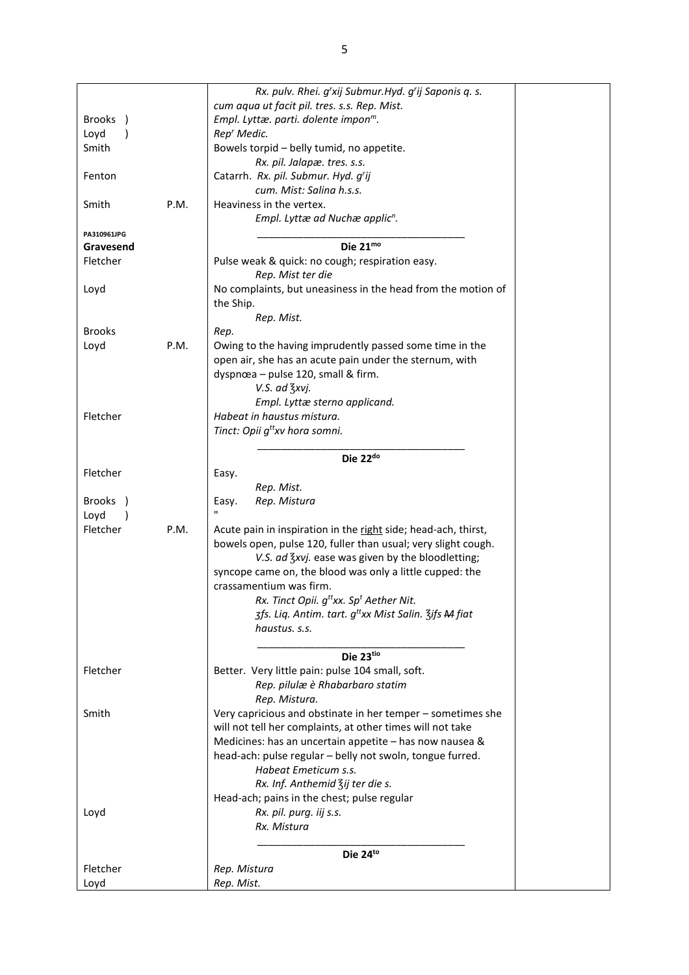|                          |      | Rx. pulv. Rhei. g'xij Submur. Hyd. g'ij Saponis q. s.                        |  |
|--------------------------|------|------------------------------------------------------------------------------|--|
|                          |      | cum aqua ut facit pil. tres. s.s. Rep. Mist.                                 |  |
| Brooks )                 |      | Empl. Lyttæ. parti. dolente impon <sup>m</sup> .                             |  |
| Loyd                     |      | Rep <sup>r</sup> Medic.                                                      |  |
| Smith                    |      | Bowels torpid - belly tumid, no appetite.                                    |  |
|                          |      | Rx. pil. Jalapæ. tres. s.s.                                                  |  |
| Fenton                   |      | Catarrh. Rx. pil. Submur. Hyd. g'ij                                          |  |
|                          |      | cum. Mist: Salina h.s.s.                                                     |  |
| Smith                    | P.M. | Heaviness in the vertex.                                                     |  |
|                          |      | Empl. Lyttæ ad Nuchæ applic <sup>n</sup> .                                   |  |
|                          |      |                                                                              |  |
| PA310961JPG<br>Gravesend |      | Die 21mo                                                                     |  |
| Fletcher                 |      |                                                                              |  |
|                          |      | Pulse weak & quick: no cough; respiration easy.<br>Rep. Mist ter die         |  |
|                          |      |                                                                              |  |
| Loyd                     |      | No complaints, but uneasiness in the head from the motion of                 |  |
|                          |      | the Ship.                                                                    |  |
|                          |      | Rep. Mist.                                                                   |  |
| <b>Brooks</b>            |      | Rep.                                                                         |  |
| Loyd                     | P.M. | Owing to the having imprudently passed some time in the                      |  |
|                          |      | open air, she has an acute pain under the sternum, with                      |  |
|                          |      | dyspnœa - pulse 120, small & firm.                                           |  |
|                          |      | V.S. ad 3xvj.                                                                |  |
|                          |      | Empl. Lyttæ sterno applicand.                                                |  |
| Fletcher                 |      | Habeat in haustus mistura.                                                   |  |
|                          |      | Tinct: Opii g <sup>tt</sup> xv hora somni.                                   |  |
|                          |      |                                                                              |  |
|                          |      | Die 22 <sup>do</sup>                                                         |  |
| Fletcher                 |      | Easy.                                                                        |  |
|                          |      | Rep. Mist.                                                                   |  |
| Brooks )                 |      | Rep. Mistura<br>Easy.                                                        |  |
| Loyd                     |      | п                                                                            |  |
| Fletcher                 | P.M. | Acute pain in inspiration in the right side; head-ach, thirst,               |  |
|                          |      | bowels open, pulse 120, fuller than usual; very slight cough.                |  |
|                          |      | V.S. ad Zxvj. ease was given by the bloodletting;                            |  |
|                          |      | syncope came on, the blood was only a little cupped: the                     |  |
|                          |      | crassamentium was firm.                                                      |  |
|                          |      | Rx. Tinct Opii. g <sup>tt</sup> xx. Sp <sup>t</sup> Aether Nit.              |  |
|                          |      | 3fs. Liq. Antim. tart. g <sup>tt</sup> xx Mist Salin. 3ifs <del>M</del> fiat |  |
|                          |      | haustus. s.s.                                                                |  |
|                          |      |                                                                              |  |
|                          |      | Die 23tio                                                                    |  |
| Fletcher                 |      | Better. Very little pain: pulse 104 small, soft.                             |  |
|                          |      | Rep. pilulæ è Rhabarbaro statim                                              |  |
|                          |      | Rep. Mistura.                                                                |  |
| Smith                    |      | Very capricious and obstinate in her temper - sometimes she                  |  |
|                          |      | will not tell her complaints, at other times will not take                   |  |
|                          |      | Medicines: has an uncertain appetite - has now nausea &                      |  |
|                          |      | head-ach: pulse regular - belly not swoln, tongue furred.                    |  |
|                          |      | Habeat Emeticum s.s.                                                         |  |
|                          |      | Rx. Inf. Anthemid Zij ter die s.                                             |  |
|                          |      | Head-ach; pains in the chest; pulse regular                                  |  |
| Loyd                     |      | Rx. pil. purg. iij s.s.                                                      |  |
|                          |      | Rx. Mistura                                                                  |  |
|                          |      |                                                                              |  |
|                          |      | Die 24to                                                                     |  |
| Fletcher                 |      | Rep. Mistura                                                                 |  |
|                          |      | Rep. Mist.                                                                   |  |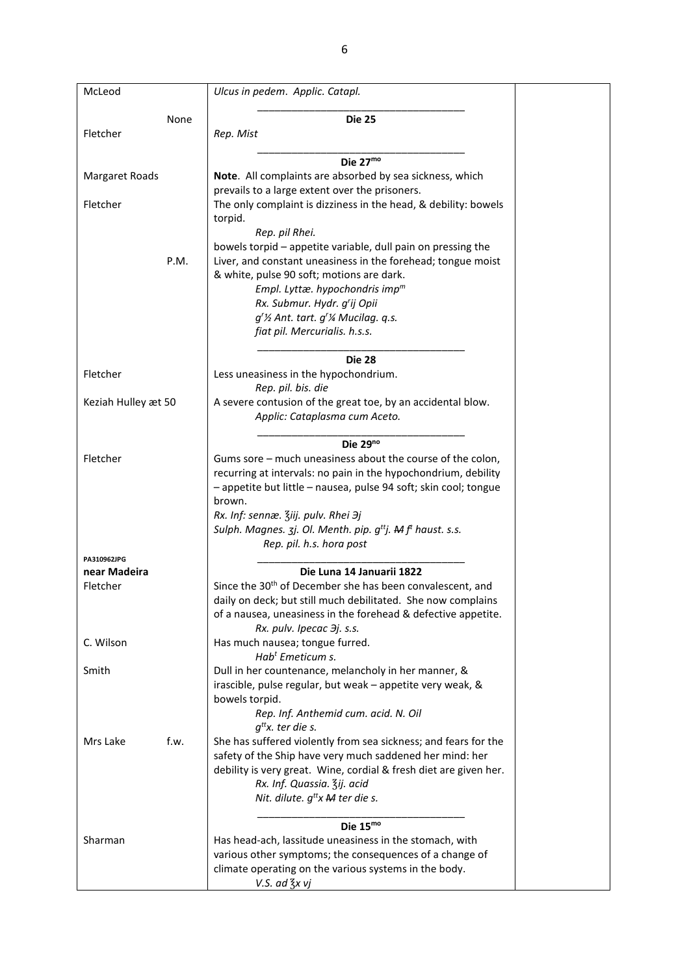| McLeod                   | Ulcus in pedem. Applic. Catapl.                                                                    |
|--------------------------|----------------------------------------------------------------------------------------------------|
|                          |                                                                                                    |
| None                     | <b>Die 25</b>                                                                                      |
| Fletcher                 | Rep. Mist                                                                                          |
|                          | Die 27mo                                                                                           |
| <b>Margaret Roads</b>    | Note. All complaints are absorbed by sea sickness, which                                           |
|                          | prevails to a large extent over the prisoners.                                                     |
| Fletcher                 | The only complaint is dizziness in the head, & debility: bowels                                    |
|                          | torpid.                                                                                            |
|                          | Rep. pil Rhei.                                                                                     |
|                          | bowels torpid - appetite variable, dull pain on pressing the                                       |
| P.M.                     | Liver, and constant uneasiness in the forehead; tongue moist                                       |
|                          | & white, pulse 90 soft; motions are dark.                                                          |
|                          | Empl. Lyttæ. hypochondris imp $m$                                                                  |
|                          | Rx. Submur. Hydr. g'ij Opii                                                                        |
|                          | $q^r$ % Ant. tart. $q^r$ % Mucilag. q.s.                                                           |
|                          | fiat pil. Mercurialis. h.s.s.                                                                      |
|                          |                                                                                                    |
|                          | <b>Die 28</b>                                                                                      |
| Fletcher                 | Less uneasiness in the hypochondrium.<br>Rep. pil. bis. die                                        |
| Keziah Hulley æt 50      | A severe contusion of the great toe, by an accidental blow.                                        |
|                          | Applic: Cataplasma cum Aceto.                                                                      |
|                          |                                                                                                    |
|                          | Die $29^{no}$                                                                                      |
| Fletcher                 | Gums sore - much uneasiness about the course of the colon,                                         |
|                          | recurring at intervals: no pain in the hypochondrium, debility                                     |
|                          | - appetite but little - nausea, pulse 94 soft; skin cool; tongue                                   |
|                          | brown.                                                                                             |
|                          | Rx. Inf: sennæ. Ziij. pulv. Rhei Эј                                                                |
|                          | Sulph. Magnes. 3j. Ol. Menth. pip. g <sup>tt</sup> j. Hef <sup>t</sup> haust. s.s.                 |
|                          | Rep. pil. h.s. hora post                                                                           |
| PA310962JPG              |                                                                                                    |
| near Madeira<br>Fletcher | Die Luna 14 Januarii 1822<br>Since the 30 <sup>th</sup> of December she has been convalescent, and |
|                          | daily on deck; but still much debilitated. She now complains                                       |
|                          | of a nausea, uneasiness in the forehead & defective appetite.                                      |
|                          | Rx. pulv. Ipecac $\partial j$ . s.s.                                                               |
| C. Wilson                | Has much nausea; tongue furred.                                                                    |
|                          | Hab <sup>t</sup> Emeticum s.                                                                       |
| Smith                    | Dull in her countenance, melancholy in her manner, &                                               |
|                          | irascible, pulse regular, but weak - appetite very weak, &                                         |
|                          | bowels torpid.                                                                                     |
|                          | Rep. Inf. Anthemid cum. acid. N. Oil                                                               |
|                          | $g^{tt}$ x. ter die s.                                                                             |
| Mrs Lake<br>f.w.         | She has suffered violently from sea sickness; and fears for the                                    |
|                          | safety of the Ship have very much saddened her mind: her                                           |
|                          | debility is very great. Wine, cordial & fresh diet are given her.                                  |
|                          | Rx. Inf. Quassia. Zij. acid                                                                        |
|                          | Nit. dilute. $g^{tt}x$ <b>M</b> ter die s.                                                         |
|                          | Die $15mo$                                                                                         |
| Sharman                  | Has head-ach, lassitude uneasiness in the stomach, with                                            |
|                          | various other symptoms; the consequences of a change of                                            |
|                          | climate operating on the various systems in the body.                                              |
|                          | V.S. ad $\frac{7}{3}x$ vj                                                                          |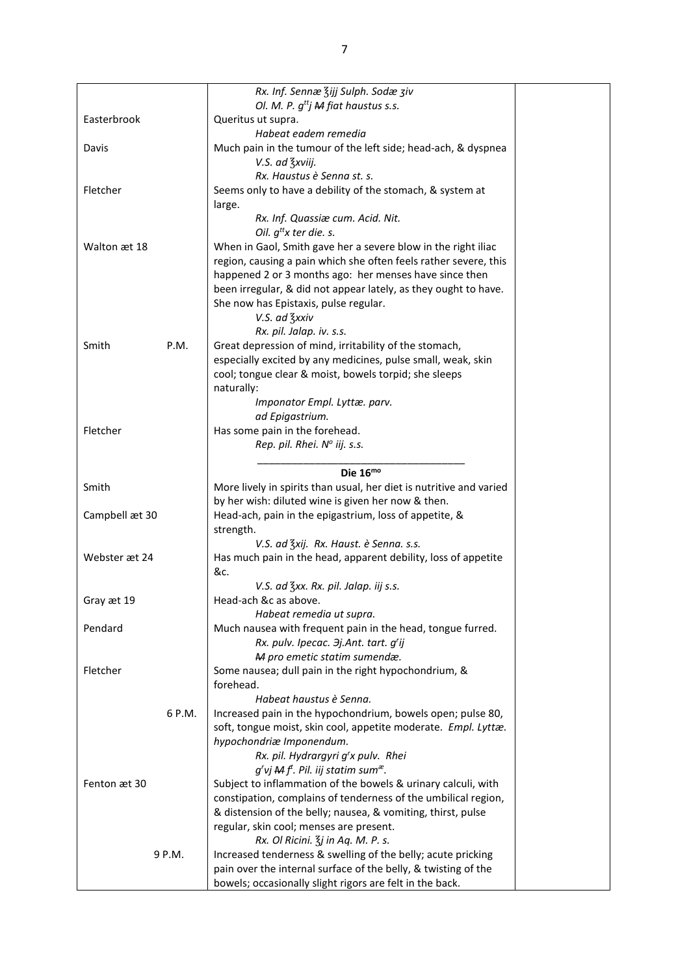|                | Rx. Inf. Sennæ Zijj Sulph. Sodæ ziv                                 |
|----------------|---------------------------------------------------------------------|
|                | Ol. M. P. $g^{tt}$ j M fiat haustus s.s.                            |
| Easterbrook    | Queritus ut supra.                                                  |
|                | Habeat eadem remedia                                                |
| Davis          | Much pain in the tumour of the left side; head-ach, & dyspnea       |
|                | V.S. ad 3xviij.                                                     |
|                | Rx. Haustus è Senna st. s.                                          |
| Fletcher       | Seems only to have a debility of the stomach, & system at           |
|                | large.                                                              |
|                | Rx. Inf. Quassiæ cum. Acid. Nit.                                    |
|                | Oil. $q^{tt}x$ ter die. s.                                          |
| Walton æt 18   | When in Gaol, Smith gave her a severe blow in the right iliac       |
|                | region, causing a pain which she often feels rather severe, this    |
|                | happened 2 or 3 months ago: her menses have since then              |
|                | been irregular, & did not appear lately, as they ought to have.     |
|                | She now has Epistaxis, pulse regular.                               |
|                | V.S. ad 3xxiv                                                       |
|                | Rx. pil. Jalap. iv. s.s.                                            |
| Smith<br>P.M.  | Great depression of mind, irritability of the stomach,              |
|                | especially excited by any medicines, pulse small, weak, skin        |
|                | cool; tongue clear & moist, bowels torpid; she sleeps               |
|                | naturally:                                                          |
|                | Imponator Empl. Lyttæ. parv.                                        |
|                | ad Epigastrium.                                                     |
| Fletcher       | Has some pain in the forehead.                                      |
|                | Rep. pil. Rhei. Nº iij. s.s.                                        |
|                |                                                                     |
|                | Die $16^{mo}$                                                       |
| Smith          | More lively in spirits than usual, her diet is nutritive and varied |
|                | by her wish: diluted wine is given her now & then.                  |
| Campbell æt 30 | Head-ach, pain in the epigastrium, loss of appetite, &              |
|                | strength.                                                           |
|                | V.S. ad Zxij. Rx. Haust. è Senna. s.s.                              |
| Webster æt 24  | Has much pain in the head, apparent debility, loss of appetite      |
|                | &c.                                                                 |
|                | V.S. ad 3xx. Rx. pil. Jalap. iij s.s.                               |
| Gray æt 19     | Head-ach &c as above.                                               |
|                | Habeat remedia ut supra.                                            |
| Pendard        | Much nausea with frequent pain in the head, tongue furred.          |
|                | Rx. pulv. Ipecac. 3j.Ant. tart. g'ij                                |
|                | M pro emetic statim sumendæ.                                        |
| Fletcher       | Some nausea; dull pain in the right hypochondrium, &                |
|                | forehead.                                                           |
|                | Habeat haustus è Senna.                                             |
| 6 P.M.         | Increased pain in the hypochondrium, bowels open; pulse 80,         |
|                | soft, tongue moist, skin cool, appetite moderate. Empl. Lyttæ.      |
|                | hypochondriæ Imponendum.                                            |
|                |                                                                     |
|                | Rx. pil. Hydrargyri g'x pulv. Rhei                                  |
|                | g'vj $Mf$ <sup>t</sup> . Pil. iij statim sum <sup>æ</sup> .         |
| Fenton æt 30   | Subject to inflammation of the bowels & urinary calculi, with       |
|                | constipation, complains of tenderness of the umbilical region,      |
|                | & distension of the belly; nausea, & vomiting, thirst, pulse        |
|                | regular, skin cool; menses are present.                             |
|                | Rx. Ol Ricini. $\frac{7}{3}$ j in Aq. M. P. s.                      |
| 9 P.M.         | Increased tenderness & swelling of the belly; acute pricking        |
|                | pain over the internal surface of the belly, & twisting of the      |
|                | bowels; occasionally slight rigors are felt in the back.            |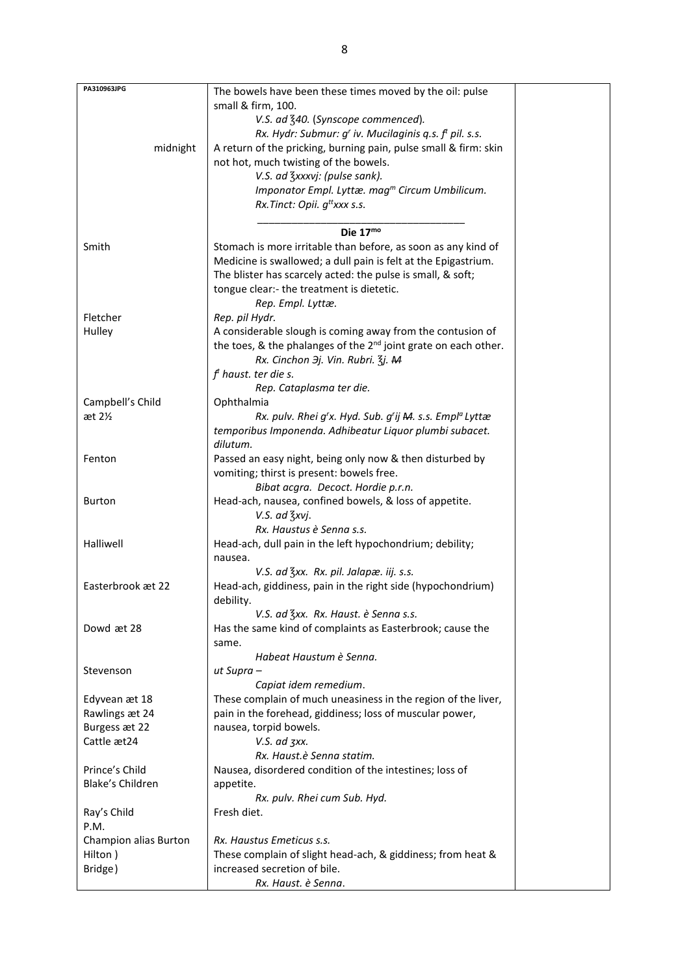| PA310963JPG           | The bowels have been these times moved by the oil: pulse                    |  |
|-----------------------|-----------------------------------------------------------------------------|--|
|                       | small & firm, 100.                                                          |  |
|                       |                                                                             |  |
|                       | V.S. ad 340. (Synscope commenced).                                          |  |
|                       | Rx. Hydr: Submur: $gr$ iv. Mucilaginis q.s. $ft$ pil. s.s.                  |  |
| midnight              | A return of the pricking, burning pain, pulse small & firm: skin            |  |
|                       | not hot, much twisting of the bowels.                                       |  |
|                       | V.S. ad 3xxxvj: (pulse sank).                                               |  |
|                       | Imponator Empl. Lyttæ. mag <sup>m</sup> Circum Umbilicum.                   |  |
|                       | Rx. Tinct: Opii. $q^{tt}$ xxx s.s.                                          |  |
|                       |                                                                             |  |
|                       | Die $17mo$                                                                  |  |
| Smith                 | Stomach is more irritable than before, as soon as any kind of               |  |
|                       | Medicine is swallowed; a dull pain is felt at the Epigastrium.              |  |
|                       | The blister has scarcely acted: the pulse is small, & soft;                 |  |
|                       | tongue clear:- the treatment is dietetic.                                   |  |
|                       | Rep. Empl. Lyttæ.                                                           |  |
| Fletcher              |                                                                             |  |
|                       | Rep. pil Hydr.                                                              |  |
| Hulley                | A considerable slough is coming away from the contusion of                  |  |
|                       | the toes, & the phalanges of the 2 <sup>nd</sup> joint grate on each other. |  |
|                       | Rx. Cinchon <i>Эj. Vin. Rubri.</i> 3j. M                                    |  |
|                       | $ft$ haust. ter die s.                                                      |  |
|                       | Rep. Cataplasma ter die.                                                    |  |
| Campbell's Child      | Ophthalmia                                                                  |  |
| æt 2 <sub>2</sub>     | Rx. pulv. Rhei g'x. Hyd. Sub. g'ij M. s.s. Empl <sup>a</sup> Lyttæ          |  |
|                       | temporibus Imponenda. Adhibeatur Liquor plumbi subacet.                     |  |
|                       | dilutum.                                                                    |  |
| Fenton                | Passed an easy night, being only now & then disturbed by                    |  |
|                       | vomiting; thirst is present: bowels free.                                   |  |
|                       | Bibat acgra. Decoct. Hordie p.r.n.                                          |  |
|                       |                                                                             |  |
| <b>Burton</b>         | Head-ach, nausea, confined bowels, & loss of appetite.                      |  |
|                       | V.S. ad 3xvj.                                                               |  |
|                       | Rx. Haustus è Senna s.s.                                                    |  |
| Halliwell             | Head-ach, dull pain in the left hypochondrium; debility;                    |  |
|                       | nausea.                                                                     |  |
|                       | V.S. ad 3xx. Rx. pil. Jalapæ. iij. s.s.                                     |  |
| Easterbrook æt 22     | Head-ach, giddiness, pain in the right side (hypochondrium)                 |  |
|                       | debility.                                                                   |  |
|                       | V.S. ad Zxx. Rx. Haust. è Senna s.s.                                        |  |
| Dowd æt 28            | Has the same kind of complaints as Easterbrook; cause the                   |  |
|                       | same.                                                                       |  |
|                       | Habeat Haustum è Senna.                                                     |  |
| Stevenson             | ut Supra –                                                                  |  |
|                       | Capiat idem remedium.                                                       |  |
|                       |                                                                             |  |
| Edyvean æt 18         | These complain of much uneasiness in the region of the liver,               |  |
| Rawlings æt 24        | pain in the forehead, giddiness; loss of muscular power,                    |  |
| Burgess æt 22         | nausea, torpid bowels.                                                      |  |
| Cattle æt24           | V.S. ad zxx.                                                                |  |
|                       | Rx. Haust.è Senna statim.                                                   |  |
| Prince's Child        | Nausea, disordered condition of the intestines; loss of                     |  |
| Blake's Children      | appetite.                                                                   |  |
|                       | Rx. pulv. Rhei cum Sub. Hyd.                                                |  |
| Ray's Child           | Fresh diet.                                                                 |  |
| P.M.                  |                                                                             |  |
| Champion alias Burton | Rx. Haustus Emeticus s.s.                                                   |  |
| Hilton)               | These complain of slight head-ach, & giddiness; from heat &                 |  |
| Bridge)               | increased secretion of bile.                                                |  |
|                       | Rx. Haust. è Senna.                                                         |  |
|                       |                                                                             |  |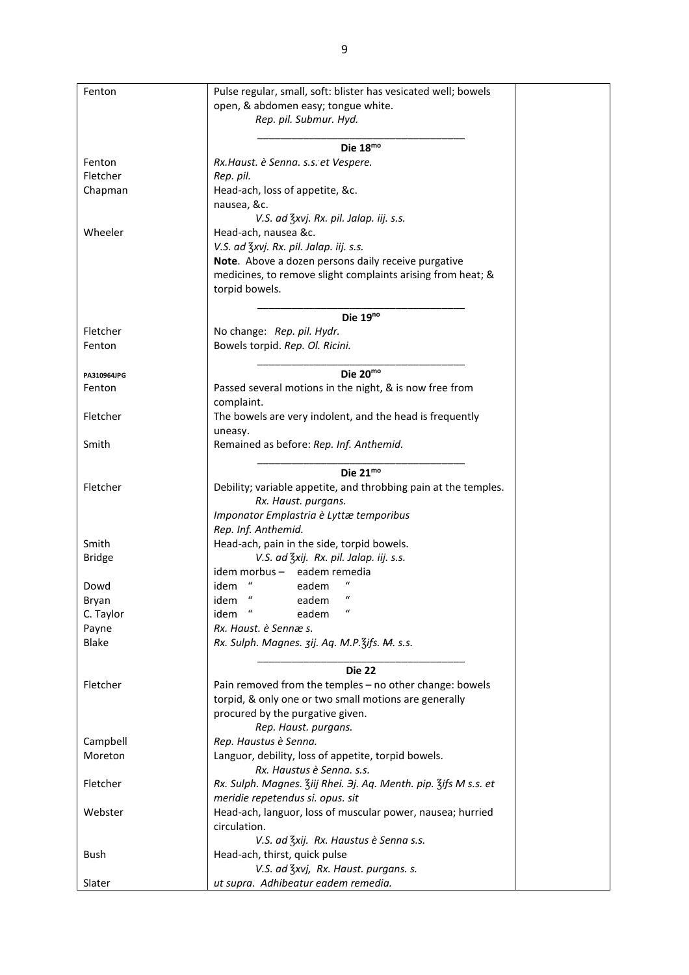| Fenton        | Pulse regular, small, soft: blister has vesicated well; bowels   |
|---------------|------------------------------------------------------------------|
|               | open, & abdomen easy; tongue white.                              |
|               | Rep. pil. Submur. Hyd.                                           |
|               |                                                                  |
|               | Die 18mo                                                         |
| Fenton        | Rx.Haust. è Senna. s.s. et Vespere.                              |
|               |                                                                  |
| Fletcher      | Rep. pil.                                                        |
| Chapman       | Head-ach, loss of appetite, &c.                                  |
|               | nausea, &c.                                                      |
|               | V.S. ad 3xvj. Rx. pil. Jalap. iij. s.s.                          |
| Wheeler       | Head-ach, nausea &c.                                             |
|               | V.S. ad 3xvj. Rx. pil. Jalap. iij. s.s.                          |
|               |                                                                  |
|               | Note. Above a dozen persons daily receive purgative              |
|               | medicines, to remove slight complaints arising from heat; &      |
|               | torpid bowels.                                                   |
|               |                                                                  |
|               | Die 19 <sup>no</sup>                                             |
| Fletcher      | No change: Rep. pil. Hydr.                                       |
| Fenton        | Bowels torpid. Rep. Ol. Ricini.                                  |
|               |                                                                  |
|               |                                                                  |
| PA310964JPG   | Die 20mo                                                         |
| Fenton        | Passed several motions in the night, & is now free from          |
|               | complaint.                                                       |
| Fletcher      | The bowels are very indolent, and the head is frequently         |
|               |                                                                  |
|               | uneasy.                                                          |
| Smith         | Remained as before: Rep. Inf. Anthemid.                          |
|               |                                                                  |
|               | Die 21mo                                                         |
| Fletcher      | Debility; variable appetite, and throbbing pain at the temples.  |
|               | Rx. Haust. purgans.                                              |
|               |                                                                  |
|               | Imponator Emplastria è Lyttæ temporibus                          |
|               | Rep. Inf. Anthemid.                                              |
| Smith         | Head-ach, pain in the side, torpid bowels.                       |
| <b>Bridge</b> | V.S. ad Zxij. Rx. pil. Jalap. iij. s.s.                          |
|               | eadem remedia<br>idem morbus –                                   |
| Dowd          | $\iota$<br>eadem<br>idem                                         |
|               |                                                                  |
| Bryan         | eadem<br>idem                                                    |
| C. Taylor     | idem "<br>$\boldsymbol{\mathcal{U}}$<br>eadem                    |
| Payne         | Rx. Haust. è Sennæ s.                                            |
| Blake         | Rx. Sulph. Magnes. 3ij. Aq. M.P. 3ifs. M. s.s.                   |
|               |                                                                  |
|               | <b>Die 22</b>                                                    |
|               |                                                                  |
| Fletcher      | Pain removed from the temples - no other change: bowels          |
|               | torpid, & only one or two small motions are generally            |
|               | procured by the purgative given.                                 |
|               | Rep. Haust. purgans.                                             |
| Campbell      | Rep. Haustus è Senna.                                            |
| Moreton       | Languor, debility, loss of appetite, torpid bowels.              |
|               |                                                                  |
|               | Rx. Haustus è Senna. s.s.                                        |
| Fletcher      | Rx. Sulph. Magnes. Ziij Rhei. 3j. Aq. Menth. pip. Zifs M s.s. et |
|               | meridie repetendus si. opus. sit                                 |
| Webster       | Head-ach, languor, loss of muscular power, nausea; hurried       |
|               | circulation.                                                     |
|               |                                                                  |
|               | V.S. ad Zxij. Rx. Haustus è Senna s.s.                           |
| Bush          | Head-ach, thirst, quick pulse                                    |
|               | V.S. ad 3xvj, Rx. Haust. purgans. s.                             |
| Slater        | ut supra. Adhibeatur eadem remedia.                              |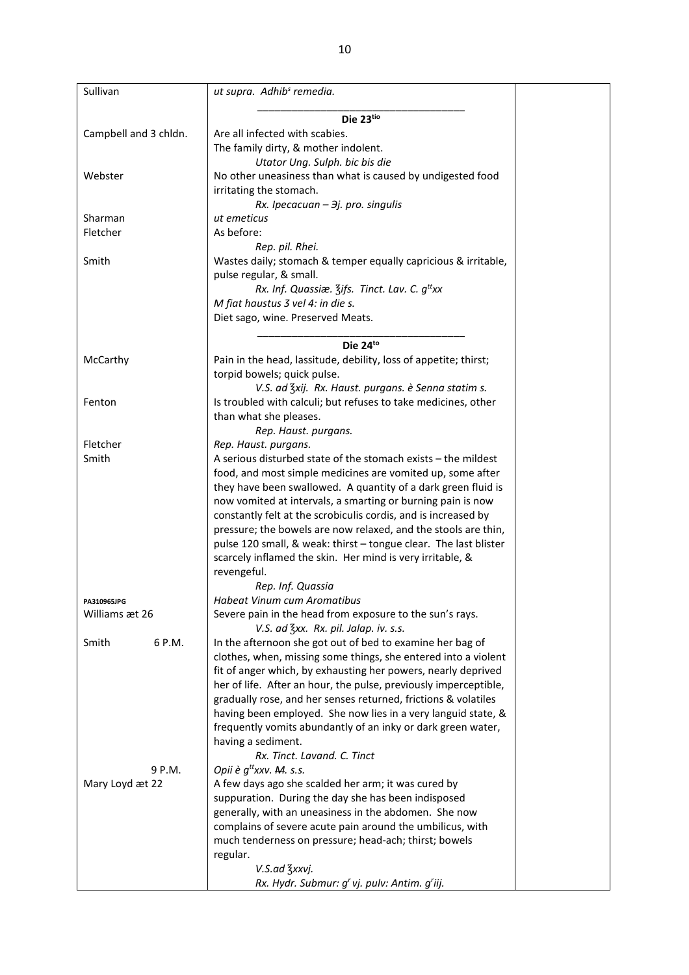| Sullivan              | ut supra. Adhib <sup>s</sup> remedia.                                                                                           |  |
|-----------------------|---------------------------------------------------------------------------------------------------------------------------------|--|
|                       |                                                                                                                                 |  |
|                       | Die 23tio                                                                                                                       |  |
| Campbell and 3 chldn. | Are all infected with scabies.<br>The family dirty, & mother indolent.                                                          |  |
|                       | Utator Ung. Sulph. bic bis die                                                                                                  |  |
| Webster               | No other uneasiness than what is caused by undigested food                                                                      |  |
|                       | irritating the stomach.                                                                                                         |  |
|                       | Rx. Ipecacuan - 3j. pro. singulis                                                                                               |  |
| Sharman               | ut emeticus                                                                                                                     |  |
| Fletcher              | As before:                                                                                                                      |  |
|                       | Rep. pil. Rhei.                                                                                                                 |  |
| Smith                 | Wastes daily; stomach & temper equally capricious & irritable,                                                                  |  |
|                       | pulse regular, & small.                                                                                                         |  |
|                       | Rx. Inf. Quassiæ. 3ifs. Tinct. Lav. C. g <sup>tt</sup> xx                                                                       |  |
|                       | M fiat haustus 3 vel 4: in die s.                                                                                               |  |
|                       | Diet sago, wine. Preserved Meats.                                                                                               |  |
|                       |                                                                                                                                 |  |
|                       | Die 24to                                                                                                                        |  |
| McCarthy              | Pain in the head, lassitude, debility, loss of appetite; thirst;                                                                |  |
|                       | torpid bowels; quick pulse.                                                                                                     |  |
|                       | V.S. ad Zxij. Rx. Haust. purgans. è Senna statim s.                                                                             |  |
| Fenton                | Is troubled with calculi; but refuses to take medicines, other                                                                  |  |
|                       | than what she pleases.                                                                                                          |  |
|                       | Rep. Haust. purgans.                                                                                                            |  |
| Fletcher              | Rep. Haust. purgans.                                                                                                            |  |
| Smith                 | A serious disturbed state of the stomach exists - the mildest                                                                   |  |
|                       | food, and most simple medicines are vomited up, some after                                                                      |  |
|                       | they have been swallowed. A quantity of a dark green fluid is                                                                   |  |
|                       | now vomited at intervals, a smarting or burning pain is now                                                                     |  |
|                       | constantly felt at the scrobiculis cordis, and is increased by                                                                  |  |
|                       | pressure; the bowels are now relaxed, and the stools are thin,                                                                  |  |
|                       | pulse 120 small, & weak: thirst - tongue clear. The last blister                                                                |  |
|                       | scarcely inflamed the skin. Her mind is very irritable, &                                                                       |  |
|                       | revengeful.                                                                                                                     |  |
|                       | Rep. Inf. Quassia                                                                                                               |  |
| PA310965JPG           | Habeat Vinum cum Aromatibus                                                                                                     |  |
| Williams æt 26        | Severe pain in the head from exposure to the sun's rays.                                                                        |  |
|                       | V.S. ad 3xx. Rx. pil. Jalap. iv. s.s.                                                                                           |  |
| 6 P.M.<br>Smith       | In the afternoon she got out of bed to examine her bag of                                                                       |  |
|                       | clothes, when, missing some things, she entered into a violent<br>fit of anger which, by exhausting her powers, nearly deprived |  |
|                       | her of life. After an hour, the pulse, previously imperceptible,                                                                |  |
|                       | gradually rose, and her senses returned, frictions & volatiles                                                                  |  |
|                       | having been employed. She now lies in a very languid state, &                                                                   |  |
|                       | frequently vomits abundantly of an inky or dark green water,                                                                    |  |
|                       | having a sediment.                                                                                                              |  |
|                       | Rx. Tinct. Lavand. C. Tinct                                                                                                     |  |
| 9 P.M.                | Opii è $q^{\text{tt}}$ xxv. M. s.s.                                                                                             |  |
| Mary Loyd æt 22       | A few days ago she scalded her arm; it was cured by                                                                             |  |
|                       | suppuration. During the day she has been indisposed                                                                             |  |
|                       | generally, with an uneasiness in the abdomen. She now                                                                           |  |
|                       | complains of severe acute pain around the umbilicus, with                                                                       |  |
|                       | much tenderness on pressure; head-ach; thirst; bowels                                                                           |  |
|                       | regular.                                                                                                                        |  |
|                       | V.S.ad 3xxvj.                                                                                                                   |  |
|                       | Rx. Hydr. Submur: q' vi. pulv: Antim. q'iij.                                                                                    |  |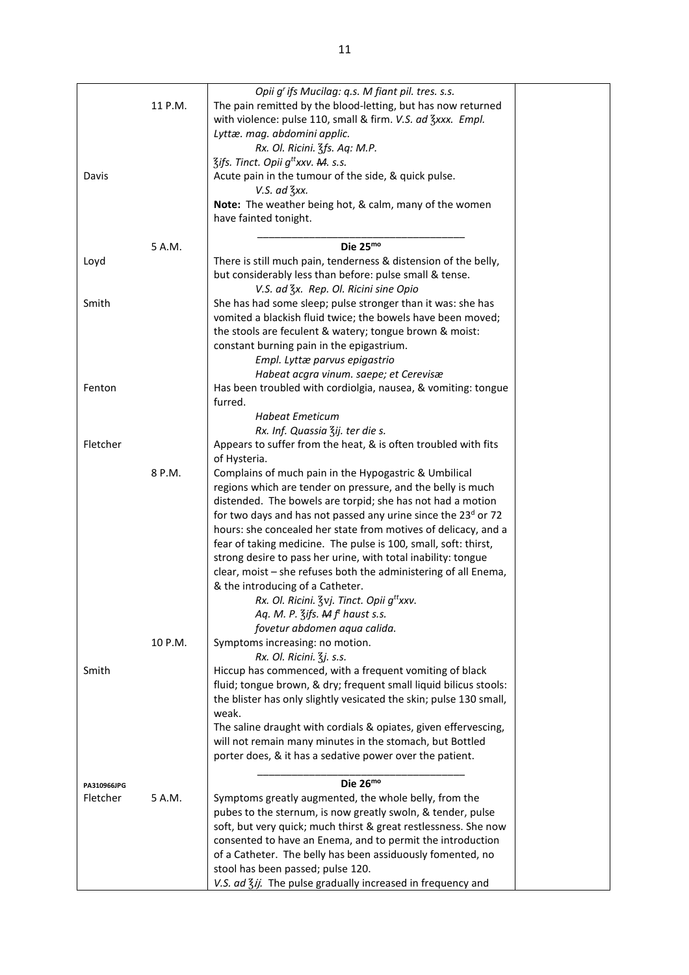|             |         | Opii g' ifs Mucilag: q.s. M fiant pil. tres. s.s.                         |  |
|-------------|---------|---------------------------------------------------------------------------|--|
|             | 11 P.M. | The pain remitted by the blood-letting, but has now returned              |  |
|             |         | with violence: pulse 110, small & firm. V.S. ad 3xxx. Empl.               |  |
|             |         | Lyttæ. mag. abdomini applic.                                              |  |
|             |         | Rx. Ol. Ricini. 3fs. Aq: M.P.                                             |  |
|             |         | <b>Zifs. Tinct. Opii g<sup>tt</sup>xxv. M. s.s.</b>                       |  |
| Davis       |         | Acute pain in the tumour of the side, & quick pulse.                      |  |
|             |         | $V.S.$ ad $\frac{7}{5}xx.$                                                |  |
|             |         | Note: The weather being hot, & calm, many of the women                    |  |
|             |         | have fainted tonight.                                                     |  |
|             |         |                                                                           |  |
|             | 5 A.M.  | Die 25mo                                                                  |  |
| Loyd        |         | There is still much pain, tenderness & distension of the belly,           |  |
|             |         | but considerably less than before: pulse small & tense.                   |  |
|             |         |                                                                           |  |
|             |         | V.S. ad 3x. Rep. Ol. Ricini sine Opio                                     |  |
| Smith       |         | She has had some sleep; pulse stronger than it was: she has               |  |
|             |         | vomited a blackish fluid twice; the bowels have been moved;               |  |
|             |         | the stools are feculent & watery; tongue brown & moist:                   |  |
|             |         | constant burning pain in the epigastrium.                                 |  |
|             |         | Empl. Lyttæ parvus epigastrio                                             |  |
|             |         | Habeat acgra vinum. saepe; et Cerevisæ                                    |  |
| Fenton      |         | Has been troubled with cordiolgia, nausea, & vomiting: tongue             |  |
|             |         | furred.                                                                   |  |
|             |         | <b>Habeat Emeticum</b>                                                    |  |
|             |         | Rx. Inf. Quassia Zij. ter die s.                                          |  |
| Fletcher    |         | Appears to suffer from the heat, & is often troubled with fits            |  |
|             |         | of Hysteria.                                                              |  |
|             | 8 P.M.  | Complains of much pain in the Hypogastric & Umbilical                     |  |
|             |         | regions which are tender on pressure, and the belly is much               |  |
|             |         | distended. The bowels are torpid; she has not had a motion                |  |
|             |         | for two days and has not passed any urine since the 23 <sup>d</sup> or 72 |  |
|             |         | hours: she concealed her state from motives of delicacy, and a            |  |
|             |         | fear of taking medicine. The pulse is 100, small, soft: thirst,           |  |
|             |         | strong desire to pass her urine, with total inability: tongue             |  |
|             |         |                                                                           |  |
|             |         | clear, moist - she refuses both the administering of all Enema,           |  |
|             |         | & the introducing of a Catheter.                                          |  |
|             |         | Rx. Ol. Ricini. <i>Zvj. Tinct. Opii g<sup>tt</sup>xxv</i> .               |  |
|             |         | Aq. M. P. $\frac{2}{3}$ ifs. A f <sup>t</sup> haust s.s.                  |  |
|             |         | fovetur abdomen aqua calida.                                              |  |
|             | 10 P.M. | Symptoms increasing: no motion.                                           |  |
|             |         | Rx. Ol. Ricini. 3j. s.s.                                                  |  |
| Smith       |         | Hiccup has commenced, with a frequent vomiting of black                   |  |
|             |         | fluid; tongue brown, & dry; frequent small liquid bilicus stools:         |  |
|             |         | the blister has only slightly vesicated the skin; pulse 130 small,        |  |
|             |         | weak.                                                                     |  |
|             |         | The saline draught with cordials & opiates, given effervescing,           |  |
|             |         | will not remain many minutes in the stomach, but Bottled                  |  |
|             |         | porter does, & it has a sedative power over the patient.                  |  |
|             |         |                                                                           |  |
| PA310966JPG |         | Die $26^{mo}$                                                             |  |
| Fletcher    | 5 A.M.  | Symptoms greatly augmented, the whole belly, from the                     |  |
|             |         | pubes to the sternum, is now greatly swoln, & tender, pulse               |  |
|             |         | soft, but very quick; much thirst & great restlessness. She now           |  |
|             |         | consented to have an Enema, and to permit the introduction                |  |
|             |         | of a Catheter. The belly has been assiduously fomented, no                |  |
|             |         | stool has been passed; pulse 120.                                         |  |
|             |         | V.S. ad 3ij. The pulse gradually increased in frequency and               |  |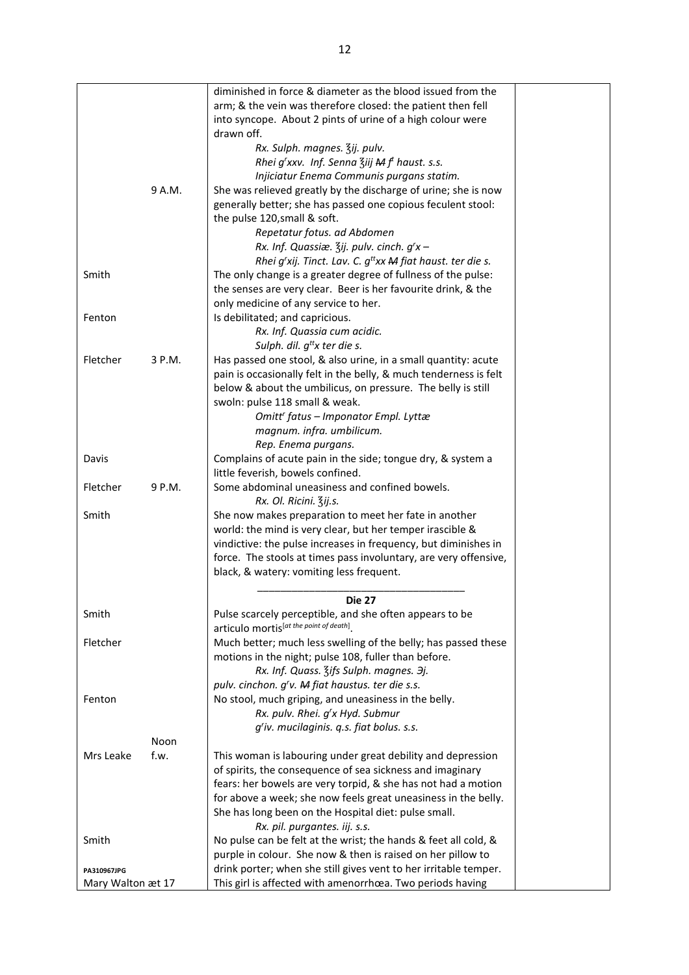|                   |        | diminished in force & diameter as the blood issued from the           |  |
|-------------------|--------|-----------------------------------------------------------------------|--|
|                   |        | arm; & the vein was therefore closed: the patient then fell           |  |
|                   |        | into syncope. About 2 pints of urine of a high colour were            |  |
|                   |        | drawn off.                                                            |  |
|                   |        | Rx. Sulph. magnes. 3ij. pulv.                                         |  |
|                   |        |                                                                       |  |
|                   |        | Rhei g'xxv. Inf. Senna Ziij M f <sup>t</sup> haust. s.s.              |  |
|                   |        | Injiciatur Enema Communis purgans statim.                             |  |
|                   | 9 A.M. | She was relieved greatly by the discharge of urine; she is now        |  |
|                   |        | generally better; she has passed one copious feculent stool:          |  |
|                   |        | the pulse 120, small & soft.                                          |  |
|                   |        | Repetatur fotus. ad Abdomen                                           |  |
|                   |        | Rx. Inf. Quassiæ. $\frac{2}{3}$ ij. pulv. cinch. $g'x -$              |  |
|                   |        | Rhei g'xij. Tinct. Lav. C. $g^{tt}xx$ <b>M</b> fiat haust. ter die s. |  |
| Smith             |        | The only change is a greater degree of fullness of the pulse:         |  |
|                   |        | the senses are very clear. Beer is her favourite drink, & the         |  |
|                   |        |                                                                       |  |
|                   |        | only medicine of any service to her.                                  |  |
| Fenton            |        | Is debilitated; and capricious.                                       |  |
|                   |        | Rx. Inf. Quassia cum acidic.                                          |  |
|                   |        | Sulph. dil. $g^{tt}x$ ter die s.                                      |  |
| Fletcher          | 3 P.M. | Has passed one stool, & also urine, in a small quantity: acute        |  |
|                   |        | pain is occasionally felt in the belly, & much tenderness is felt     |  |
|                   |        | below & about the umbilicus, on pressure. The belly is still          |  |
|                   |        | swoln: pulse 118 small & weak.                                        |  |
|                   |        | Omitt' fatus - Imponator Empl. Lyttæ                                  |  |
|                   |        | magnum. infra. umbilicum.                                             |  |
|                   |        | Rep. Enema purgans.                                                   |  |
|                   |        |                                                                       |  |
| Davis             |        | Complains of acute pain in the side; tongue dry, & system a           |  |
|                   |        | little feverish, bowels confined.                                     |  |
| Fletcher          | 9 P.M. | Some abdominal uneasiness and confined bowels.                        |  |
|                   |        | Rx. Ol. Ricini. Zij.s.                                                |  |
| Smith             |        | She now makes preparation to meet her fate in another                 |  |
|                   |        | world: the mind is very clear, but her temper irascible &             |  |
|                   |        | vindictive: the pulse increases in frequency, but diminishes in       |  |
|                   |        | force. The stools at times pass involuntary, are very offensive,      |  |
|                   |        | black, & watery: vomiting less frequent.                              |  |
|                   |        |                                                                       |  |
|                   |        | Die 27                                                                |  |
| Smith             |        | Pulse scarcely perceptible, and she often appears to be               |  |
|                   |        | articulo mortis <sup>lat the point of death]</sup> .                  |  |
|                   |        |                                                                       |  |
| Fletcher          |        | Much better; much less swelling of the belly; has passed these        |  |
|                   |        | motions in the night; pulse 108, fuller than before.                  |  |
|                   |        | Rx. Inf. Quass. Zifs Sulph. magnes. 3j.                               |  |
|                   |        | pulv. cinchon. g'v. M fiat haustus. ter die s.s.                      |  |
| Fenton            |        | No stool, much griping, and uneasiness in the belly.                  |  |
|                   |        | Rx. pulv. Rhei. g'x Hyd. Submur                                       |  |
|                   |        | g'iv. mucilaginis. q.s. fiat bolus. s.s.                              |  |
|                   | Noon   |                                                                       |  |
| Mrs Leake         | f.w.   | This woman is labouring under great debility and depression           |  |
|                   |        |                                                                       |  |
|                   |        | of spirits, the consequence of sea sickness and imaginary             |  |
|                   |        | fears: her bowels are very torpid, & she has not had a motion         |  |
|                   |        | for above a week; she now feels great uneasiness in the belly.        |  |
|                   |        | She has long been on the Hospital diet: pulse small.                  |  |
|                   |        | Rx. pil. purgantes. iij. s.s.                                         |  |
| Smith             |        | No pulse can be felt at the wrist; the hands & feet all cold, &       |  |
|                   |        | purple in colour. She now & then is raised on her pillow to           |  |
| PA310967JPG       |        | drink porter; when she still gives vent to her irritable temper.      |  |
| Mary Walton æt 17 |        | This girl is affected with amenorrhœa. Two periods having             |  |
|                   |        |                                                                       |  |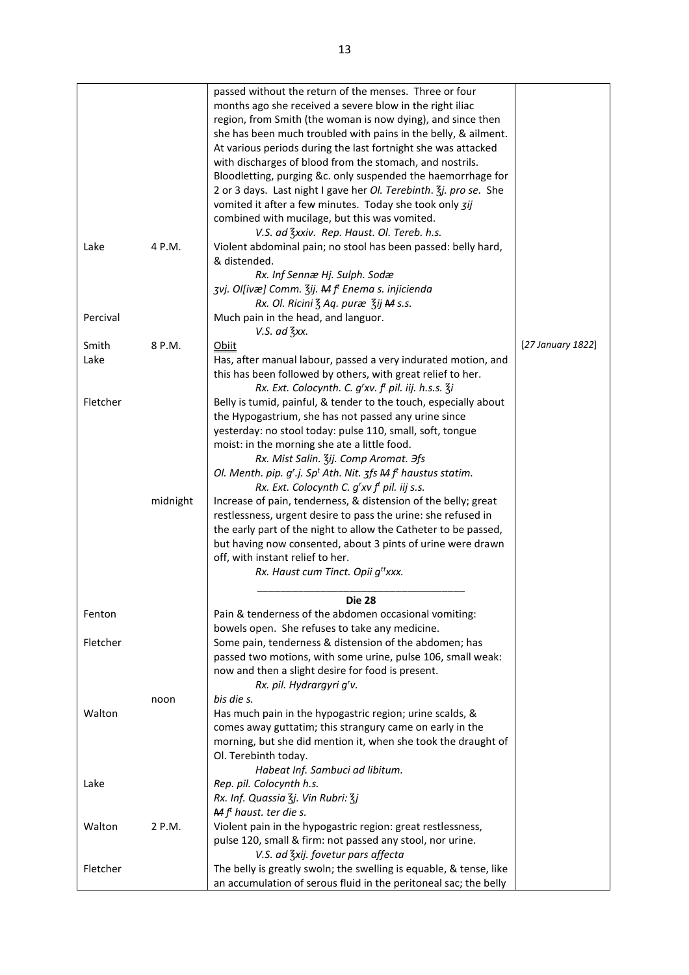|               |          | passed without the return of the menses. Three or four<br>months ago she received a severe blow in the right iliac<br>region, from Smith (the woman is now dying), and since then<br>she has been much troubled with pains in the belly, & ailment.<br>At various periods during the last fortnight she was attacked<br>with discharges of blood from the stomach, and nostrils.<br>Bloodletting, purging &c. only suspended the haemorrhage for<br>2 or 3 days. Last night I gave her Ol. Terebinth. 3j. pro se. She<br>vomited it after a few minutes. Today she took only zij<br>combined with mucilage, but this was vomited.<br>V.S. ad 3xxiv. Rep. Haust. Ol. Tereb. h.s. |                   |
|---------------|----------|---------------------------------------------------------------------------------------------------------------------------------------------------------------------------------------------------------------------------------------------------------------------------------------------------------------------------------------------------------------------------------------------------------------------------------------------------------------------------------------------------------------------------------------------------------------------------------------------------------------------------------------------------------------------------------|-------------------|
| Lake          | 4 P.M.   | Violent abdominal pain; no stool has been passed: belly hard,<br>& distended.<br>Rx. Inf Sennæ Hj. Sulph. Sodæ<br>zvj. Ol[ivæ] Comm. Zij. M f <sup>t</sup> Enema s. injicienda                                                                                                                                                                                                                                                                                                                                                                                                                                                                                                  |                   |
| Percival      |          | Rx. Ol. Ricini 3 Aq. puræ 3ij M s.s.<br>Much pain in the head, and languor.<br>V.S. ad 3xx.                                                                                                                                                                                                                                                                                                                                                                                                                                                                                                                                                                                     |                   |
| Smith<br>Lake | 8 P.M.   | Obiit<br>Has, after manual labour, passed a very indurated motion, and<br>this has been followed by others, with great relief to her.<br>Rx. Ext. Colocynth. C. g'xv. f <sup>t</sup> pil. iij. h.s.s. $\overline{3}$ i                                                                                                                                                                                                                                                                                                                                                                                                                                                          | [27 January 1822] |
| Fletcher      | midnight | Belly is tumid, painful, & tender to the touch, especially about<br>the Hypogastrium, she has not passed any urine since<br>yesterday: no stool today: pulse 110, small, soft, tongue<br>moist: in the morning she ate a little food.<br>Rx. Mist Salin. Zij. Comp Aromat. Hfs<br>Ol. Menth. pip. $g^r$ .j. Sp <sup>t</sup> Ath. Nit. $\zeta f$ s M $f^t$ haustus statim.<br>Rx. Ext. Colocynth C. $g'xv f'$ pil. iij s.s.<br>Increase of pain, tenderness, & distension of the belly; great                                                                                                                                                                                    |                   |
|               |          | restlessness, urgent desire to pass the urine: she refused in<br>the early part of the night to allow the Catheter to be passed,<br>but having now consented, about 3 pints of urine were drawn<br>off, with instant relief to her.<br>Rx. Haust cum Tinct. Opii g <sup>tt</sup> xxx.                                                                                                                                                                                                                                                                                                                                                                                           |                   |
| Fenton        |          | <b>Die 28</b><br>Pain & tenderness of the abdomen occasional vomiting:<br>bowels open. She refuses to take any medicine.                                                                                                                                                                                                                                                                                                                                                                                                                                                                                                                                                        |                   |
| Fletcher      |          | Some pain, tenderness & distension of the abdomen; has<br>passed two motions, with some urine, pulse 106, small weak:<br>now and then a slight desire for food is present.<br>Rx. pil. Hydrargyri g'v.                                                                                                                                                                                                                                                                                                                                                                                                                                                                          |                   |
| Walton        | noon     | bis die s.<br>Has much pain in the hypogastric region; urine scalds, &<br>comes away guttatim; this strangury came on early in the<br>morning, but she did mention it, when she took the draught of<br>Ol. Terebinth today.<br>Habeat Inf. Sambuci ad libitum.                                                                                                                                                                                                                                                                                                                                                                                                                  |                   |
| Lake          |          | Rep. pil. Colocynth h.s.<br>Rx. Inf. Quassia 3j. Vin Rubri: 3j                                                                                                                                                                                                                                                                                                                                                                                                                                                                                                                                                                                                                  |                   |
| Walton        | 2 P.M.   | $M ft$ haust. ter die s.<br>Violent pain in the hypogastric region: great restlessness,<br>pulse 120, small & firm: not passed any stool, nor urine.<br>V.S. ad Zxij. fovetur pars affecta                                                                                                                                                                                                                                                                                                                                                                                                                                                                                      |                   |
| Fletcher      |          | The belly is greatly swoln; the swelling is equable, & tense, like<br>an accumulation of serous fluid in the peritoneal sac; the belly                                                                                                                                                                                                                                                                                                                                                                                                                                                                                                                                          |                   |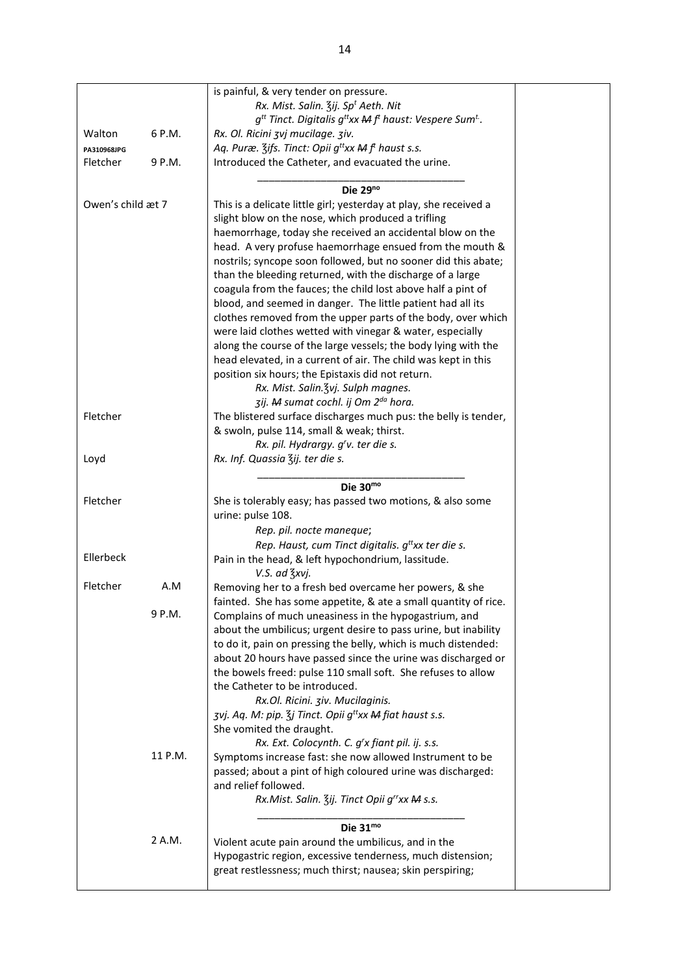|                   |         | is painful, & very tender on pressure.                                                   |  |
|-------------------|---------|------------------------------------------------------------------------------------------|--|
|                   |         | Rx. Mist. Salin. 3ij. Sp <sup>t</sup> Aeth. Nit                                          |  |
|                   |         | $g^{tt}$ Tinct. Digitalis $g^{tt}xx$ M $f^{t}$ haust: Vespere Sum <sup>t</sup> .         |  |
| Walton            | 6 P.M.  | Rx. Ol. Ricini zvj mucilage. ziv.                                                        |  |
| PA310968JPG       |         | Aq. Puræ. $\zeta$ ifs. Tinct: Opii g <sup>tt</sup> xx <b>M</b> f <sup>t</sup> haust s.s. |  |
| Fletcher          | 9 P.M.  | Introduced the Catheter, and evacuated the urine.                                        |  |
|                   |         |                                                                                          |  |
|                   |         | Die $29^{no}$                                                                            |  |
| Owen's child æt 7 |         | This is a delicate little girl; yesterday at play, she received a                        |  |
|                   |         | slight blow on the nose, which produced a trifling                                       |  |
|                   |         | haemorrhage, today she received an accidental blow on the                                |  |
|                   |         | head. A very profuse haemorrhage ensued from the mouth &                                 |  |
|                   |         | nostrils; syncope soon followed, but no sooner did this abate;                           |  |
|                   |         | than the bleeding returned, with the discharge of a large                                |  |
|                   |         | coagula from the fauces; the child lost above half a pint of                             |  |
|                   |         | blood, and seemed in danger. The little patient had all its                              |  |
|                   |         | clothes removed from the upper parts of the body, over which                             |  |
|                   |         | were laid clothes wetted with vinegar & water, especially                                |  |
|                   |         | along the course of the large vessels; the body lying with the                           |  |
|                   |         | head elevated, in a current of air. The child was kept in this                           |  |
|                   |         | position six hours; the Epistaxis did not return.                                        |  |
|                   |         | Rx. Mist. Salin. 3vj. Sulph magnes.                                                      |  |
|                   |         | zij. M sumat cochl. ij Om 2 <sup>da</sup> hora.                                          |  |
| Fletcher          |         | The blistered surface discharges much pus: the belly is tender,                          |  |
|                   |         | & swoln, pulse 114, small & weak; thirst.                                                |  |
|                   |         | Rx. pil. Hydrargy. g'v. ter die s.                                                       |  |
| Loyd              |         | Rx. Inf. Quassia Zij. ter die s.                                                         |  |
|                   |         |                                                                                          |  |
|                   |         | Die $30^{\text{mo}}$                                                                     |  |
| Fletcher          |         | She is tolerably easy; has passed two motions, & also some                               |  |
|                   |         | urine: pulse 108.                                                                        |  |
|                   |         | Rep. pil. nocte maneque;                                                                 |  |
|                   |         | Rep. Haust, cum Tinct digitalis. $g^{tt}$ xx ter die s.                                  |  |
| Ellerbeck         |         | Pain in the head, & left hypochondrium, lassitude.                                       |  |
|                   |         | V.S. ad 3xvj.                                                                            |  |
| Fletcher          | A.M     | Removing her to a fresh bed overcame her powers, & she                                   |  |
|                   |         | fainted. She has some appetite, & ate a small quantity of rice.                          |  |
|                   | 9 P.M.  | Complains of much uneasiness in the hypogastrium, and                                    |  |
|                   |         | about the umbilicus; urgent desire to pass urine, but inability                          |  |
|                   |         | to do it, pain on pressing the belly, which is much distended:                           |  |
|                   |         | about 20 hours have passed since the urine was discharged or                             |  |
|                   |         | the bowels freed: pulse 110 small soft. She refuses to allow                             |  |
|                   |         | the Catheter to be introduced.                                                           |  |
|                   |         | Rx.Ol. Ricini. ziv. Mucilaginis.                                                         |  |
|                   |         | zvj. Aq. M: pip. $\zeta$ j Tinct. Opii g <sup>tt</sup> xx M fiat haust s.s.              |  |
|                   |         | She vomited the draught.                                                                 |  |
|                   |         | Rx. Ext. Colocynth. C. g'x fiant pil. ij. s.s.                                           |  |
|                   | 11 P.M. | Symptoms increase fast: she now allowed Instrument to be                                 |  |
|                   |         | passed; about a pint of high coloured urine was discharged:                              |  |
|                   |         | and relief followed.                                                                     |  |
|                   |         | Rx.Mist. Salin. Zij. Tinct Opii g"xx M s.s.                                              |  |
|                   |         | Die 31mo                                                                                 |  |
|                   | 2 A.M.  | Violent acute pain around the umbilicus, and in the                                      |  |
|                   |         | Hypogastric region, excessive tenderness, much distension;                               |  |
|                   |         | great restlessness; much thirst; nausea; skin perspiring;                                |  |
|                   |         |                                                                                          |  |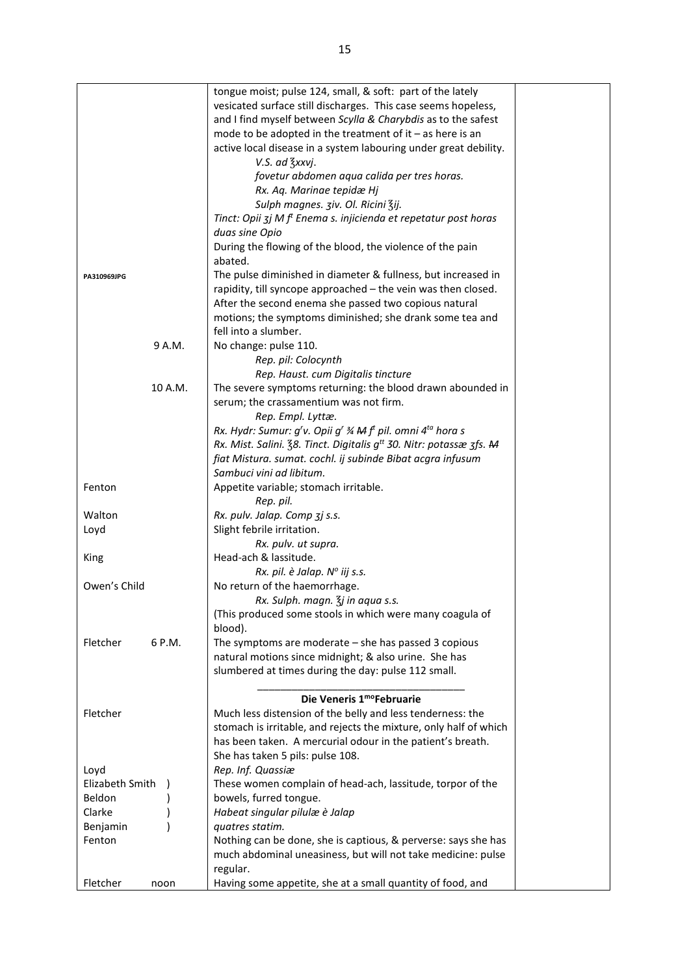|                    | tongue moist; pulse 124, small, & soft: part of the lately                      |  |
|--------------------|---------------------------------------------------------------------------------|--|
|                    |                                                                                 |  |
|                    | vesicated surface still discharges. This case seems hopeless,                   |  |
|                    | and I find myself between Scylla & Charybdis as to the safest                   |  |
|                    | mode to be adopted in the treatment of it $-$ as here is an                     |  |
|                    | active local disease in a system labouring under great debility.                |  |
|                    |                                                                                 |  |
|                    | V.S. ad 3xxvj.                                                                  |  |
|                    | fovetur abdomen aqua calida per tres horas.                                     |  |
|                    | Rx. Aq. Marinae tepidæ Hj                                                       |  |
|                    | Sulph magnes. ziv. Ol. Ricini Zij.                                              |  |
|                    | Tinct: Opii 3j M f <sup>t</sup> Enema s. injicienda et repetatur post horas     |  |
|                    |                                                                                 |  |
|                    | duas sine Opio                                                                  |  |
|                    | During the flowing of the blood, the violence of the pain                       |  |
|                    | abated.                                                                         |  |
| PA310969JPG        | The pulse diminished in diameter & fullness, but increased in                   |  |
|                    | rapidity, till syncope approached - the vein was then closed.                   |  |
|                    |                                                                                 |  |
|                    | After the second enema she passed two copious natural                           |  |
|                    | motions; the symptoms diminished; she drank some tea and                        |  |
|                    | fell into a slumber.                                                            |  |
| 9 A.M.             | No change: pulse 110.                                                           |  |
|                    | Rep. pil: Colocynth                                                             |  |
|                    | Rep. Haust. cum Digitalis tincture                                              |  |
|                    |                                                                                 |  |
| 10 A.M.            | The severe symptoms returning: the blood drawn abounded in                      |  |
|                    | serum; the crassamentium was not firm.                                          |  |
|                    | Rep. Empl. Lyttæ.                                                               |  |
|                    | Rx. Hydr: Sumur: g'v. Opii g' ¾ M f' pil. omni 4 <sup>ta</sup> hora s           |  |
|                    | Rx. Mist. Salini. 38. Tinct. Digitalis g <sup>tt</sup> 30. Nitr: potassæ 3fs. M |  |
|                    |                                                                                 |  |
|                    | fiat Mistura. sumat. cochl. ij subinde Bibat acgra infusum                      |  |
|                    | Sambuci vini ad libitum.                                                        |  |
| Fenton             | Appetite variable; stomach irritable.                                           |  |
|                    | Rep. pil.                                                                       |  |
| Walton             | Rx. pulv. Jalap. Comp 3j s.s.                                                   |  |
| Loyd               | Slight febrile irritation.                                                      |  |
|                    | Rx. pulv. ut supra.                                                             |  |
|                    | Head-ach & lassitude.                                                           |  |
| King               |                                                                                 |  |
|                    | Rx. pil. è Jalap. Nº iij s.s.                                                   |  |
| Owen's Child       | No return of the haemorrhage.                                                   |  |
|                    | Rx. Sulph. magn. 3j in aqua s.s.                                                |  |
|                    | (This produced some stools in which were many coagula of                        |  |
|                    | blood).                                                                         |  |
| Fletcher<br>6 P.M. | The symptoms are moderate - she has passed 3 copious                            |  |
|                    |                                                                                 |  |
|                    | natural motions since midnight; & also urine. She has                           |  |
|                    | slumbered at times during the day: pulse 112 small.                             |  |
|                    |                                                                                 |  |
|                    | Die Veneris 1moFebruarie                                                        |  |
| Fletcher           | Much less distension of the belly and less tenderness: the                      |  |
|                    | stomach is irritable, and rejects the mixture, only half of which               |  |
|                    | has been taken. A mercurial odour in the patient's breath.                      |  |
|                    |                                                                                 |  |
|                    | She has taken 5 pils: pulse 108.                                                |  |
| Loyd               | Rep. Inf. Quassiæ                                                               |  |
| Elizabeth Smith    | These women complain of head-ach, lassitude, torpor of the                      |  |
| Beldon             | bowels, furred tongue.                                                          |  |
| Clarke             | Habeat singular pilulæ è Jalap                                                  |  |
|                    | quatres statim.                                                                 |  |
| Benjamin           |                                                                                 |  |
| Fenton             | Nothing can be done, she is captious, & perverse: says she has                  |  |
|                    | much abdominal uneasiness, but will not take medicine: pulse                    |  |
|                    | regular.                                                                        |  |
| Fletcher<br>noon   | Having some appetite, she at a small quantity of food, and                      |  |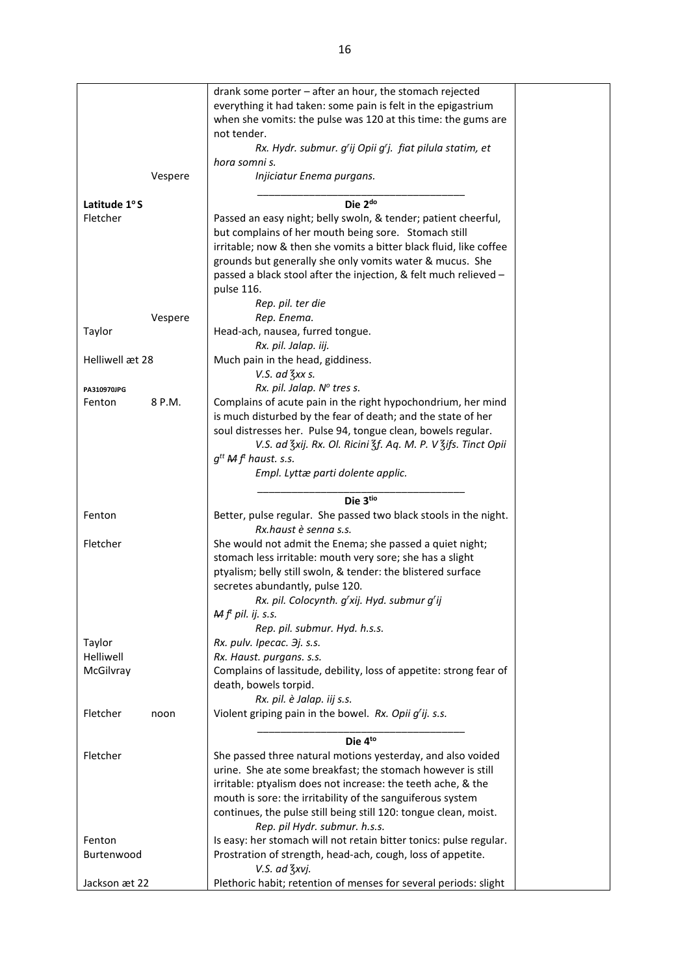|                 |         | drank some porter - after an hour, the stomach rejected            |
|-----------------|---------|--------------------------------------------------------------------|
|                 |         | everything it had taken: some pain is felt in the epigastrium      |
|                 |         | when she vomits: the pulse was 120 at this time: the gums are      |
|                 |         | not tender.                                                        |
|                 |         | Rx. Hydr. submur. g'ij Opii g'j. fiat pilula statim, et            |
|                 |         | hora somni s.                                                      |
|                 | Vespere | Injiciatur Enema purgans.                                          |
|                 |         |                                                                    |
| Latitude 1°S    |         | Die 2 <sup>do</sup>                                                |
| Fletcher        |         |                                                                    |
|                 |         | Passed an easy night; belly swoln, & tender; patient cheerful,     |
|                 |         | but complains of her mouth being sore. Stomach still               |
|                 |         | irritable; now & then she vomits a bitter black fluid, like coffee |
|                 |         | grounds but generally she only vomits water & mucus. She           |
|                 |         | passed a black stool after the injection, & felt much relieved -   |
|                 |         | pulse 116.                                                         |
|                 |         | Rep. pil. ter die                                                  |
|                 | Vespere | Rep. Enema.                                                        |
| Taylor          |         | Head-ach, nausea, furred tongue.                                   |
|                 |         | Rx. pil. Jalap. iij.                                               |
| Helliwell æt 28 |         | Much pain in the head, giddiness.                                  |
|                 |         | V.S. ad $\frac{7}{5}$ xx s.                                        |
| PA310970JPG     |         | Rx. pil. Jalap. Nº tres s.                                         |
| Fenton          | 8 P.M.  | Complains of acute pain in the right hypochondrium, her mind       |
|                 |         | is much disturbed by the fear of death; and the state of her       |
|                 |         | soul distresses her. Pulse 94, tongue clean, bowels regular.       |
|                 |         | V.S. ad Zxij. Rx. Ol. Ricini Zf. Aq. M. P. V Zifs. Tinct Opii      |
|                 |         | $g^{tt}$ M $f'$ haust. s.s.                                        |
|                 |         | Empl. Lyttæ parti dolente applic.                                  |
|                 |         |                                                                    |
|                 |         | Die 3tio                                                           |
| Fenton          |         | Better, pulse regular. She passed two black stools in the night.   |
|                 |         | Rx.haust è senna s.s.                                              |
| Fletcher        |         | She would not admit the Enema; she passed a quiet night;           |
|                 |         | stomach less irritable: mouth very sore; she has a slight          |
|                 |         | ptyalism; belly still swoln, & tender: the blistered surface       |
|                 |         | secretes abundantly, pulse 120.                                    |
|                 |         | Rx. pil. Colocynth. g'xij. Hyd. submur g'ij                        |
|                 |         | $\mathcal{M}$ $ft$ pil. ij. s.s.                                   |
|                 |         | Rep. pil. submur. Hyd. h.s.s.                                      |
| Taylor          |         | Rx. pulv. Ipecac. 3j. s.s.                                         |
| Helliwell       |         | Rx. Haust. purgans. s.s.                                           |
| McGilvray       |         | Complains of lassitude, debility, loss of appetite: strong fear of |
|                 |         | death, bowels torpid.                                              |
|                 |         | Rx. pil. è Jalap. iij s.s.                                         |
| Fletcher        | noon    | Violent griping pain in the bowel. Rx. Opii g'ij. s.s.             |
|                 |         |                                                                    |
|                 |         | Die 4to                                                            |
| Fletcher        |         | She passed three natural motions yesterday, and also voided        |
|                 |         | urine. She ate some breakfast; the stomach however is still        |
|                 |         | irritable: ptyalism does not increase: the teeth ache, & the       |
|                 |         | mouth is sore: the irritability of the sanguiferous system         |
|                 |         | continues, the pulse still being still 120: tongue clean, moist.   |
|                 |         | Rep. pil Hydr. submur. h.s.s.                                      |
| Fenton          |         | Is easy: her stomach will not retain bitter tonics: pulse regular. |
| Burtenwood      |         | Prostration of strength, head-ach, cough, loss of appetite.        |
|                 |         | V.S. ad 3xvj.                                                      |
| Jackson æt 22   |         | Plethoric habit; retention of menses for several periods: slight   |
|                 |         |                                                                    |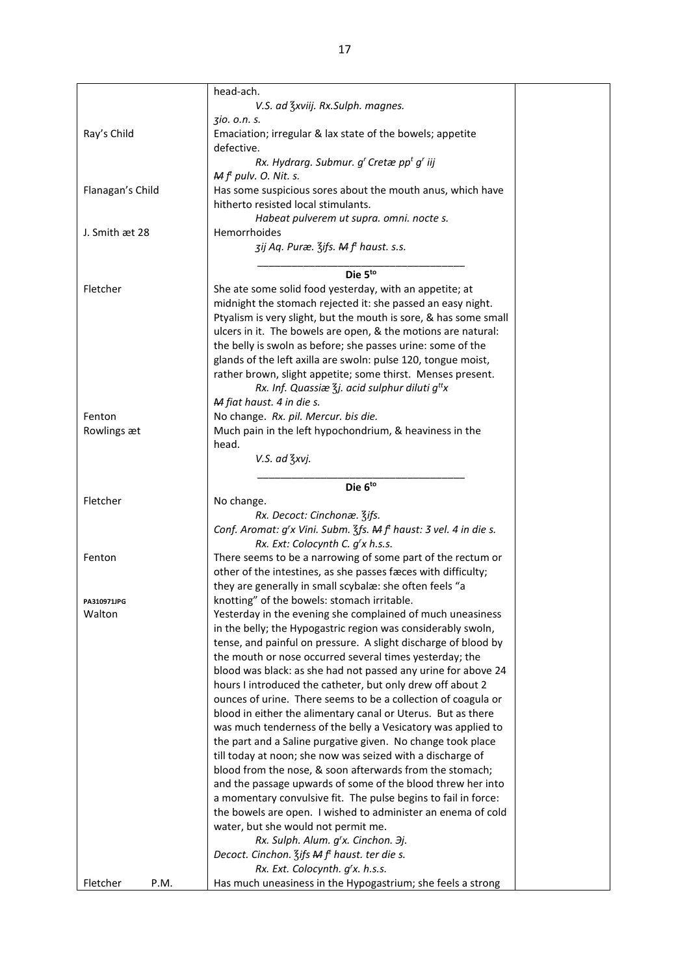|                    | head-ach.                                                                                                              |
|--------------------|------------------------------------------------------------------------------------------------------------------------|
|                    | V.S. ad Zxviij. Rx.Sulph. magnes.                                                                                      |
|                    | 310. o.n. s.                                                                                                           |
| Ray's Child        | Emaciation; irregular & lax state of the bowels; appetite                                                              |
|                    | defective.                                                                                                             |
|                    | Rx. Hydrarg. Submur. g' Cretæ pp <sup>t</sup> g' iij                                                                   |
|                    | $Mft$ pulv. O. Nit. s.                                                                                                 |
| Flanagan's Child   | Has some suspicious sores about the mouth anus, which have                                                             |
|                    | hitherto resisted local stimulants.                                                                                    |
|                    | Habeat pulverem ut supra. omni. nocte s.                                                                               |
| J. Smith æt 28     | Hemorrhoides                                                                                                           |
|                    | zij Aq. Puræ. Zifs. M f <sup>t</sup> haust. s.s.                                                                       |
|                    |                                                                                                                        |
|                    | Die 5to                                                                                                                |
| Fletcher           | She ate some solid food yesterday, with an appetite; at                                                                |
|                    | midnight the stomach rejected it: she passed an easy night.                                                            |
|                    | Ptyalism is very slight, but the mouth is sore, & has some small                                                       |
|                    | ulcers in it. The bowels are open, & the motions are natural:                                                          |
|                    | the belly is swoln as before; she passes urine: some of the                                                            |
|                    | glands of the left axilla are swoln: pulse 120, tongue moist,                                                          |
|                    | rather brown, slight appetite; some thirst. Menses present.                                                            |
|                    | Rx. Inf. Quassiæ $\frac{7}{3}$ j. acid sulphur diluti g <sup>tt</sup> x                                                |
|                    | M fiat haust. 4 in die s.                                                                                              |
| Fenton             | No change. Rx. pil. Mercur. bis die.                                                                                   |
| Rowlings æt        | Much pain in the left hypochondrium, & heaviness in the                                                                |
|                    | head.                                                                                                                  |
|                    | V.S. ad 3xvj.                                                                                                          |
|                    | Die 6to                                                                                                                |
| Fletcher           | No change.                                                                                                             |
|                    | Rx. Decoct: Cinchonæ. 3ifs.                                                                                            |
|                    | Conf. Aromat: g'x Vini. Subm. 3fs. M f <sup>t</sup> haust: 3 vel. 4 in die s.                                          |
|                    | Rx. Ext: Colocynth C. g'x h.s.s.                                                                                       |
| Fenton             | There seems to be a narrowing of some part of the rectum or                                                            |
|                    | other of the intestines, as she passes fæces with difficulty;                                                          |
|                    |                                                                                                                        |
|                    |                                                                                                                        |
|                    | they are generally in small scybalæ: she often feels "a                                                                |
| <b>PA310971JPG</b> | knotting" of the bowels: stomach irritable.                                                                            |
| Walton             | Yesterday in the evening she complained of much uneasiness                                                             |
|                    | in the belly; the Hypogastric region was considerably swoln,                                                           |
|                    | tense, and painful on pressure. A slight discharge of blood by                                                         |
|                    | the mouth or nose occurred several times yesterday; the                                                                |
|                    | blood was black: as she had not passed any urine for above 24                                                          |
|                    | hours I introduced the catheter, but only drew off about 2                                                             |
|                    | ounces of urine. There seems to be a collection of coagula or                                                          |
|                    | blood in either the alimentary canal or Uterus. But as there                                                           |
|                    | was much tenderness of the belly a Vesicatory was applied to                                                           |
|                    | the part and a Saline purgative given. No change took place                                                            |
|                    | till today at noon; she now was seized with a discharge of<br>blood from the nose, & soon afterwards from the stomach; |
|                    | and the passage upwards of some of the blood threw her into                                                            |
|                    | a momentary convulsive fit. The pulse begins to fail in force:                                                         |
|                    | the bowels are open. I wished to administer an enema of cold                                                           |
|                    | water, but she would not permit me.                                                                                    |
|                    | Rx. Sulph. Alum. g'x. Cinchon. 3j.                                                                                     |
|                    | Decoct. Cinchon. $\frac{7}{5}$ ifs M f <sup>t</sup> haust. ter die s.                                                  |
|                    | Rx. Ext. Colocynth. g'x. h.s.s.                                                                                        |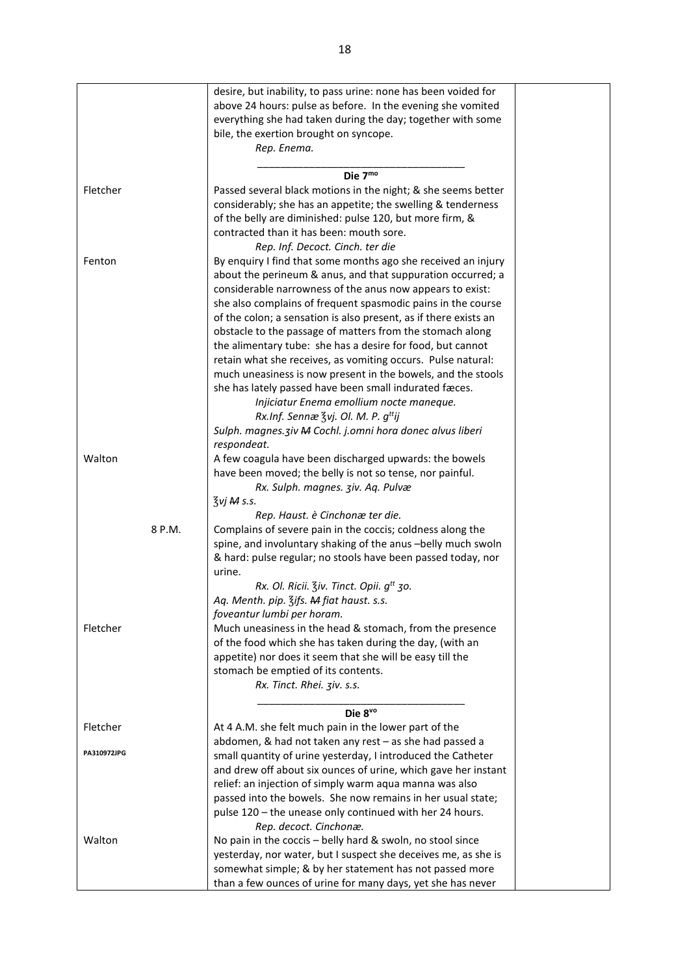|             | desire, but inability, to pass urine: none has been voided for   |  |
|-------------|------------------------------------------------------------------|--|
|             |                                                                  |  |
|             | above 24 hours: pulse as before. In the evening she vomited      |  |
|             | everything she had taken during the day; together with some      |  |
|             | bile, the exertion brought on syncope.                           |  |
|             | Rep. Enema.                                                      |  |
|             |                                                                  |  |
|             | Die 7mo                                                          |  |
| Fletcher    | Passed several black motions in the night; & she seems better    |  |
|             | considerably; she has an appetite; the swelling & tenderness     |  |
|             | of the belly are diminished: pulse 120, but more firm, &         |  |
|             | contracted than it has been: mouth sore.                         |  |
|             |                                                                  |  |
|             | Rep. Inf. Decoct. Cinch. ter die                                 |  |
| Fenton      | By enquiry I find that some months ago she received an injury    |  |
|             | about the perineum & anus, and that suppuration occurred; a      |  |
|             | considerable narrowness of the anus now appears to exist:        |  |
|             | she also complains of frequent spasmodic pains in the course     |  |
|             | of the colon; a sensation is also present, as if there exists an |  |
|             | obstacle to the passage of matters from the stomach along        |  |
|             | the alimentary tube: she has a desire for food, but cannot       |  |
|             | retain what she receives, as vomiting occurs. Pulse natural:     |  |
|             | much uneasiness is now present in the bowels, and the stools     |  |
|             |                                                                  |  |
|             | she has lately passed have been small indurated fæces.           |  |
|             | Injiciatur Enema emollium nocte maneque.                         |  |
|             | Rx.Inf. Sennæ $\frac{7}{5}$ vj. Ol. M. P. $g^{tt}$ ij            |  |
|             | Sulph. magnes. ziv M Cochl. j.omni hora donec alvus liberi       |  |
|             | respondeat.                                                      |  |
| Walton      | A few coagula have been discharged upwards: the bowels           |  |
|             | have been moved; the belly is not so tense, nor painful.         |  |
|             | Rx. Sulph. magnes. 3iv. Aq. Pulvæ                                |  |
|             | $\frac{7}{3}$ vj M s.s.                                          |  |
|             | Rep. Haust. è Cinchonæ ter die.                                  |  |
| 8 P.M.      |                                                                  |  |
|             | Complains of severe pain in the coccis; coldness along the       |  |
|             | spine, and involuntary shaking of the anus -belly much swoln     |  |
|             | & hard: pulse regular; no stools have been passed today, nor     |  |
|             | urine.                                                           |  |
|             | Rx. Ol. Ricii. Ziv. Tinct. Opii. g <sup>tt</sup> 30.             |  |
|             | Aq. Menth. pip. 3ifs. M fiat haust. s.s.                         |  |
|             | foveantur lumbi per horam.                                       |  |
| Fletcher    | Much uneasiness in the head & stomach, from the presence         |  |
|             | of the food which she has taken during the day, (with an         |  |
|             | appetite) nor does it seem that she will be easy till the        |  |
|             | stomach be emptied of its contents.                              |  |
|             | Rx. Tinct. Rhei. ziv. s.s.                                       |  |
|             |                                                                  |  |
|             |                                                                  |  |
|             | Die 8vo                                                          |  |
| Fletcher    | At 4 A.M. she felt much pain in the lower part of the            |  |
|             | abdomen, & had not taken any rest - as she had passed a          |  |
| PA310972JPG | small quantity of urine yesterday, I introduced the Catheter     |  |
|             | and drew off about six ounces of urine, which gave her instant   |  |
|             | relief: an injection of simply warm aqua manna was also          |  |
|             | passed into the bowels. She now remains in her usual state;      |  |
|             | pulse 120 - the unease only continued with her 24 hours.         |  |
|             | Rep. decoct. Cinchonæ.                                           |  |
| Walton      | No pain in the coccis - belly hard & swoln, no stool since       |  |
|             | yesterday, nor water, but I suspect she deceives me, as she is   |  |
|             |                                                                  |  |
|             | somewhat simple; & by her statement has not passed more          |  |
|             | than a few ounces of urine for many days, yet she has never      |  |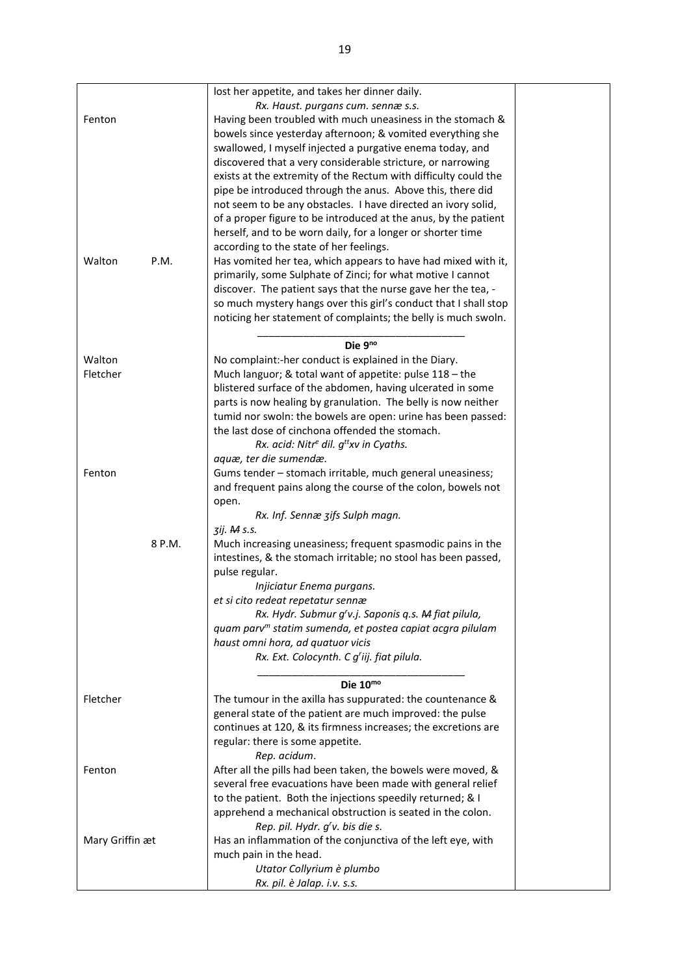|                 | lost her appetite, and takes her dinner daily.                        |  |
|-----------------|-----------------------------------------------------------------------|--|
|                 | Rx. Haust. purgans cum. sennæ s.s.                                    |  |
| Fenton          | Having been troubled with much uneasiness in the stomach &            |  |
|                 | bowels since yesterday afternoon; & vomited everything she            |  |
|                 | swallowed, I myself injected a purgative enema today, and             |  |
|                 | discovered that a very considerable stricture, or narrowing           |  |
|                 | exists at the extremity of the Rectum with difficulty could the       |  |
|                 | pipe be introduced through the anus. Above this, there did            |  |
|                 | not seem to be any obstacles. I have directed an ivory solid,         |  |
|                 | of a proper figure to be introduced at the anus, by the patient       |  |
|                 | herself, and to be worn daily, for a longer or shorter time           |  |
|                 | according to the state of her feelings.                               |  |
| P.M.<br>Walton  | Has vomited her tea, which appears to have had mixed with it,         |  |
|                 | primarily, some Sulphate of Zinci; for what motive I cannot           |  |
|                 | discover. The patient says that the nurse gave her the tea, -         |  |
|                 | so much mystery hangs over this girl's conduct that I shall stop      |  |
|                 | noticing her statement of complaints; the belly is much swoln.        |  |
|                 |                                                                       |  |
|                 | Die $9^{no}$                                                          |  |
| Walton          | No complaint:-her conduct is explained in the Diary.                  |  |
| Fletcher        | Much languor; & total want of appetite: pulse 118 - the               |  |
|                 | blistered surface of the abdomen, having ulcerated in some            |  |
|                 | parts is now healing by granulation. The belly is now neither         |  |
|                 | tumid nor swoln: the bowels are open: urine has been passed:          |  |
|                 | the last dose of cinchona offended the stomach.                       |  |
|                 | Rx. acid: Nitr <sup>e</sup> dil. $g^{tt}$ xv in Cyaths.               |  |
|                 | aquæ, ter die sumendæ.                                                |  |
| Fenton          | Gums tender - stomach irritable, much general uneasiness;             |  |
|                 | and frequent pains along the course of the colon, bowels not          |  |
|                 | open.                                                                 |  |
|                 | Rx. Inf. Sennæ zifs Sulph magn.                                       |  |
|                 | 3ij. M s.s.                                                           |  |
| 8 P.M.          | Much increasing uneasiness; frequent spasmodic pains in the           |  |
|                 | intestines, & the stomach irritable; no stool has been passed,        |  |
|                 | pulse regular.                                                        |  |
|                 | Injiciatur Enema purgans.                                             |  |
|                 | et si cito redeat repetatur sennæ                                     |  |
|                 | Rx. Hydr. Submur g'v.j. Saponis q.s. M fiat pilula,                   |  |
|                 | quam parv <sup>m</sup> statim sumenda, et postea capiat acgra pilulam |  |
|                 | haust omni hora, ad quatuor vicis                                     |  |
|                 | Rx. Ext. Colocynth. C g'iij. fiat pilula.                             |  |
|                 |                                                                       |  |
|                 | Die 10mo                                                              |  |
| Fletcher        | The tumour in the axilla has suppurated: the countenance &            |  |
|                 | general state of the patient are much improved: the pulse             |  |
|                 | continues at 120, & its firmness increases; the excretions are        |  |
|                 | regular: there is some appetite.                                      |  |
|                 | Rep. acidum.                                                          |  |
| Fenton          | After all the pills had been taken, the bowels were moved, &          |  |
|                 | several free evacuations have been made with general relief           |  |
|                 | to the patient. Both the injections speedily returned; & I            |  |
|                 | apprehend a mechanical obstruction is seated in the colon.            |  |
|                 | Rep. pil. Hydr. g'v. bis die s.                                       |  |
| Mary Griffin æt | Has an inflammation of the conjunctiva of the left eye, with          |  |
|                 | much pain in the head.                                                |  |
|                 | Utator Collyrium è plumbo                                             |  |
|                 | Rx. pil. è Jalap. i.v. s.s.                                           |  |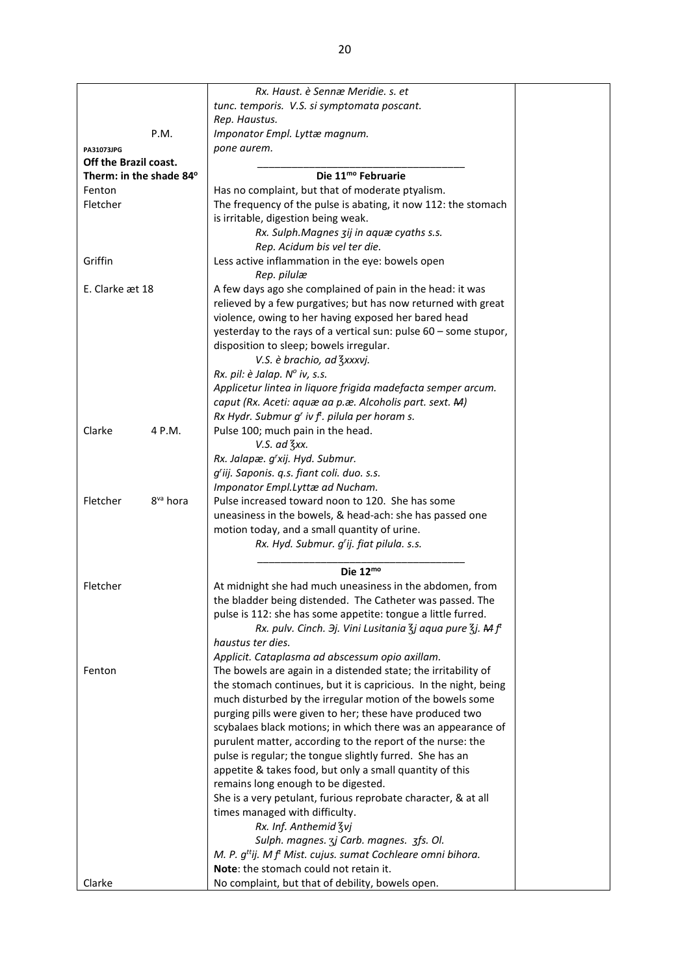|                                  | Rx. Haust. è Sennæ Meridie. s. et                                                               |  |
|----------------------------------|-------------------------------------------------------------------------------------------------|--|
|                                  | tunc. temporis. V.S. si symptomata poscant.                                                     |  |
|                                  | Rep. Haustus.                                                                                   |  |
| P.M.                             | Imponator Empl. Lyttæ magnum.                                                                   |  |
|                                  | pone aurem.                                                                                     |  |
| PA31073JPG                       |                                                                                                 |  |
| Off the Brazil coast.            |                                                                                                 |  |
| Therm: in the shade 84°          | Die 11 <sup>mo</sup> Februarie                                                                  |  |
| Fenton                           | Has no complaint, but that of moderate ptyalism.                                                |  |
| Fletcher                         | The frequency of the pulse is abating, it now 112: the stomach                                  |  |
|                                  | is irritable, digestion being weak.                                                             |  |
|                                  | Rx. Sulph.Magnes zij in aquæ cyaths s.s.                                                        |  |
|                                  | Rep. Acidum bis vel ter die.                                                                    |  |
| Griffin                          | Less active inflammation in the eye: bowels open                                                |  |
|                                  | Rep. pilulæ                                                                                     |  |
| E. Clarke æt 18                  | A few days ago she complained of pain in the head: it was                                       |  |
|                                  | relieved by a few purgatives; but has now returned with great                                   |  |
|                                  | violence, owing to her having exposed her bared head                                            |  |
|                                  | yesterday to the rays of a vertical sun: pulse 60 - some stupor,                                |  |
|                                  | disposition to sleep; bowels irregular.                                                         |  |
|                                  | V.S. è brachio, ad 3xxxvj.                                                                      |  |
|                                  | Rx. pil: è Jalap. Nº iv, s.s.                                                                   |  |
|                                  | Applicetur lintea in liquore frigida madefacta semper arcum.                                    |  |
|                                  | caput (Rx. Aceti: aquæ aa p.æ. Alcoholis part. sext. M)                                         |  |
|                                  | Rx Hydr. Submur g' iv f <sup>t</sup> . pilula per horam s.                                      |  |
| Clarke<br>4 P.M.                 | Pulse 100; much pain in the head.                                                               |  |
|                                  | $V.S.$ ad $\frac{7}{3}xx$ .                                                                     |  |
|                                  | Rx. Jalapæ. g'xij. Hyd. Submur.                                                                 |  |
|                                  | g'iij. Saponis. q.s. fiant coli. duo. s.s.                                                      |  |
|                                  | Imponator Empl.Lyttæ ad Nucham.                                                                 |  |
| Fletcher<br>8 <sup>va</sup> hora | Pulse increased toward noon to 120. She has some                                                |  |
|                                  | uneasiness in the bowels, & head-ach: she has passed one                                        |  |
|                                  | motion today, and a small quantity of urine.                                                    |  |
|                                  | Rx. Hyd. Submur. g'ij. fiat pilula. s.s.                                                        |  |
|                                  |                                                                                                 |  |
|                                  | Die $12^{mo}$                                                                                   |  |
| Fletcher                         | At midnight she had much uneasiness in the abdomen, from                                        |  |
|                                  | the bladder being distended. The Catheter was passed. The                                       |  |
|                                  | pulse is 112: she has some appetite: tongue a little furred.                                    |  |
|                                  | Rx. pulv. Cinch. 3j. Vini Lusitania $\frac{7}{3}$ j aqua pure $\frac{7}{3}$ j. M f <sup>t</sup> |  |
|                                  | haustus ter dies.                                                                               |  |
|                                  | Applicit. Cataplasma ad abscessum opio axillam.                                                 |  |
| Fenton                           | The bowels are again in a distended state; the irritability of                                  |  |
|                                  | the stomach continues, but it is capricious. In the night, being                                |  |
|                                  | much disturbed by the irregular motion of the bowels some                                       |  |
|                                  | purging pills were given to her; these have produced two                                        |  |
|                                  | scybalaes black motions; in which there was an appearance of                                    |  |
|                                  | purulent matter, according to the report of the nurse: the                                      |  |
|                                  | pulse is regular; the tongue slightly furred. She has an                                        |  |
|                                  | appetite & takes food, but only a small quantity of this                                        |  |
|                                  | remains long enough to be digested.                                                             |  |
|                                  | She is a very petulant, furious reprobate character, & at all                                   |  |
|                                  | times managed with difficulty.                                                                  |  |
|                                  | Rx. Inf. Anthemid Zvj                                                                           |  |
|                                  | Sulph. magnes. 3j Carb. magnes. 3fs. Ol.                                                        |  |
|                                  | M. P. $g^{tt}$ ij. M f <sup>t</sup> Mist. cujus. sumat Cochleare omni bihora.                   |  |
|                                  | Note: the stomach could not retain it.                                                          |  |
| Clarke                           | No complaint, but that of debility, bowels open.                                                |  |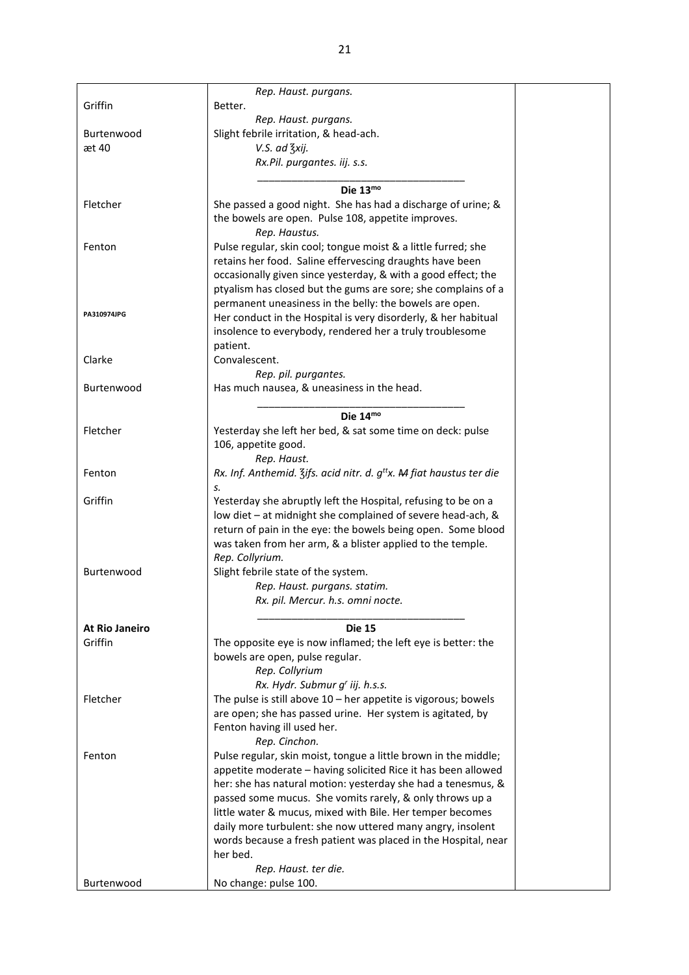|                       | Rep. Haust. purgans.                                                             |  |
|-----------------------|----------------------------------------------------------------------------------|--|
| Griffin               | Better.                                                                          |  |
|                       | Rep. Haust. purgans.                                                             |  |
| Burtenwood            | Slight febrile irritation, & head-ach.                                           |  |
| æt 40                 | V.S. ad 3xij.                                                                    |  |
|                       | Rx.Pil. purgantes. iij. s.s.                                                     |  |
|                       |                                                                                  |  |
|                       | Die 13mo                                                                         |  |
| Fletcher              | She passed a good night. She has had a discharge of urine; &                     |  |
|                       | the bowels are open. Pulse 108, appetite improves.                               |  |
|                       | Rep. Haustus.                                                                    |  |
| Fenton                | Pulse regular, skin cool; tongue moist & a little furred; she                    |  |
|                       | retains her food. Saline effervescing draughts have been                         |  |
|                       | occasionally given since yesterday, & with a good effect; the                    |  |
|                       | ptyalism has closed but the gums are sore; she complains of a                    |  |
|                       | permanent uneasiness in the belly: the bowels are open.                          |  |
| PA310974JPG           | Her conduct in the Hospital is very disorderly, & her habitual                   |  |
|                       | insolence to everybody, rendered her a truly troublesome                         |  |
|                       | patient.                                                                         |  |
| Clarke                | Convalescent.                                                                    |  |
|                       | Rep. pil. purgantes.                                                             |  |
| Burtenwood            | Has much nausea, & uneasiness in the head.                                       |  |
|                       |                                                                                  |  |
|                       | Die $14^{mo}$                                                                    |  |
| Fletcher              | Yesterday she left her bed, & sat some time on deck: pulse                       |  |
|                       | 106, appetite good.                                                              |  |
|                       | Rep. Haust.                                                                      |  |
| Fenton                | Rx. Inf. Anthemid. Zifs. acid nitr. d. g <sup>tt</sup> x. A fiat haustus ter die |  |
|                       | S.                                                                               |  |
| Griffin               | Yesterday she abruptly left the Hospital, refusing to be on a                    |  |
|                       | low diet - at midnight she complained of severe head-ach, &                      |  |
|                       | return of pain in the eye: the bowels being open. Some blood                     |  |
|                       | was taken from her arm, & a blister applied to the temple.                       |  |
|                       | Rep. Collyrium.                                                                  |  |
| Burtenwood            | Slight febrile state of the system.                                              |  |
|                       | Rep. Haust. purgans. statim.                                                     |  |
|                       | Rx. pil. Mercur. h.s. omni nocte.                                                |  |
|                       |                                                                                  |  |
| <b>At Rio Janeiro</b> | <b>Die 15</b>                                                                    |  |
| Griffin               | The opposite eye is now inflamed; the left eye is better: the                    |  |
|                       | bowels are open, pulse regular.                                                  |  |
|                       | Rep. Collyrium                                                                   |  |
|                       | Rx. Hydr. Submur g' iij. h.s.s.                                                  |  |
| Fletcher              | The pulse is still above $10$ – her appetite is vigorous; bowels                 |  |
|                       | are open; she has passed urine. Her system is agitated, by                       |  |
|                       | Fenton having ill used her.                                                      |  |
|                       | Rep. Cinchon.                                                                    |  |
| Fenton                | Pulse regular, skin moist, tongue a little brown in the middle;                  |  |
|                       | appetite moderate - having solicited Rice it has been allowed                    |  |
|                       | her: she has natural motion: yesterday she had a tenesmus, &                     |  |
|                       | passed some mucus. She vomits rarely, & only throws up a                         |  |
|                       | little water & mucus, mixed with Bile. Her temper becomes                        |  |
|                       | daily more turbulent: she now uttered many angry, insolent                       |  |
|                       | words because a fresh patient was placed in the Hospital, near                   |  |
|                       | her bed.                                                                         |  |
|                       | Rep. Haust. ter die.                                                             |  |
| Burtenwood            | No change: pulse 100.                                                            |  |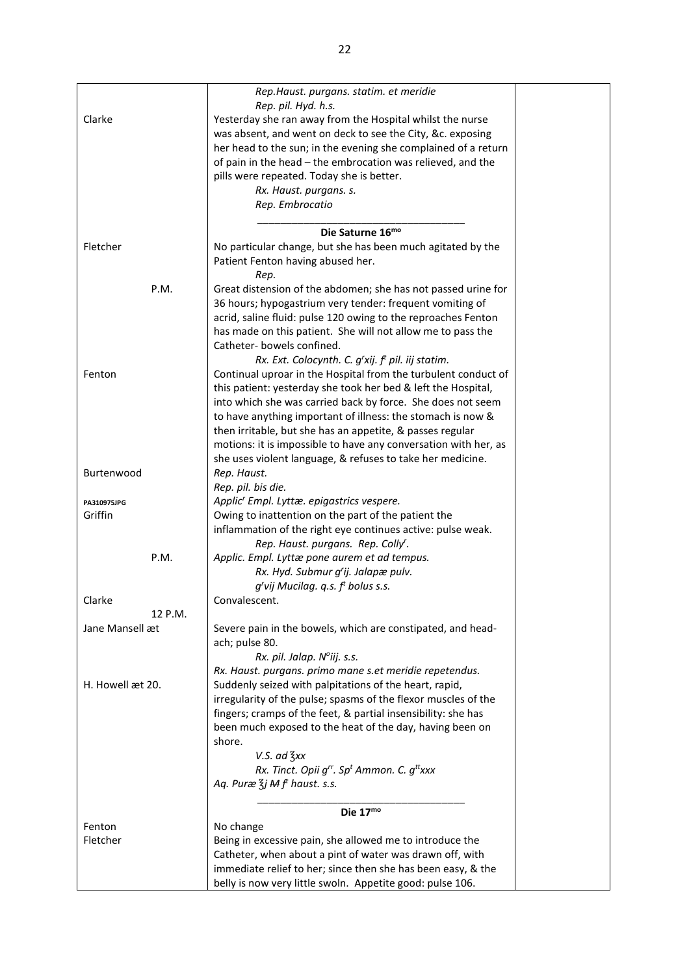|                  | Rep.Haust. purgans. statim. et meridie                                          |  |
|------------------|---------------------------------------------------------------------------------|--|
|                  | Rep. pil. Hyd. h.s.                                                             |  |
| Clarke           | Yesterday she ran away from the Hospital whilst the nurse                       |  |
|                  | was absent, and went on deck to see the City, &c. exposing                      |  |
|                  | her head to the sun; in the evening she complained of a return                  |  |
|                  | of pain in the head - the embrocation was relieved, and the                     |  |
|                  | pills were repeated. Today she is better.                                       |  |
|                  | Rx. Haust. purgans. s.                                                          |  |
|                  | Rep. Embrocatio                                                                 |  |
|                  |                                                                                 |  |
|                  | Die Saturne 16mo                                                                |  |
| Fletcher         |                                                                                 |  |
|                  | No particular change, but she has been much agitated by the                     |  |
|                  | Patient Fenton having abused her.                                               |  |
|                  | Rep.                                                                            |  |
| P.M.             | Great distension of the abdomen; she has not passed urine for                   |  |
|                  | 36 hours; hypogastrium very tender: frequent vomiting of                        |  |
|                  | acrid, saline fluid: pulse 120 owing to the reproaches Fenton                   |  |
|                  | has made on this patient. She will not allow me to pass the                     |  |
|                  | Catheter-bowels confined.                                                       |  |
|                  | Rx. Ext. Colocynth. C. $g'xij$ . $f'$ pil. iij statim.                          |  |
| Fenton           | Continual uproar in the Hospital from the turbulent conduct of                  |  |
|                  | this patient: yesterday she took her bed & left the Hospital,                   |  |
|                  | into which she was carried back by force. She does not seem                     |  |
|                  | to have anything important of illness: the stomach is now &                     |  |
|                  | then irritable, but she has an appetite, & passes regular                       |  |
|                  | motions: it is impossible to have any conversation with her, as                 |  |
|                  | she uses violent language, & refuses to take her medicine.                      |  |
| Burtenwood       | Rep. Haust.                                                                     |  |
|                  | Rep. pil. bis die.                                                              |  |
| PA310975JPG      | Applic' Empl. Lyttæ. epigastrics vespere.                                       |  |
| Griffin          | Owing to inattention on the part of the patient the                             |  |
|                  | inflammation of the right eye continues active: pulse weak.                     |  |
|                  | Rep. Haust. purgans. Rep. Colly'.                                               |  |
| P.M.             | Applic. Empl. Lyttæ pone aurem et ad tempus.                                    |  |
|                  | Rx. Hyd. Submur g'ij. Jalapæ pulv.                                              |  |
|                  | $g'$ vij Mucilag. q.s. $ft$ bolus s.s.                                          |  |
| Clarke           | Convalescent.                                                                   |  |
| 12 P.M.          |                                                                                 |  |
| Jane Mansell æt  | Severe pain in the bowels, which are constipated, and head-                     |  |
|                  | ach; pulse 80.                                                                  |  |
|                  | Rx. pil. Jalap. Nºiij. s.s.                                                     |  |
|                  | Rx. Haust. purgans. primo mane s.et meridie repetendus.                         |  |
| H. Howell æt 20. | Suddenly seized with palpitations of the heart, rapid,                          |  |
|                  | irregularity of the pulse; spasms of the flexor muscles of the                  |  |
|                  | fingers; cramps of the feet, & partial insensibility: she has                   |  |
|                  | been much exposed to the heat of the day, having been on                        |  |
|                  |                                                                                 |  |
|                  | shore.                                                                          |  |
|                  | $V.S.$ ad $\frac{7}{3}xx$                                                       |  |
|                  | Rx. Tinct. Opii g <sup>rr</sup> . Sp <sup>t</sup> Ammon. C. g <sup>tt</sup> xxx |  |
|                  | Aq. Puræ $\frac{7}{3}$ j M f <sup>t</sup> haust. s.s.                           |  |
|                  | Die $17mo$                                                                      |  |
| Fenton           | No change                                                                       |  |
| Fletcher         | Being in excessive pain, she allowed me to introduce the                        |  |
|                  | Catheter, when about a pint of water was drawn off, with                        |  |
|                  | immediate relief to her; since then she has been easy, & the                    |  |
|                  | belly is now very little swoln. Appetite good: pulse 106.                       |  |
|                  |                                                                                 |  |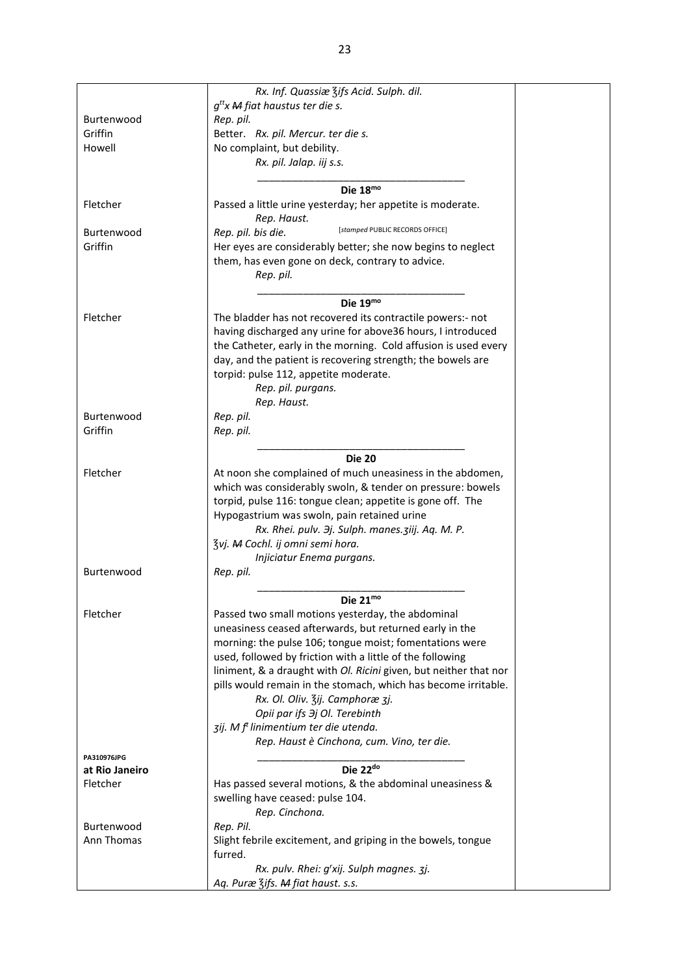|                | Rx. Inf. Quassiæ 3ifs Acid. Sulph. dil.                           |
|----------------|-------------------------------------------------------------------|
|                | $g^{tt}$ x M fiat haustus ter die s.                              |
| Burtenwood     | Rep. pil.                                                         |
| Griffin        | Better. Rx. pil. Mercur. ter die s.                               |
| Howell         | No complaint, but debility.                                       |
|                | Rx. pil. Jalap. iij s.s.                                          |
|                |                                                                   |
|                | Die 18mo                                                          |
| Fletcher       | Passed a little urine yesterday; her appetite is moderate.        |
|                | Rep. Haust.                                                       |
| Burtenwood     | [stamped PUBLIC RECORDS OFFICE]<br>Rep. pil. bis die.             |
| Griffin        | Her eyes are considerably better; she now begins to neglect       |
|                | them, has even gone on deck, contrary to advice.                  |
|                | Rep. pil.                                                         |
|                |                                                                   |
|                | Die 19mo                                                          |
| Fletcher       | The bladder has not recovered its contractile powers:- not        |
|                | having discharged any urine for above36 hours, I introduced       |
|                | the Catheter, early in the morning. Cold affusion is used every   |
|                | day, and the patient is recovering strength; the bowels are       |
|                | torpid: pulse 112, appetite moderate.                             |
|                | Rep. pil. purgans.                                                |
|                | Rep. Haust.                                                       |
| Burtenwood     | Rep. pil.                                                         |
| Griffin        |                                                                   |
|                | Rep. pil.                                                         |
|                | <b>Die 20</b>                                                     |
| Fletcher       | At noon she complained of much uneasiness in the abdomen,         |
|                | which was considerably swoln, & tender on pressure: bowels        |
|                | torpid, pulse 116: tongue clean; appetite is gone off. The        |
|                | Hypogastrium was swoln, pain retained urine                       |
|                | Rx. Rhei. pulv. Эj. Sulph. manes. ziij. Aq. M. P.                 |
|                |                                                                   |
|                | 3vj. M Cochl. ij omni semi hora.                                  |
| Burtenwood     | Injiciatur Enema purgans.                                         |
|                | Rep. pil.                                                         |
|                | Die $21^{mo}$                                                     |
| Fletcher       | Passed two small motions yesterday, the abdominal                 |
|                | uneasiness ceased afterwards, but returned early in the           |
|                | morning: the pulse 106; tongue moist; fomentations were           |
|                | used, followed by friction with a little of the following         |
|                | liniment, & a draught with Ol. Ricini given, but neither that nor |
|                | pills would remain in the stomach, which has become irritable.    |
|                | Rx. Ol. Oliv. 3ij. Camphoræ 3j.                                   |
|                | Opii par ifs $\partial j$ Ol. Terebinth                           |
|                | zij. M f <sup>t</sup> linimentium ter die utenda.                 |
|                | Rep. Haust è Cinchona, cum. Vino, ter die.                        |
| PA310976JPG    |                                                                   |
| at Rio Janeiro | Die 22 <sup>do</sup>                                              |
| Fletcher       | Has passed several motions, & the abdominal uneasiness &          |
|                | swelling have ceased: pulse 104.                                  |
|                |                                                                   |
|                | Rep. Cinchona.                                                    |
| Burtenwood     | Rep. Pil.                                                         |
| Ann Thomas     | Slight febrile excitement, and griping in the bowels, tongue      |
|                | furred.                                                           |
|                | Rx. pulv. Rhei: g'xij. Sulph magnes. 3j.                          |
|                | Aq. Puræ Zifs. M fiat haust. s.s.                                 |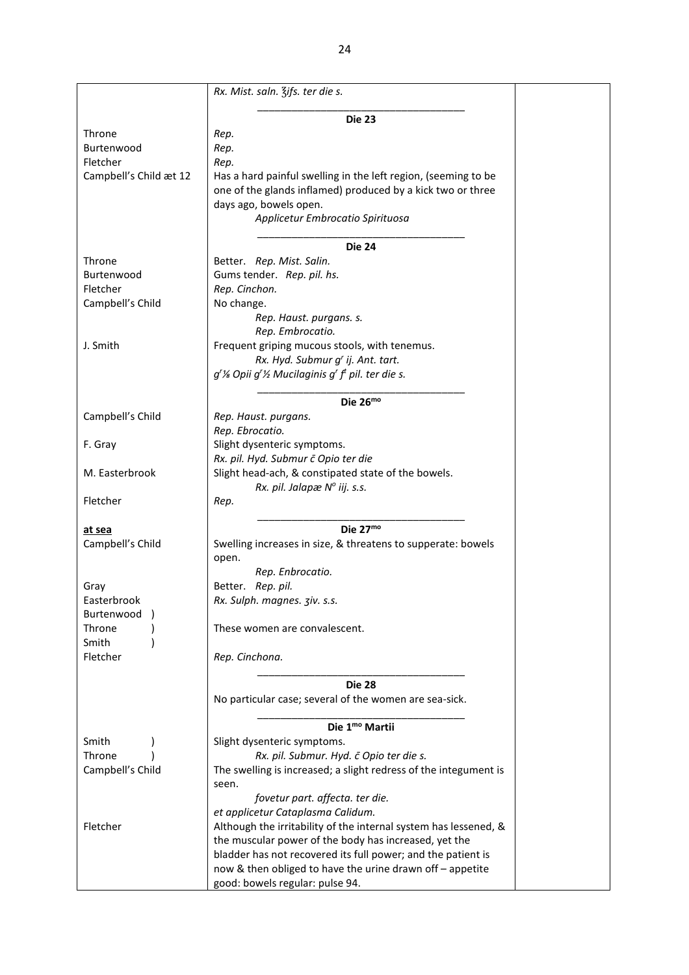|                        | Rx. Mist. saln. Zifs. ter die s.                                      |  |  |  |  |
|------------------------|-----------------------------------------------------------------------|--|--|--|--|
|                        | <b>Die 23</b>                                                         |  |  |  |  |
| Throne                 | Rep.                                                                  |  |  |  |  |
| Burtenwood             | Rep.                                                                  |  |  |  |  |
| Fletcher               | Rep.                                                                  |  |  |  |  |
| Campbell's Child æt 12 | Has a hard painful swelling in the left region, (seeming to be        |  |  |  |  |
|                        | one of the glands inflamed) produced by a kick two or three           |  |  |  |  |
|                        | days ago, bowels open.                                                |  |  |  |  |
|                        | Applicetur Embrocatio Spirituosa                                      |  |  |  |  |
|                        |                                                                       |  |  |  |  |
|                        | <b>Die 24</b>                                                         |  |  |  |  |
| Throne                 | Better. Rep. Mist. Salin.                                             |  |  |  |  |
| Burtenwood             | Gums tender. Rep. pil. hs.                                            |  |  |  |  |
| Fletcher               | Rep. Cinchon.                                                         |  |  |  |  |
| Campbell's Child       | No change.                                                            |  |  |  |  |
|                        | Rep. Haust. purgans. s.                                               |  |  |  |  |
|                        | Rep. Embrocatio.                                                      |  |  |  |  |
| J. Smith               | Frequent griping mucous stools, with tenemus.                         |  |  |  |  |
|                        | Rx. Hyd. Submur g' ij. Ant. tart.                                     |  |  |  |  |
|                        | $q^r$ % Opii $q^r$ % Mucilaginis $q^r$ f <sup>t</sup> pil. ter die s. |  |  |  |  |
|                        |                                                                       |  |  |  |  |
|                        | Die $26^{mo}$                                                         |  |  |  |  |
| Campbell's Child       | Rep. Haust. purgans.                                                  |  |  |  |  |
|                        | Rep. Ebrocatio.                                                       |  |  |  |  |
| F. Gray                | Slight dysenteric symptoms.                                           |  |  |  |  |
|                        | Rx. pil. Hyd. Submur č Opio ter die                                   |  |  |  |  |
| M. Easterbrook         | Slight head-ach, & constipated state of the bowels.                   |  |  |  |  |
|                        | Rx. pil. Jalapæ N° iij. s.s.                                          |  |  |  |  |
| Fletcher               | Rep.                                                                  |  |  |  |  |
| at sea                 | Die 27mo                                                              |  |  |  |  |
| Campbell's Child       | Swelling increases in size, & threatens to supperate: bowels          |  |  |  |  |
|                        | open.                                                                 |  |  |  |  |
|                        | Rep. Enbrocatio.                                                      |  |  |  |  |
| Gray                   | Better. Rep. pil.                                                     |  |  |  |  |
| Easterbrook            | Rx. Sulph. magnes. 3iv. s.s.                                          |  |  |  |  |
| Burtenwood             |                                                                       |  |  |  |  |
| Throne                 | These women are convalescent.                                         |  |  |  |  |
| Smith                  |                                                                       |  |  |  |  |
| Fletcher               | Rep. Cinchona.                                                        |  |  |  |  |
|                        |                                                                       |  |  |  |  |
|                        | <b>Die 28</b>                                                         |  |  |  |  |
|                        | No particular case; several of the women are sea-sick.                |  |  |  |  |
|                        |                                                                       |  |  |  |  |
|                        | Die 1 <sup>mo</sup> Martii                                            |  |  |  |  |
| Smith                  | Slight dysenteric symptoms.                                           |  |  |  |  |
| Throne                 | Rx. pil. Submur. Hyd. c Opio ter die s.                               |  |  |  |  |
| Campbell's Child       | The swelling is increased; a slight redress of the integument is      |  |  |  |  |
|                        | seen.                                                                 |  |  |  |  |
|                        | fovetur part. affecta. ter die.                                       |  |  |  |  |
|                        | et applicetur Cataplasma Calidum.                                     |  |  |  |  |
| Fletcher               | Although the irritability of the internal system has lessened, &      |  |  |  |  |
|                        | the muscular power of the body has increased, yet the                 |  |  |  |  |
|                        | bladder has not recovered its full power; and the patient is          |  |  |  |  |
|                        | now & then obliged to have the urine drawn off - appetite             |  |  |  |  |
|                        | good: bowels regular: pulse 94.                                       |  |  |  |  |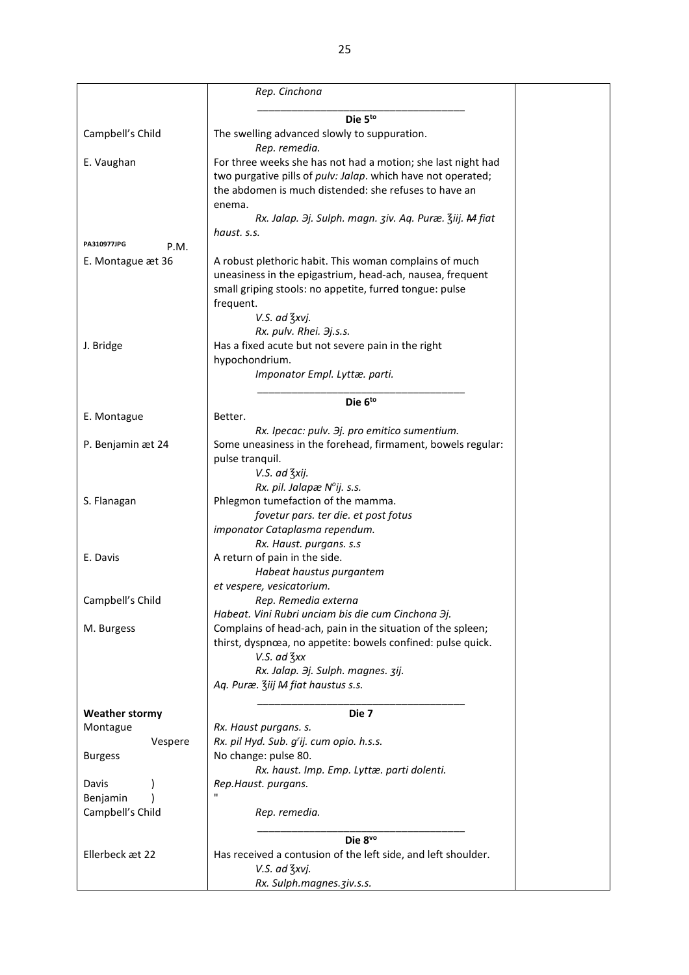|                       | Rep. Cinchona                                                                  |  |
|-----------------------|--------------------------------------------------------------------------------|--|
|                       | Die 5to                                                                        |  |
| Campbell's Child      | The swelling advanced slowly to suppuration.                                   |  |
|                       | Rep. remedia.                                                                  |  |
| E. Vaughan            | For three weeks she has not had a motion; she last night had                   |  |
|                       | two purgative pills of pulv: Jalap. which have not operated;                   |  |
|                       | the abdomen is much distended: she refuses to have an                          |  |
|                       | enema.                                                                         |  |
|                       | Rx. Jalap. 3j. Sulph. magn. ziv. Aq. Puræ. Ziij. M fiat                        |  |
| PA310977JPG<br>P.M.   | haust. s.s.                                                                    |  |
|                       | A robust plethoric habit. This woman complains of much                         |  |
| E. Montague æt 36     | uneasiness in the epigastrium, head-ach, nausea, frequent                      |  |
|                       | small griping stools: no appetite, furred tongue: pulse                        |  |
|                       | frequent.                                                                      |  |
|                       | V.S. ad 3xvj.                                                                  |  |
|                       | Rx. pulv. Rhei. 3j.s.s.                                                        |  |
| J. Bridge             | Has a fixed acute but not severe pain in the right                             |  |
|                       | hypochondrium.                                                                 |  |
|                       | Imponator Empl. Lyttæ. parti.                                                  |  |
|                       |                                                                                |  |
|                       | Die 6to                                                                        |  |
| E. Montague           | Better.                                                                        |  |
|                       | Rx. Ipecac: pulv. Эј. pro emitico sumentium.                                   |  |
| P. Benjamin æt 24     | Some uneasiness in the forehead, firmament, bowels regular:                    |  |
|                       | pulse tranquil.                                                                |  |
|                       | V.S. ad 3xij.                                                                  |  |
|                       | Rx. pil. Jalapæ N°ij. s.s.                                                     |  |
| S. Flanagan           | Phlegmon tumefaction of the mamma.                                             |  |
|                       | fovetur pars. ter die. et post fotus<br>imponator Cataplasma rependum.         |  |
|                       |                                                                                |  |
| E. Davis              | Rx. Haust. purgans. s.s<br>A return of pain in the side.                       |  |
|                       | Habeat haustus purgantem                                                       |  |
|                       | et vespere, vesicatorium.                                                      |  |
| Campbell's Child      | Rep. Remedia externa                                                           |  |
|                       | Habeat. Vini Rubri unciam bis die cum Cinchona 3j.                             |  |
| M. Burgess            | Complains of head-ach, pain in the situation of the spleen;                    |  |
|                       | thirst, dyspnœa, no appetite: bowels confined: pulse quick.                    |  |
|                       | $V.S.$ ad $\frac{7}{3}xx$                                                      |  |
|                       | Rx. Jalap. 3j. Sulph. magnes. 3ij.                                             |  |
|                       | Aq. Puræ. Ziij M fiat haustus s.s.                                             |  |
|                       |                                                                                |  |
| <b>Weather stormy</b> | Die 7                                                                          |  |
| Montague              | Rx. Haust purgans. s.                                                          |  |
| Vespere               | Rx. pil Hyd. Sub. g'ij. cum opio. h.s.s.                                       |  |
| <b>Burgess</b>        | No change: pulse 80.                                                           |  |
|                       | Rx. haust. Imp. Emp. Lyttæ. parti dolenti.                                     |  |
| Davis                 | Rep.Haust. purgans.                                                            |  |
| Benjamin              | п                                                                              |  |
| Campbell's Child      | Rep. remedia.                                                                  |  |
|                       |                                                                                |  |
|                       | Die 8vo                                                                        |  |
| Ellerbeck æt 22       | Has received a contusion of the left side, and left shoulder.<br>V.S. ad 3xvj. |  |
|                       |                                                                                |  |
|                       | Rx. Sulph.magnes. ziv.s.s.                                                     |  |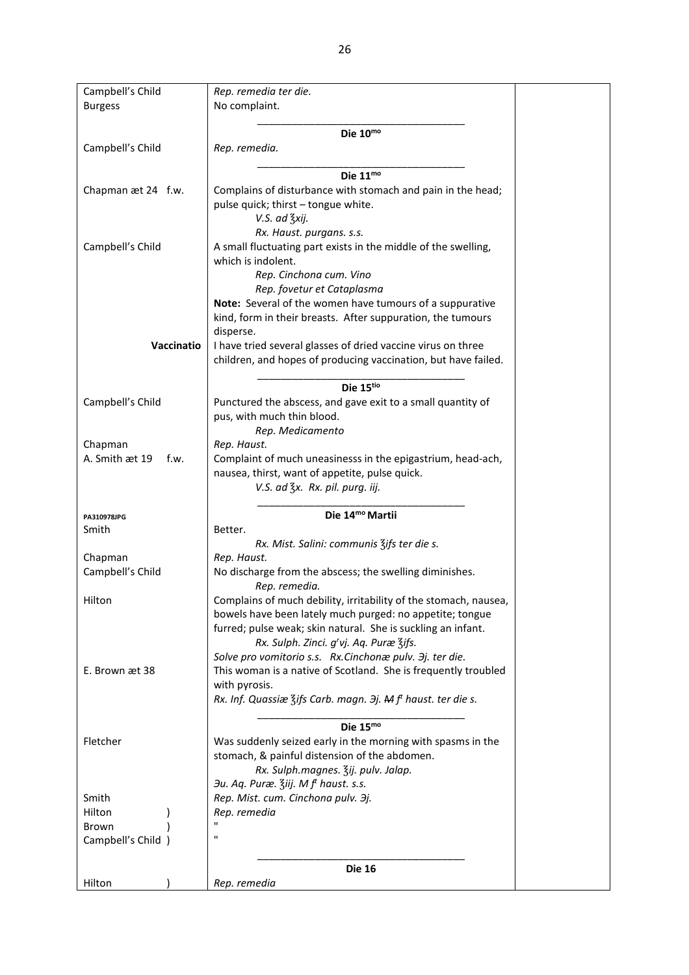| Campbell's Child       | Rep. remedia ter die.                                                    |
|------------------------|--------------------------------------------------------------------------|
| <b>Burgess</b>         | No complaint.                                                            |
|                        |                                                                          |
|                        | Die $10^{mo}$                                                            |
| Campbell's Child       | Rep. remedia.                                                            |
|                        |                                                                          |
|                        | Die $11^{mo}$                                                            |
|                        |                                                                          |
| Chapman æt 24 f.w.     | Complains of disturbance with stomach and pain in the head;              |
|                        | pulse quick; thirst - tongue white.                                      |
|                        | V.S. ad 3xij.                                                            |
|                        | Rx. Haust. purgans. s.s.                                                 |
| Campbell's Child       | A small fluctuating part exists in the middle of the swelling,           |
|                        | which is indolent.                                                       |
|                        | Rep. Cinchona cum. Vino                                                  |
|                        |                                                                          |
|                        | Rep. fovetur et Cataplasma                                               |
|                        | Note: Several of the women have tumours of a suppurative                 |
|                        | kind, form in their breasts. After suppuration, the tumours              |
|                        | disperse.                                                                |
| Vaccinatio             | I have tried several glasses of dried vaccine virus on three             |
|                        | children, and hopes of producing vaccination, but have failed.           |
|                        |                                                                          |
|                        |                                                                          |
|                        | Die 15tio                                                                |
| Campbell's Child       | Punctured the abscess, and gave exit to a small quantity of              |
|                        | pus, with much thin blood.                                               |
|                        | Rep. Medicamento                                                         |
| Chapman                | Rep. Haust.                                                              |
| A. Smith æt 19<br>f.w. | Complaint of much uneasinesss in the epigastrium, head-ach,              |
|                        | nausea, thirst, want of appetite, pulse quick.                           |
|                        |                                                                          |
|                        | V.S. ad 3x. Rx. pil. purg. iij.                                          |
|                        |                                                                          |
| PA310978JPG            | Die 14 <sup>mo</sup> Martii                                              |
| Smith                  | Better.                                                                  |
|                        | Rx. Mist. Salini: communis 3ifs ter die s.                               |
| Chapman                | Rep. Haust.                                                              |
| Campbell's Child       | No discharge from the abscess; the swelling diminishes.                  |
|                        |                                                                          |
|                        | Rep. remedia.                                                            |
| Hilton                 | Complains of much debility, irritability of the stomach, nausea,         |
|                        | bowels have been lately much purged: no appetite; tongue                 |
|                        | furred; pulse weak; skin natural. She is suckling an infant.             |
|                        | Rx. Sulph. Zinci. g'vj. Aq. Puræ 3ifs.                                   |
|                        | Solve pro vomitorio s.s. Rx.Cinchonæ pulv. 3j. ter die.                  |
| E. Brown æt 38         | This woman is a native of Scotland. She is frequently troubled           |
|                        |                                                                          |
|                        | with pyrosis.                                                            |
|                        | Rx. Inf. Quassiæ Zifs Carb. magn. 3j. M f <sup>t</sup> haust. ter die s. |
|                        |                                                                          |
|                        | Die $15^{mo}$                                                            |
| Fletcher               | Was suddenly seized early in the morning with spasms in the              |
|                        | stomach, & painful distension of the abdomen.                            |
|                        | Rx. Sulph.magnes. 3ij. pulv. Jalap.                                      |
|                        | 3u. Aq. Puræ. Ziij. M f <sup>t</sup> haust. s.s.                         |
|                        |                                                                          |
| Smith                  | Rep. Mist. cum. Cinchona pulv. 3j.                                       |
| Hilton                 | Rep. remedia                                                             |
| Brown                  | $\mathbf{H}$                                                             |
| Campbell's Child )     | п                                                                        |
|                        |                                                                          |
|                        | <b>Die 16</b>                                                            |
| Hilton                 | Rep. remedia                                                             |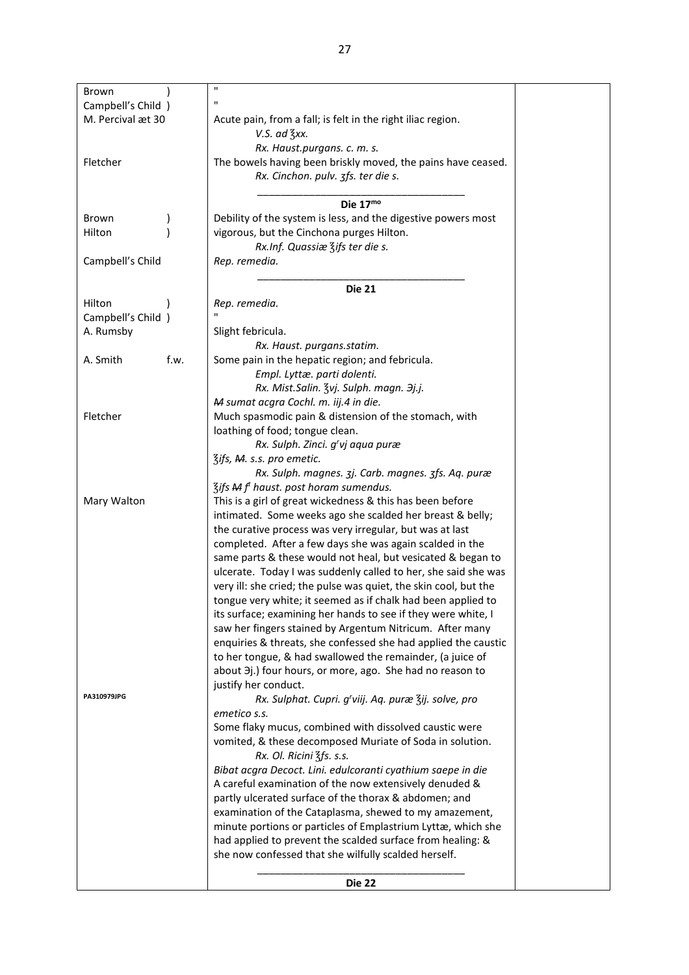| Brown                                   | $\blacksquare$                                                   |  |
|-----------------------------------------|------------------------------------------------------------------|--|
|                                         | п                                                                |  |
| Campbell's Child )<br>M. Percival æt 30 | Acute pain, from a fall; is felt in the right iliac region.      |  |
|                                         | $V.S.$ ad $\frac{7}{5}xx.$                                       |  |
|                                         |                                                                  |  |
|                                         | Rx. Haust.purgans. c. m. s.                                      |  |
| Fletcher                                | The bowels having been briskly moved, the pains have ceased.     |  |
|                                         | Rx. Cinchon. pulv. 3fs. ter die s.                               |  |
|                                         |                                                                  |  |
|                                         | Die 17mo                                                         |  |
| Brown                                   | Debility of the system is less, and the digestive powers most    |  |
| Hilton                                  | vigorous, but the Cinchona purges Hilton.                        |  |
|                                         | Rx.Inf. Quassiæ Zifs ter die s.                                  |  |
| Campbell's Child                        | Rep. remedia.                                                    |  |
|                                         |                                                                  |  |
|                                         | <b>Die 21</b>                                                    |  |
| Hilton                                  | Rep. remedia.                                                    |  |
| Campbell's Child )                      |                                                                  |  |
| A. Rumsby                               | Slight febricula.                                                |  |
|                                         | Rx. Haust. purgans.statim.                                       |  |
| A. Smith<br>f.w.                        | Some pain in the hepatic region; and febricula.                  |  |
|                                         | Empl. Lyttæ. parti dolenti.                                      |  |
|                                         | Rx. Mist.Salin. Zvj. Sulph. magn. 3j.j.                          |  |
|                                         | M sumat acgra Cochl. m. iij.4 in die.                            |  |
| Fletcher                                | Much spasmodic pain & distension of the stomach, with            |  |
|                                         | loathing of food; tongue clean.                                  |  |
|                                         | Rx. Sulph. Zinci. g'vj aqua puræ                                 |  |
|                                         | 3ifs, M. s.s. pro emetic.                                        |  |
|                                         | Rx. Sulph. magnes. 3j. Carb. magnes. 3fs. Aq. puræ               |  |
|                                         | 3ifs M f haust. post horam sumendus.                             |  |
| Mary Walton                             | This is a girl of great wickedness & this has been before        |  |
|                                         | intimated. Some weeks ago she scalded her breast & belly;        |  |
|                                         | the curative process was very irregular, but was at last         |  |
|                                         | completed. After a few days she was again scalded in the         |  |
|                                         | same parts & these would not heal, but vesicated & began to      |  |
|                                         | ulcerate. Today I was suddenly called to her, she said she was   |  |
|                                         | very ill: she cried; the pulse was quiet, the skin cool, but the |  |
|                                         | tongue very white; it seemed as if chalk had been applied to     |  |
|                                         | its surface; examining her hands to see if they were white, I    |  |
|                                         | saw her fingers stained by Argentum Nitricum. After many         |  |
|                                         | enquiries & threats, she confessed she had applied the caustic   |  |
|                                         | to her tongue, & had swallowed the remainder, (a juice of        |  |
|                                         | about 3j.) four hours, or more, ago. She had no reason to        |  |
|                                         | justify her conduct.                                             |  |
| PA310979JPG                             | Rx. Sulphat. Cupri. g'viij. Aq. puræ 3ij. solve, pro             |  |
|                                         | emetico s.s.                                                     |  |
|                                         | Some flaky mucus, combined with dissolved caustic were           |  |
|                                         | vomited, & these decomposed Muriate of Soda in solution.         |  |
|                                         | Rx. Ol. Ricini 3fs. s.s.                                         |  |
|                                         | Bibat acgra Decoct. Lini. edulcoranti cyathium saepe in die      |  |
|                                         | A careful examination of the now extensively denuded &           |  |
|                                         |                                                                  |  |
|                                         | partly ulcerated surface of the thorax & abdomen; and            |  |
|                                         | examination of the Cataplasma, shewed to my amazement,           |  |
|                                         | minute portions or particles of Emplastrium Lyttæ, which she     |  |
|                                         | had applied to prevent the scalded surface from healing: &       |  |
|                                         | she now confessed that she wilfully scalded herself.             |  |
|                                         |                                                                  |  |
|                                         | <b>Die 22</b>                                                    |  |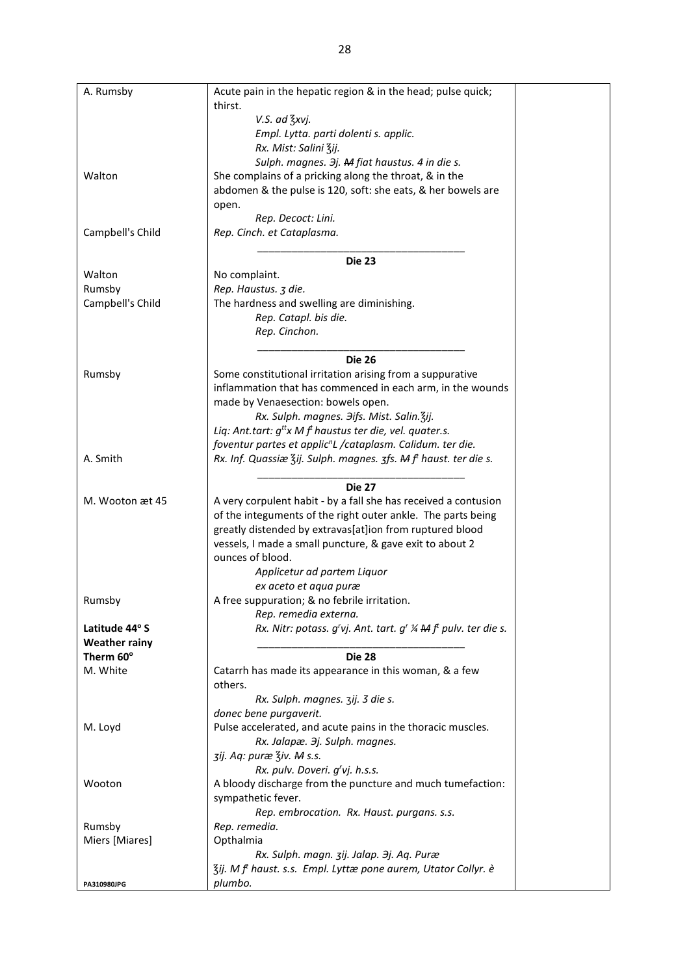| A. Rumsby             | Acute pain in the hepatic region & in the head; pulse quick;               |
|-----------------------|----------------------------------------------------------------------------|
|                       | thirst.                                                                    |
|                       | V.S. ad 3xvj.                                                              |
|                       | Empl. Lytta. parti dolenti s. applic.                                      |
|                       | Rx. Mist: Salini Zij.                                                      |
|                       | Sulph. magnes. $\partial j$ . M fiat haustus. 4 in die s.                  |
| Walton                | She complains of a pricking along the throat, & in the                     |
|                       | abdomen & the pulse is 120, soft: she eats, & her bowels are               |
|                       | open.                                                                      |
|                       | Rep. Decoct: Lini.                                                         |
| Campbell's Child      | Rep. Cinch. et Cataplasma.                                                 |
|                       | <b>Die 23</b>                                                              |
| Walton                | No complaint.                                                              |
| Rumsby                | Rep. Haustus. 3 die.                                                       |
| Campbell's Child      | The hardness and swelling are diminishing.                                 |
|                       | Rep. Catapl. bis die.                                                      |
|                       | Rep. Cinchon.                                                              |
|                       |                                                                            |
|                       | <b>Die 26</b>                                                              |
| Rumsby                | Some constitutional irritation arising from a suppurative                  |
|                       | inflammation that has commenced in each arm, in the wounds                 |
|                       | made by Venaesection: bowels open.                                         |
|                       | Rx. Sulph. magnes. Jifs. Mist. Salin. 3ij.                                 |
|                       | Liq: Ant.tart: $g^{tt}x Mf^{t}$ haustus ter die, vel. quater.s.            |
|                       | foventur partes et applic <sup>n</sup> L /cataplasm. Calidum. ter die.     |
| A. Smith              | Rx. Inf. Quassiæ Zij. Sulph. magnes. zfs. A f haust. ter die s.            |
|                       |                                                                            |
|                       | <b>Die 27</b>                                                              |
| M. Wooton æt 45       | A very corpulent habit - by a fall she has received a contusion            |
|                       | of the integuments of the right outer ankle. The parts being               |
|                       | greatly distended by extravas[at]ion from ruptured blood                   |
|                       | vessels, I made a small puncture, & gave exit to about 2                   |
|                       | ounces of blood.                                                           |
|                       | Applicetur ad partem Liquor                                                |
|                       | ex aceto et aqua puræ                                                      |
| Rumsby                | A free suppuration; & no febrile irritation.                               |
|                       | Rep. remedia externa.                                                      |
| Latitude 44° S        | Rx. Nitr: potass. g'vj. Ant. tart. g' 1/4 M ft pulv. ter die s.            |
| <b>Weather rainy</b>  | <b>Die 28</b>                                                              |
| Therm 60°<br>M. White |                                                                            |
|                       | Catarrh has made its appearance in this woman, & a few<br>others.          |
|                       | Rx. Sulph. magnes. 3ij. 3 die s.                                           |
|                       | donec bene purgaverit.                                                     |
| M. Loyd               | Pulse accelerated, and acute pains in the thoracic muscles.                |
|                       | Rx. Jalapæ. 3j. Sulph. magnes.                                             |
|                       | zij. Aq: puræ Ziv. M s.s.                                                  |
|                       | Rx. pulv. Doveri. g'vj. h.s.s.                                             |
| Wooton                | A bloody discharge from the puncture and much tumefaction:                 |
|                       | sympathetic fever.                                                         |
|                       | Rep. embrocation. Rx. Haust. purgans. s.s.                                 |
| Rumsby                | Rep. remedia.                                                              |
| Miers [Miares]        | Opthalmia                                                                  |
|                       | Rx. Sulph. magn. zij. Jalap. 3j. Aq. Puræ                                  |
|                       | 3ij. M f <sup>t</sup> haust. s.s. Empl. Lyttæ pone aurem, Utator Collyr. è |
| PA310980JPG           | plumbo.                                                                    |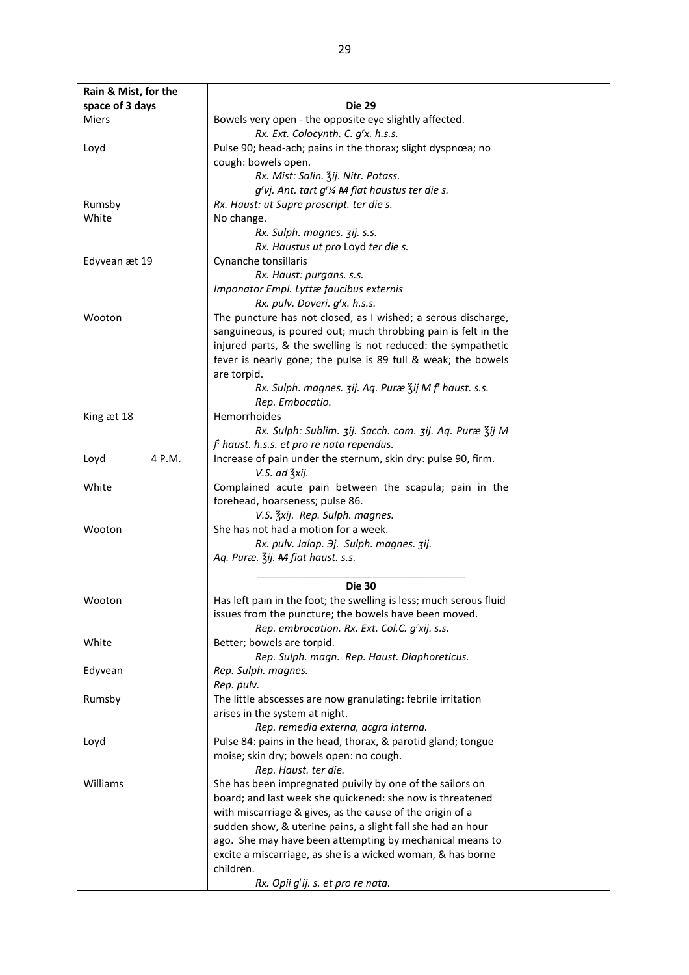| Rain & Mist, for the |                                                                                |  |
|----------------------|--------------------------------------------------------------------------------|--|
| space of 3 days      | <b>Die 29</b>                                                                  |  |
| Miers                | Bowels very open - the opposite eye slightly affected.                         |  |
|                      | Rx. Ext. Colocynth. C. g'x. h.s.s.                                             |  |
| Loyd                 | Pulse 90; head-ach; pains in the thorax; slight dyspnœa; no                    |  |
|                      | cough: bowels open.                                                            |  |
|                      | Rx. Mist: Salin. Zij. Nitr. Potass.                                            |  |
|                      | g'vj. Ant. tart g'% M fiat haustus ter die s.                                  |  |
| Rumsby               | Rx. Haust: ut Supre proscript. ter die s.                                      |  |
| White                | No change.                                                                     |  |
|                      | Rx. Sulph. magnes. 3ij. s.s.                                                   |  |
|                      | Rx. Haustus ut pro Loyd ter die s.                                             |  |
|                      |                                                                                |  |
| Edyvean æt 19        | Cynanche tonsillaris                                                           |  |
|                      | Rx. Haust: purgans. s.s.                                                       |  |
|                      | Imponator Empl. Lyttæ faucibus externis                                        |  |
|                      | Rx. pulv. Doveri. g'x. h.s.s.                                                  |  |
| Wooton               | The puncture has not closed, as I wished; a serous discharge,                  |  |
|                      | sanguineous, is poured out; much throbbing pain is felt in the                 |  |
|                      | injured parts, & the swelling is not reduced: the sympathetic                  |  |
|                      | fever is nearly gone; the pulse is 89 full & weak; the bowels                  |  |
|                      | are torpid.                                                                    |  |
|                      | Rx. Sulph. magnes. 3ij. Aq. Puræ 3ij M f haust. s.s.                           |  |
|                      | Rep. Embocatio.                                                                |  |
| King æt 18           | Hemorrhoides                                                                   |  |
|                      | Rx. Sulph: Sublim. 3ij. Sacch. com. 3ij. Aq. Puræ 3ij M                        |  |
|                      | $ft$ haust. h.s.s. et pro re nata rependus.                                    |  |
| 4 P.M.<br>Loyd       | Increase of pain under the sternum, skin dry: pulse 90, firm.<br>V.S. ad 3xij. |  |
| White                | Complained acute pain between the scapula; pain in the                         |  |
|                      | forehead, hoarseness; pulse 86.                                                |  |
|                      | V.S. Zxij. Rep. Sulph. magnes.                                                 |  |
| Wooton               | She has not had a motion for a week.                                           |  |
|                      | Rx. pulv. Jalap. 3j. Sulph. magnes. 3ij.                                       |  |
|                      | Aq. Puræ. Zij. M fiat haust. s.s.                                              |  |
|                      |                                                                                |  |
|                      | <b>Die 30</b>                                                                  |  |
| Wooton               | Has left pain in the foot; the swelling is less; much serous fluid             |  |
|                      | issues from the puncture; the bowels have been moved.                          |  |
|                      | Rep. embrocation. Rx. Ext. Col.C. g'xij. s.s.                                  |  |
| White                | Better; bowels are torpid.                                                     |  |
|                      | Rep. Sulph. magn. Rep. Haust. Diaphoreticus.                                   |  |
| Edyvean              | Rep. Sulph. magnes.                                                            |  |
|                      | Rep. pulv.                                                                     |  |
| Rumsby               | The little abscesses are now granulating: febrile irritation                   |  |
|                      | arises in the system at night.                                                 |  |
|                      | Rep. remedia externa, acgra interna.                                           |  |
| Loyd                 | Pulse 84: pains in the head, thorax, & parotid gland; tongue                   |  |
|                      | moise; skin dry; bowels open: no cough.                                        |  |
|                      | Rep. Haust. ter die.                                                           |  |
| Williams             | She has been impregnated puivily by one of the sailors on                      |  |
|                      | board; and last week she quickened: she now is threatened                      |  |
|                      | with miscarriage & gives, as the cause of the origin of a                      |  |
|                      | sudden show, & uterine pains, a slight fall she had an hour                    |  |
|                      | ago. She may have been attempting by mechanical means to                       |  |
|                      | excite a miscarriage, as she is a wicked woman, & has borne                    |  |
|                      | children.                                                                      |  |
|                      | Rx. Opii g'ij. s. et pro re nata.                                              |  |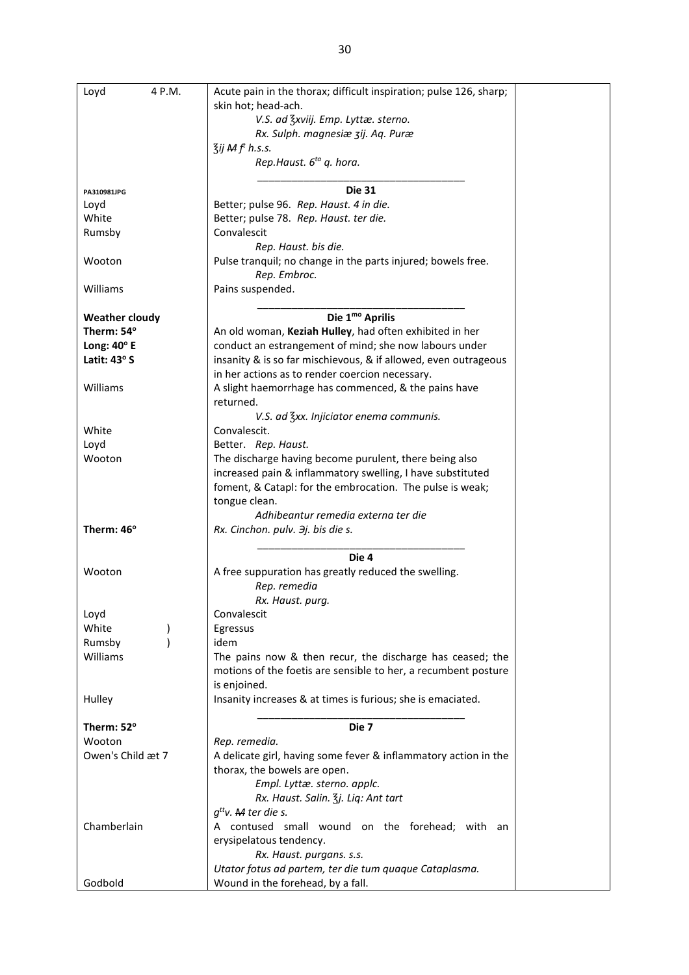| Loyd<br>4 P.M.        | Acute pain in the thorax; difficult inspiration; pulse 126, sharp; |
|-----------------------|--------------------------------------------------------------------|
|                       | skin hot; head-ach.                                                |
|                       | V.S. ad 3xviij. Emp. Lyttæ. sterno.                                |
|                       | Rx. Sulph. magnesiæ zij. Aq. Puræ                                  |
|                       | $\overline{3}$ ij M $ft$ h.s.s.                                    |
|                       | Rep.Haust. 6 <sup>ta</sup> q. hora.                                |
|                       |                                                                    |
| PA310981JPG           | <b>Die 31</b>                                                      |
| Loyd                  | Better; pulse 96. Rep. Haust. 4 in die.                            |
| White                 | Better; pulse 78. Rep. Haust. ter die.                             |
| Rumsby                | Convalescit                                                        |
|                       | Rep. Haust. bis die.                                               |
| Wooton                | Pulse tranquil; no change in the parts injured; bowels free.       |
|                       | Rep. Embroc.                                                       |
| Williams              | Pains suspended.                                                   |
|                       |                                                                    |
| <b>Weather cloudy</b> | Die 1 <sup>mo</sup> Aprilis                                        |
| Therm: 54°            | An old woman, Keziah Hulley, had often exhibited in her            |
| Long: $40^\circ$ E    | conduct an estrangement of mind; she now labours under             |
| Latit: 43° S          | insanity & is so far mischievous, & if allowed, even outrageous    |
|                       | in her actions as to render coercion necessary.                    |
| Williams              | A slight haemorrhage has commenced, & the pains have               |
|                       | returned.                                                          |
|                       | V.S. ad 3xx. Injiciator enema communis.                            |
| White                 | Convalescit.                                                       |
| Loyd                  | Better. Rep. Haust.                                                |
| Wooton                | The discharge having become purulent, there being also             |
|                       | increased pain & inflammatory swelling, I have substituted         |
|                       |                                                                    |
|                       | foment, & Catapl: for the embrocation. The pulse is weak;          |
|                       | tongue clean.                                                      |
| Therm: 46°            | Adhibeantur remedia externa ter die                                |
|                       | Rx. Cinchon. pulv. 3j. bis die s.                                  |
|                       | Die 4                                                              |
| Wooton                | A free suppuration has greatly reduced the swelling.               |
|                       |                                                                    |
|                       | Rep. remedia                                                       |
|                       | Rx. Haust. purg.                                                   |
| Loyd                  | Convalescit                                                        |
| White                 | Egressus                                                           |
| Rumsby                | idem                                                               |
| Williams              | The pains now & then recur, the discharge has ceased; the          |
|                       | motions of the foetis are sensible to her, a recumbent posture     |
|                       | is enjoined.                                                       |
| Hulley                | Insanity increases & at times is furious; she is emaciated.        |
|                       |                                                                    |
| Therm: 52°            | Die 7                                                              |
| Wooton                | Rep. remedia.                                                      |
| Owen's Child æt 7     | A delicate girl, having some fever & inflammatory action in the    |
|                       | thorax, the bowels are open.                                       |
|                       | Empl. Lyttæ. sterno. applc.                                        |
|                       | Rx. Haust. Salin. 3j. Liq: Ant tart                                |
|                       | $q^{tt}$ v. M ter die s.                                           |
| Chamberlain           | A contused small wound on the forehead; with an                    |
|                       | erysipelatous tendency.                                            |
|                       | Rx. Haust. purgans. s.s.                                           |
|                       | Utator fotus ad partem, ter die tum quaque Cataplasma.             |
| Godhold               | Wound in the forehead by a fall                                    |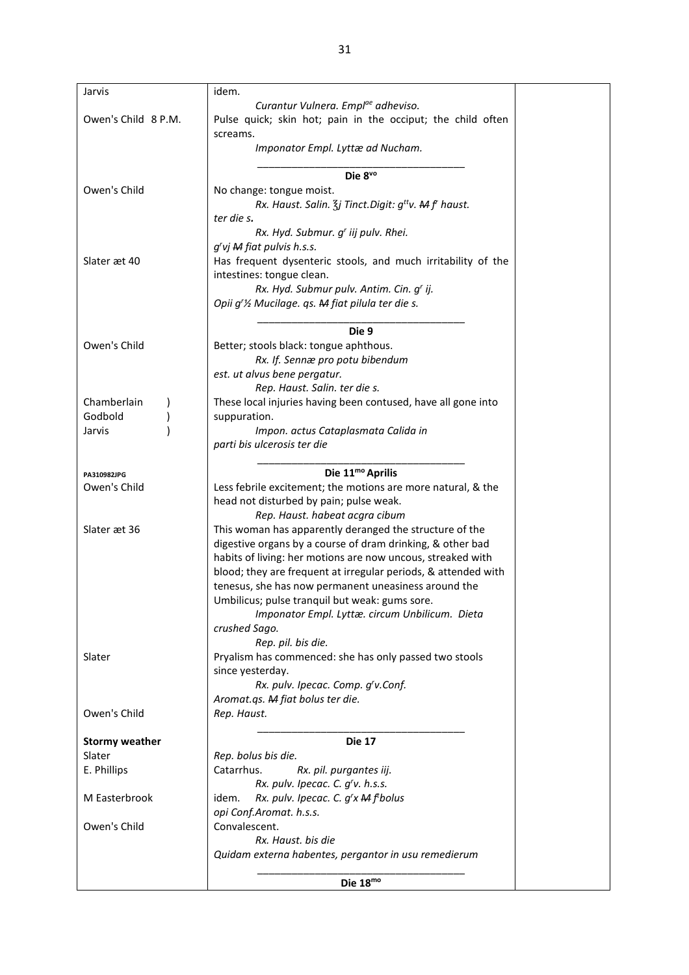| Jarvis                | idem.                                                                   |  |
|-----------------------|-------------------------------------------------------------------------|--|
|                       | Curantur Vulnera. Empl <sup>ae</sup> adheviso.                          |  |
| Owen's Child 8 P.M.   | Pulse quick; skin hot; pain in the occiput; the child often             |  |
|                       | screams.                                                                |  |
|                       | Imponator Empl. Lyttæ ad Nucham.                                        |  |
|                       |                                                                         |  |
|                       | Die 8vo                                                                 |  |
| Owen's Child          | No change: tongue moist.                                                |  |
|                       | Rx. Haust. Salin. $\zeta$ <i>j</i> Tinct. Digit: $g^{tt}v$ . M f haust. |  |
|                       | ter die s.                                                              |  |
|                       | Rx. Hyd. Submur. g' iij pulv. Rhei.                                     |  |
|                       | g'vj M fiat pulvis h.s.s.                                               |  |
| Slater æt 40          | Has frequent dysenteric stools, and much irritability of the            |  |
|                       | intestines: tongue clean.                                               |  |
|                       | Rx. Hyd. Submur pulv. Antim. Cin. g' ij.                                |  |
|                       | Opii g'1/2 Mucilage. qs. M fiat pilula ter die s.                       |  |
|                       |                                                                         |  |
|                       | Die 9                                                                   |  |
| Owen's Child          | Better; stools black: tongue aphthous.                                  |  |
|                       | Rx. If. Sennæ pro potu bibendum                                         |  |
|                       | est. ut alvus bene pergatur.                                            |  |
|                       | Rep. Haust. Salin. ter die s.                                           |  |
| Chamberlain           | These local injuries having been contused, have all gone into           |  |
| Godbold               | suppuration.                                                            |  |
| Jarvis                | Impon. actus Cataplasmata Calida in                                     |  |
|                       | parti bis ulcerosis ter die                                             |  |
|                       |                                                                         |  |
| PA310982JPG           | Die 11 <sup>mo</sup> Aprilis                                            |  |
| Owen's Child          | Less febrile excitement; the motions are more natural, & the            |  |
|                       | head not disturbed by pain; pulse weak.                                 |  |
|                       | Rep. Haust. habeat acgra cibum                                          |  |
| Slater æt 36          | This woman has apparently deranged the structure of the                 |  |
|                       | digestive organs by a course of dram drinking, & other bad              |  |
|                       | habits of living: her motions are now uncous, streaked with             |  |
|                       | blood; they are frequent at irregular periods, & attended with          |  |
|                       | tenesus, she has now permanent uneasiness around the                    |  |
|                       | Umbilicus; pulse tranquil but weak: gums sore.                          |  |
|                       | Imponator Empl. Lyttæ. circum Unbilicum. Dieta                          |  |
|                       | crushed Sago.                                                           |  |
|                       | Rep. pil. bis die.                                                      |  |
| Slater                | Pryalism has commenced: she has only passed two stools                  |  |
|                       | since yesterday.                                                        |  |
|                       | Rx. pulv. Ipecac. Comp. g'v.Conf.                                       |  |
|                       | Aromat.qs. M fiat bolus ter die.                                        |  |
| Owen's Child          | Rep. Haust.                                                             |  |
|                       |                                                                         |  |
| <b>Stormy weather</b> | <b>Die 17</b>                                                           |  |
| Slater                | Rep. bolus bis die.                                                     |  |
| E. Phillips           | Catarrhus.<br>Rx. pil. purgantes iij.                                   |  |
|                       | Rx. pulv. Ipecac. C. g'v. h.s.s.                                        |  |
| M Easterbrook         | Rx. pulv. Ipecac. C. g'x M f bolus<br>idem.                             |  |
|                       | opi Conf.Aromat. h.s.s.                                                 |  |
| Owen's Child          | Convalescent.                                                           |  |
|                       | Rx. Haust. bis die                                                      |  |
|                       | Quidam externa habentes, pergantor in usu remedierum                    |  |
|                       |                                                                         |  |
|                       | $\mathsf{Dio}$ 18 <sup>mo</sup>                                         |  |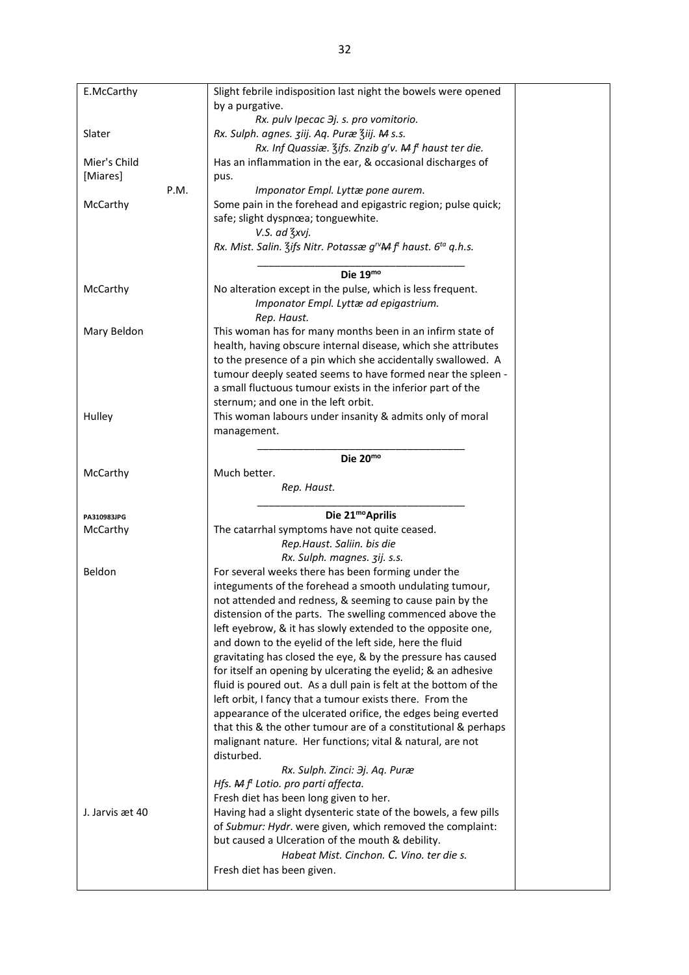| E.McCarthy      | Slight febrile indisposition last night the bowels were opened                                     |  |
|-----------------|----------------------------------------------------------------------------------------------------|--|
|                 | by a purgative.                                                                                    |  |
|                 | Rx. pulv Ipecac $\partial j$ . s. pro vomitorio.                                                   |  |
| Slater          | Rx. Sulph. agnes. ziij. Aq. Puræ Ziij. M s.s.                                                      |  |
|                 | Rx. Inf Quassiæ. $\frac{7}{5}$ ifs. Znzib g'v. M f <sup>t</sup> haust ter die.                     |  |
| Mier's Child    | Has an inflammation in the ear, & occasional discharges of                                         |  |
| [Miares]        | pus.                                                                                               |  |
| P.M.            | Imponator Empl. Lyttæ pone aurem.                                                                  |  |
| McCarthy        | Some pain in the forehead and epigastric region; pulse quick;                                      |  |
|                 | safe; slight dyspnœa; tonguewhite.                                                                 |  |
|                 | V.S. ad 3xvj.                                                                                      |  |
|                 |                                                                                                    |  |
|                 | Rx. Mist. Salin. Zifs Nitr. Potassæ g <sup>rv</sup> M f <sup>t</sup> haust. 6 <sup>ta</sup> q.h.s. |  |
|                 |                                                                                                    |  |
|                 | Die 19mo                                                                                           |  |
| McCarthy        | No alteration except in the pulse, which is less frequent.                                         |  |
|                 | Imponator Empl. Lyttæ ad epigastrium.                                                              |  |
|                 | Rep. Haust.                                                                                        |  |
| Mary Beldon     | This woman has for many months been in an infirm state of                                          |  |
|                 | health, having obscure internal disease, which she attributes                                      |  |
|                 | to the presence of a pin which she accidentally swallowed. A                                       |  |
|                 | tumour deeply seated seems to have formed near the spleen -                                        |  |
|                 | a small fluctuous tumour exists in the inferior part of the                                        |  |
|                 | sternum; and one in the left orbit.                                                                |  |
| Hulley          | This woman labours under insanity & admits only of moral                                           |  |
|                 | management.                                                                                        |  |
|                 |                                                                                                    |  |
|                 | Die 20mo                                                                                           |  |
| McCarthy        | Much better.                                                                                       |  |
|                 |                                                                                                    |  |
|                 |                                                                                                    |  |
|                 | Rep. Haust.                                                                                        |  |
|                 |                                                                                                    |  |
| PA310983JPG     | Die 21 <sup>mo</sup> Aprilis                                                                       |  |
| McCarthy        | The catarrhal symptoms have not quite ceased.                                                      |  |
|                 | Rep.Haust. Saliin. bis die                                                                         |  |
|                 | Rx. Sulph. magnes. 3ij. s.s.                                                                       |  |
| Beldon          | For several weeks there has been forming under the                                                 |  |
|                 | integuments of the forehead a smooth undulating tumour,                                            |  |
|                 | not attended and redness, & seeming to cause pain by the                                           |  |
|                 | distension of the parts. The swelling commenced above the                                          |  |
|                 | left eyebrow, & it has slowly extended to the opposite one,                                        |  |
|                 | and down to the eyelid of the left side, here the fluid                                            |  |
|                 | gravitating has closed the eye, & by the pressure has caused                                       |  |
|                 | for itself an opening by ulcerating the eyelid; & an adhesive                                      |  |
|                 | fluid is poured out. As a dull pain is felt at the bottom of the                                   |  |
|                 | left orbit, I fancy that a tumour exists there. From the                                           |  |
|                 | appearance of the ulcerated orifice, the edges being everted                                       |  |
|                 | that this & the other tumour are of a constitutional & perhaps                                     |  |
|                 | malignant nature. Her functions; vital & natural, are not                                          |  |
|                 | disturbed.                                                                                         |  |
|                 |                                                                                                    |  |
|                 | Rx. Sulph. Zinci: Эј. Aq. Puræ                                                                     |  |
|                 | Hfs. $Mf$ <sup>t</sup> Lotio. pro parti affecta.                                                   |  |
| J. Jarvis æt 40 | Fresh diet has been long given to her.                                                             |  |
|                 | Having had a slight dysenteric state of the bowels, a few pills                                    |  |
|                 | of Submur: Hydr. were given, which removed the complaint:                                          |  |
|                 | but caused a Ulceration of the mouth & debility.                                                   |  |
|                 | Habeat Mist. Cinchon. C. Vino. ter die s.<br>Fresh diet has been given.                            |  |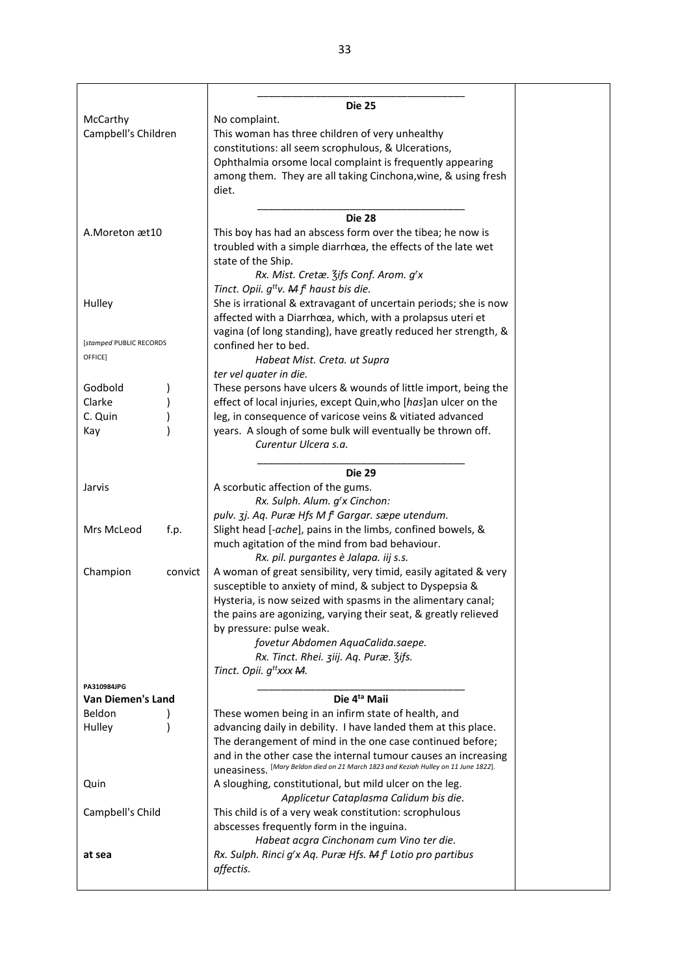|                          | <b>Die 25</b>                                                                      |  |
|--------------------------|------------------------------------------------------------------------------------|--|
| McCarthy                 | No complaint.                                                                      |  |
| Campbell's Children      | This woman has three children of very unhealthy                                    |  |
|                          | constitutions: all seem scrophulous, & Ulcerations,                                |  |
|                          |                                                                                    |  |
|                          | Ophthalmia orsome local complaint is frequently appearing                          |  |
|                          | among them. They are all taking Cinchona, wine, & using fresh                      |  |
|                          | diet.                                                                              |  |
|                          |                                                                                    |  |
|                          | <b>Die 28</b>                                                                      |  |
| A. Moreton æt 10         | This boy has had an abscess form over the tibea; he now is                         |  |
|                          | troubled with a simple diarrhœa, the effects of the late wet                       |  |
|                          | state of the Ship.                                                                 |  |
|                          | Rx. Mist. Cretæ. Zifs Conf. Arom. g'x                                              |  |
|                          | Tinct. Opii. $g^{tt}v$ . A f <sup>t</sup> haust bis die.                           |  |
| Hulley                   | She is irrational & extravagant of uncertain periods; she is now                   |  |
|                          | affected with a Diarrhœa, which, with a prolapsus uteri et                         |  |
|                          | vagina (of long standing), have greatly reduced her strength, &                    |  |
| [stamped PUBLIC RECORDS  | confined her to bed.                                                               |  |
| OFFICE]                  | Habeat Mist. Creta. ut Supra                                                       |  |
|                          | ter vel quater in die.                                                             |  |
| Godbold                  | These persons have ulcers & wounds of little import, being the                     |  |
| Clarke                   | effect of local injuries, except Quin, who [has]an ulcer on the                    |  |
| C. Quin                  | leg, in consequence of varicose veins & vitiated advanced                          |  |
| Kay                      | years. A slough of some bulk will eventually be thrown off.                        |  |
|                          | Curentur Ulcera s.a.                                                               |  |
|                          |                                                                                    |  |
|                          | <b>Die 29</b>                                                                      |  |
| Jarvis                   | A scorbutic affection of the gums.                                                 |  |
|                          | Rx. Sulph. Alum. g'x Cinchon:                                                      |  |
|                          | pulv. 3j. Aq. Puræ Hfs M f <sup>t</sup> Gargar. sæpe utendum.                      |  |
| Mrs McLeod<br>f.p.       | Slight head [-ache], pains in the limbs, confined bowels, &                        |  |
|                          | much agitation of the mind from bad behaviour.                                     |  |
|                          | Rx. pil. purgantes è Jalapa. iij s.s.                                              |  |
| Champion<br>convict      | A woman of great sensibility, very timid, easily agitated & very                   |  |
|                          | susceptible to anxiety of mind, & subject to Dyspepsia &                           |  |
|                          | Hysteria, is now seized with spasms in the alimentary canal;                       |  |
|                          | the pains are agonizing, varying their seat, & greatly relieved                    |  |
|                          | by pressure: pulse weak.                                                           |  |
|                          | fovetur Abdomen AquaCalida.saepe.                                                  |  |
|                          | Rx. Tinct. Rhei. ziij. Aq. Puræ. Zifs.                                             |  |
|                          | Tinct. Opii. g <sup>tt</sup> xxx M.                                                |  |
| PA310984JPG              |                                                                                    |  |
| <b>Van Diemen's Land</b> | Die 4 <sup>ta</sup> Maii                                                           |  |
| Beldon                   | These women being in an infirm state of health, and                                |  |
| Hulley                   | advancing daily in debility. I have landed them at this place.                     |  |
|                          | The derangement of mind in the one case continued before;                          |  |
|                          | and in the other case the internal tumour causes an increasing                     |  |
|                          | UNEASINESS. [Mary Beldon died on 21 March 1823 and Keziah Hulley on 11 June 1822]. |  |
| Quin                     | A sloughing, constitutional, but mild ulcer on the leg.                            |  |
|                          | Applicetur Cataplasma Calidum bis die.                                             |  |
| Campbell's Child         | This child is of a very weak constitution: scrophulous                             |  |
|                          | abscesses frequently form in the inguina.                                          |  |
|                          | Habeat acgra Cinchonam cum Vino ter die.                                           |  |
| at sea                   | Rx. Sulph. Rinci g'x Aq. Puræ Hfs. M f <sup>t</sup> Lotio pro partibus             |  |
|                          | affectis.                                                                          |  |
|                          |                                                                                    |  |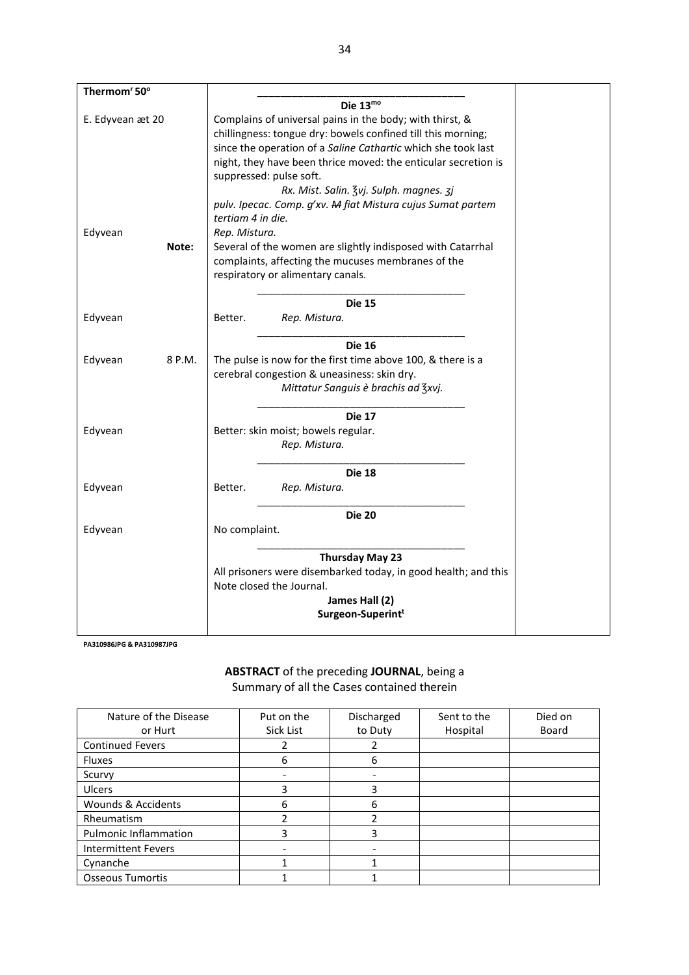| Thermom <sup>r</sup> 50° |                                                                |  |  |  |  |
|--------------------------|----------------------------------------------------------------|--|--|--|--|
|                          | Die $13^{mo}$                                                  |  |  |  |  |
| E. Edyvean æt 20         | Complains of universal pains in the body; with thirst, &       |  |  |  |  |
|                          | chillingness: tongue dry: bowels confined till this morning;   |  |  |  |  |
|                          | since the operation of a Saline Cathartic which she took last  |  |  |  |  |
|                          | night, they have been thrice moved: the enticular secretion is |  |  |  |  |
|                          | suppressed: pulse soft.                                        |  |  |  |  |
|                          | Rx. Mist. Salin. 3vj. Sulph. magnes. 3j                        |  |  |  |  |
|                          | pulv. Ipecac. Comp. g'xv. M fiat Mistura cujus Sumat partem    |  |  |  |  |
|                          | tertiam 4 in die.                                              |  |  |  |  |
| Edyvean                  | Rep. Mistura.                                                  |  |  |  |  |
| Note:                    | Several of the women are slightly indisposed with Catarrhal    |  |  |  |  |
|                          | complaints, affecting the mucuses membranes of the             |  |  |  |  |
|                          | respiratory or alimentary canals.                              |  |  |  |  |
|                          | <b>Die 15</b>                                                  |  |  |  |  |
| Edyvean                  | Better.                                                        |  |  |  |  |
|                          | Rep. Mistura.                                                  |  |  |  |  |
|                          | <b>Die 16</b>                                                  |  |  |  |  |
| Edyvean<br>8 P.M.        | The pulse is now for the first time above 100, & there is a    |  |  |  |  |
|                          | cerebral congestion & uneasiness: skin dry.                    |  |  |  |  |
|                          | Mittatur Sanguis è brachis ad Zxvj.                            |  |  |  |  |
|                          | <b>Die 17</b>                                                  |  |  |  |  |
| Edyvean                  | Better: skin moist; bowels regular.                            |  |  |  |  |
|                          | Rep. Mistura.                                                  |  |  |  |  |
|                          | <b>Die 18</b>                                                  |  |  |  |  |
| Edyvean                  | Rep. Mistura.<br>Better.                                       |  |  |  |  |
|                          | <b>Die 20</b>                                                  |  |  |  |  |
| Edyvean                  | No complaint.                                                  |  |  |  |  |
|                          | Thursday May 23                                                |  |  |  |  |
|                          | All prisoners were disembarked today, in good health; and this |  |  |  |  |
|                          | Note closed the Journal.                                       |  |  |  |  |
|                          | James Hall (2)                                                 |  |  |  |  |
|                          | Surgeon-Superint <sup>t</sup>                                  |  |  |  |  |
|                          |                                                                |  |  |  |  |

PA310986JPG & PA310987JPG

## ABSTRACT of the preceding JOURNAL, being a Summary of all the Cases contained therein

| Nature of the Disease        | Put on the | Discharged | Sent to the | Died on |
|------------------------------|------------|------------|-------------|---------|
| or Hurt                      | Sick List  | to Duty    | Hospital    | Board   |
| <b>Continued Fevers</b>      |            |            |             |         |
| <b>Fluxes</b>                | 6          | 6          |             |         |
| Scurvy                       |            |            |             |         |
| <b>Ulcers</b>                | 3          | 3          |             |         |
| Wounds & Accidents           | 6          | 6          |             |         |
| Rheumatism                   |            | ำ          |             |         |
| <b>Pulmonic Inflammation</b> | 3          | 3          |             |         |
| <b>Intermittent Fevers</b>   |            |            |             |         |
| Cynanche                     |            |            |             |         |
| <b>Osseous Tumortis</b>      |            |            |             |         |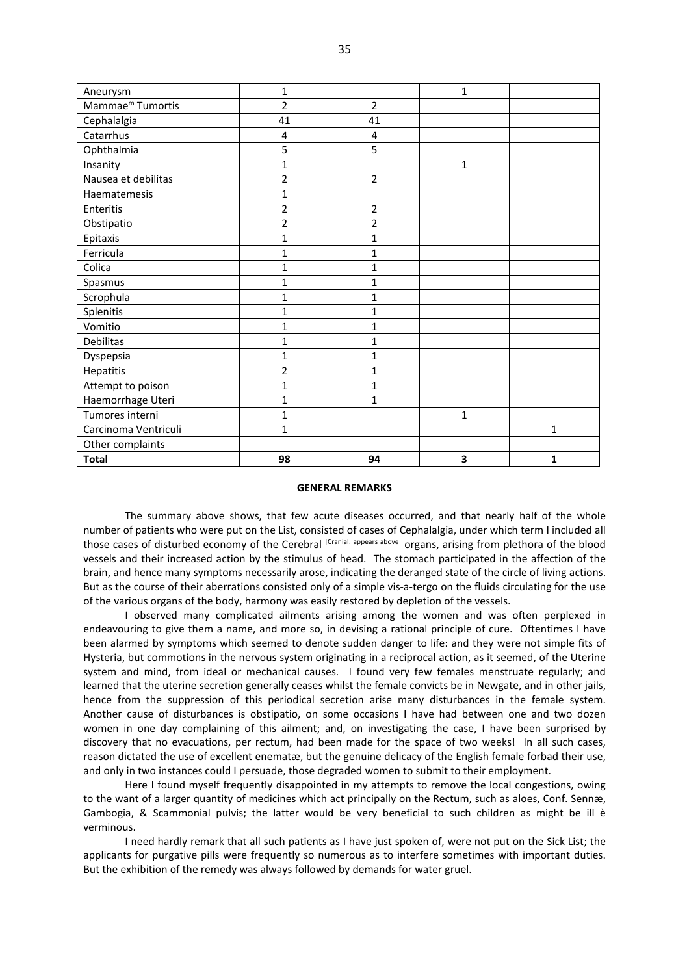| Aneurysm                     | 1              |                | 1            |   |
|------------------------------|----------------|----------------|--------------|---|
| Mammae <sup>m</sup> Tumortis | $\overline{2}$ | 2              |              |   |
| Cephalalgia                  | 41             | 41             |              |   |
| Catarrhus                    | 4              | 4              |              |   |
| Ophthalmia                   | 5              | 5              |              |   |
| Insanity                     | 1              |                | $\mathbf{1}$ |   |
| Nausea et debilitas          | $\overline{2}$ | 2              |              |   |
| Haematemesis                 | 1              |                |              |   |
| Enteritis                    | $\overline{2}$ | 2              |              |   |
| Obstipatio                   | $\overline{2}$ | $\overline{2}$ |              |   |
| Epitaxis                     | 1              | $\mathbf 1$    |              |   |
| Ferricula                    | 1              | 1              |              |   |
| Colica                       | 1              | 1              |              |   |
| Spasmus                      | $\mathbf{1}$   | 1              |              |   |
| Scrophula                    | 1              | 1              |              |   |
| Splenitis                    | $\mathbf{1}$   | $\mathbf{1}$   |              |   |
| Vomitio                      | 1              | $\mathbf 1$    |              |   |
| <b>Debilitas</b>             | 1              | $\mathbf 1$    |              |   |
| Dyspepsia                    | 1              | 1              |              |   |
| Hepatitis                    | $\overline{2}$ | 1              |              |   |
| Attempt to poison            | 1              | 1              |              |   |
| Haemorrhage Uteri            | 1              | $\mathbf{1}$   |              |   |
| Tumores interni              | 1              |                | $\mathbf{1}$ |   |
| Carcinoma Ventriculi         | $\mathbf{1}$   |                |              | 1 |
| Other complaints             |                |                |              |   |
| <b>Total</b>                 | 98             | 94             | 3            | 1 |

## **GENERAL REMARKS**

 The summary above shows, that few acute diseases occurred, and that nearly half of the whole number of patients who were put on the List, consisted of cases of Cephalalgia, under which term I included all those cases of disturbed economy of the Cerebral [Cranial: appears above] organs, arising from plethora of the blood vessels and their increased action by the stimulus of head. The stomach participated in the affection of the brain, and hence many symptoms necessarily arose, indicating the deranged state of the circle of living actions. But as the course of their aberrations consisted only of a simple vis-a-tergo on the fluids circulating for the use of the various organs of the body, harmony was easily restored by depletion of the vessels.

 I observed many complicated ailments arising among the women and was often perplexed in endeavouring to give them a name, and more so, in devising a rational principle of cure. Oftentimes I have been alarmed by symptoms which seemed to denote sudden danger to life: and they were not simple fits of Hysteria, but commotions in the nervous system originating in a reciprocal action, as it seemed, of the Uterine system and mind, from ideal or mechanical causes. I found very few females menstruate regularly; and learned that the uterine secretion generally ceases whilst the female convicts be in Newgate, and in other jails, hence from the suppression of this periodical secretion arise many disturbances in the female system. Another cause of disturbances is obstipatio, on some occasions I have had between one and two dozen women in one day complaining of this ailment; and, on investigating the case, I have been surprised by discovery that no evacuations, per rectum, had been made for the space of two weeks! In all such cases, reason dictated the use of excellent enematæ, but the genuine delicacy of the English female forbad their use, and only in two instances could I persuade, those degraded women to submit to their employment.

 Here I found myself frequently disappointed in my attempts to remove the local congestions, owing to the want of a larger quantity of medicines which act principally on the Rectum, such as aloes, Conf. Sennæ, Gambogia, & Scammonial pulvis; the latter would be very beneficial to such children as might be ill è verminous.

I need hardly remark that all such patients as I have just spoken of, were not put on the Sick List; the applicants for purgative pills were frequently so numerous as to interfere sometimes with important duties. But the exhibition of the remedy was always followed by demands for water gruel.